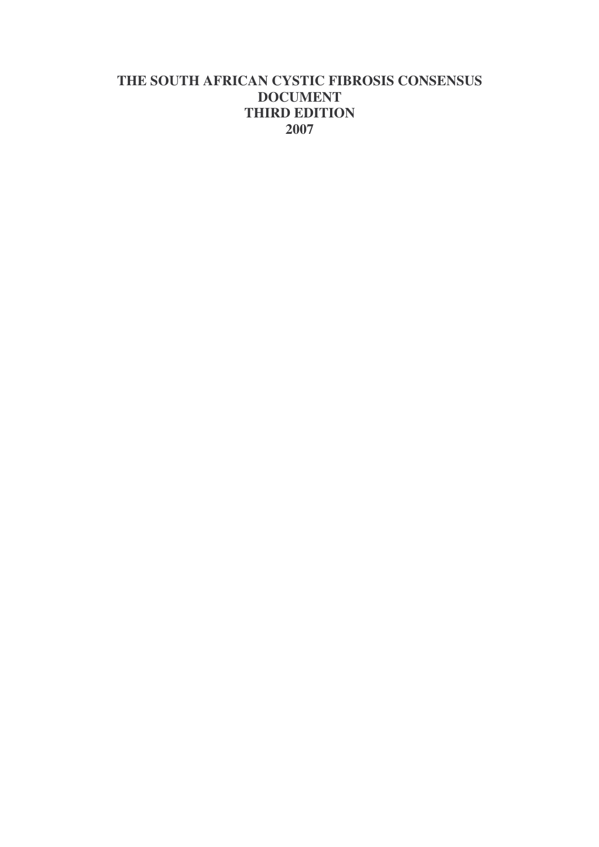# **THE SOUTH AFRICAN CYSTIC FIBROSIS CONSENSUS DOCUMENT THIRD EDITION 2007**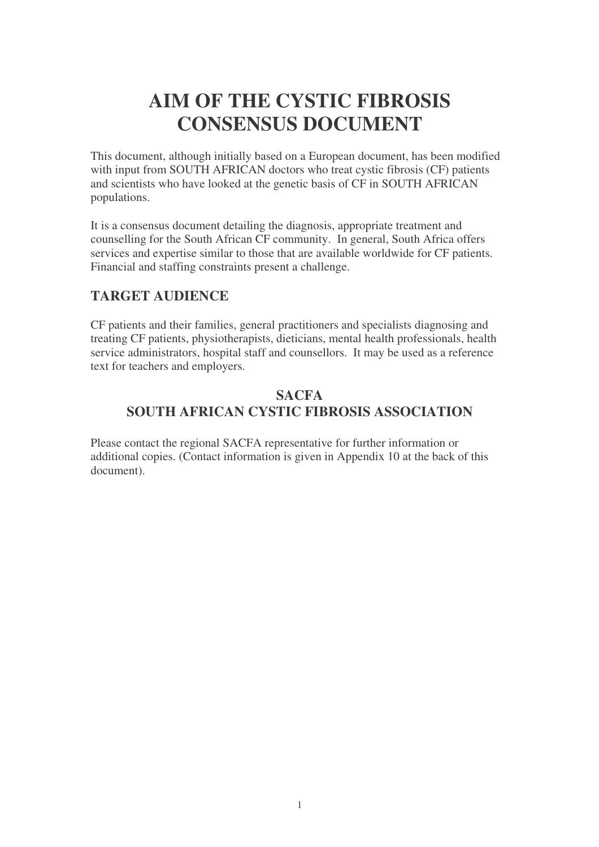# **AIM OF THE CYSTIC FIBROSIS CONSENSUS DOCUMENT**

This document, although initially based on a European document, has been modified with input from SOUTH AFRICAN doctors who treat cystic fibrosis (CF) patients and scientists who have looked at the genetic basis of CF in SOUTH AFRICAN populations.

It is a consensus document detailing the diagnosis, appropriate treatment and counselling for the South African CF community. In general, South Africa offers services and expertise similar to those that are available worldwide for CF patients. Financial and staffing constraints present a challenge.

# **TARGET AUDIENCE**

CF patients and their families, general practitioners and specialists diagnosing and treating CF patients, physiotherapists, dieticians, mental health professionals, health service administrators, hospital staff and counsellors. It may be used as a reference text for teachers and employers.

### **SACFA SOUTH AFRICAN CYSTIC FIBROSIS ASSOCIATION**

Please contact the regional SACFA representative for further information or additional copies. (Contact information is given in Appendix 10 at the back of this document).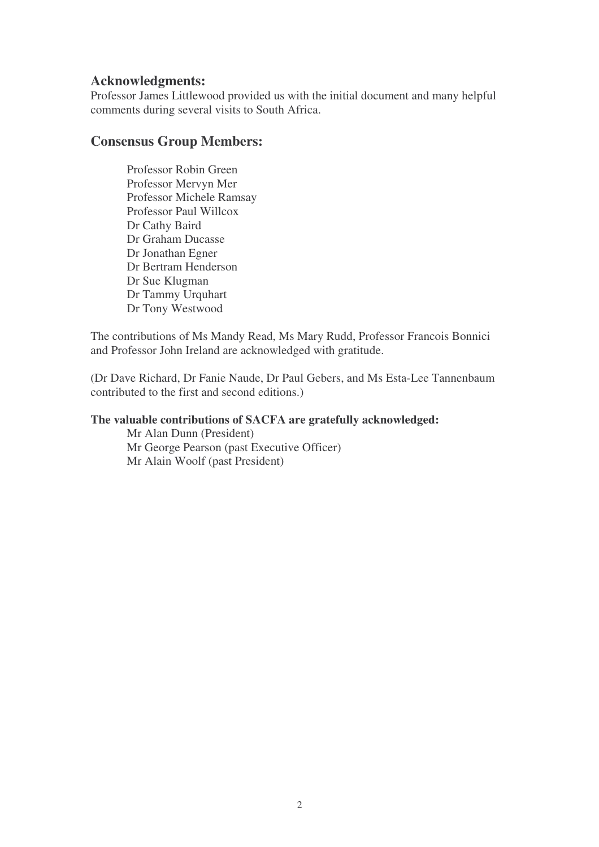#### **Acknowledgments:**

Professor James Littlewood provided us with the initial document and many helpful comments during several visits to South Africa.

# **Consensus Group Members:**

Professor Robin Green Professor Mervyn Mer Professor Michele Ramsay Professor Paul Willcox Dr Cathy Baird Dr Graham Ducasse Dr Jonathan Egner Dr Bertram Henderson Dr Sue Klugman Dr Tammy Urquhart Dr Tony Westwood

The contributions of Ms Mandy Read, Ms Mary Rudd, Professor Francois Bonnici and Professor John Ireland are acknowledged with gratitude.

(Dr Dave Richard, Dr Fanie Naude, Dr Paul Gebers, and Ms Esta-Lee Tannenbaum contributed to the first and second editions.)

#### **The valuable contributions of SACFA are gratefully acknowledged:**

Mr Alan Dunn (President) Mr George Pearson (past Executive Officer) Mr Alain Woolf (past President)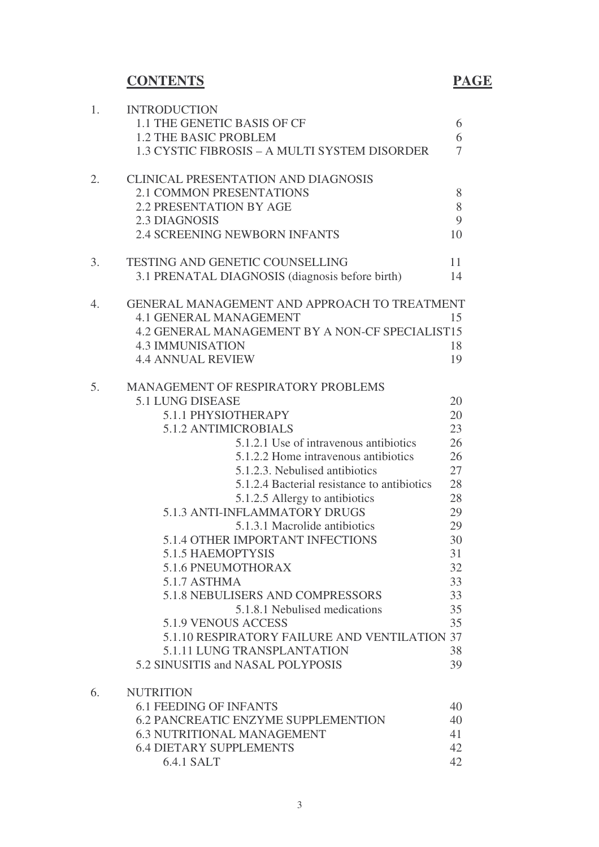# **CONTENTS PAGE**

| 1. | <b>INTRODUCTION</b>                             |        |
|----|-------------------------------------------------|--------|
|    | 1.1 THE GENETIC BASIS OF CF                     | 6      |
|    | <b>1.2 THE BASIC PROBLEM</b>                    | 6      |
|    | 1.3 CYSTIC FIBROSIS - A MULTI SYSTEM DISORDER   | $\tau$ |
| 2. | <b>CLINICAL PRESENTATION AND DIAGNOSIS</b>      |        |
|    | <b>2.1 COMMON PRESENTATIONS</b>                 | 8      |
|    | <b>2.2 PRESENTATION BY AGE</b>                  | 8      |
|    | 2.3 DIAGNOSIS                                   | 9      |
|    | 2.4 SCREENING NEWBORN INFANTS                   | 10     |
| 3. | <b>TESTING AND GENETIC COUNSELLING</b>          | 11     |
|    | 3.1 PRENATAL DIAGNOSIS (diagnosis before birth) | 14     |
| 4. | GENERAL MANAGEMENT AND APPROACH TO TREATMENT    |        |
|    | <b>4.1 GENERAL MANAGEMENT</b>                   | 15     |
|    | 4.2 GENERAL MANAGEMENT BY A NON-CF SPECIALIST15 |        |
|    | <b>4.3 IMMUNISATION</b>                         | 18     |
|    | <b>4.4 ANNUAL REVIEW</b>                        | 19     |
| 5. | <b>MANAGEMENT OF RESPIRATORY PROBLEMS</b>       |        |
|    | 5.1 LUNG DISEASE                                | 20     |
|    | 5.1.1 PHYSIOTHERAPY                             | 20     |
|    | 5.1.2 ANTIMICROBIALS                            | 23     |
|    | 5.1.2.1 Use of intravenous antibiotics          | 26     |
|    | 5.1.2.2 Home intravenous antibiotics            | 26     |
|    | 5.1.2.3. Nebulised antibiotics                  | 27     |
|    | 5.1.2.4 Bacterial resistance to antibiotics     | 28     |
|    | 5.1.2.5 Allergy to antibiotics                  | 28     |
|    | 5.1.3 ANTI-INFLAMMATORY DRUGS                   | 29     |
|    | 5.1.3.1 Macrolide antibiotics                   | 29     |
|    | 5.1.4 OTHER IMPORTANT INFECTIONS                | 30     |
|    | 5.1.5 HAEMOPTYSIS                               | 31     |
|    | 5.1.6 PNEUMOTHORAX                              | 32     |
|    | 5.1.7 ASTHMA                                    | 33     |
|    | 5.1.8 NEBULISERS AND COMPRESSORS                | 33     |
|    | 5.1.8.1 Nebulised medications                   | 35     |
|    | <b>5.1.9 VENOUS ACCESS</b>                      | 35     |
|    | 5.1.10 RESPIRATORY FAILURE AND VENTILATION 37   |        |
|    | 5.1.11 LUNG TRANSPLANTATION                     | 38     |
|    | 5.2 SINUSITIS and NASAL POLYPOSIS               | 39     |
| 6. | <b>NUTRITION</b>                                |        |
|    | <b>6.1 FEEDING OF INFANTS</b>                   | 40     |
|    | <b>6.2 PANCREATIC ENZYME SUPPLEMENTION</b>      | 40     |
|    | <b>6.3 NUTRITIONAL MANAGEMENT</b>               | 41     |
|    | <b>6.4 DIETARY SUPPLEMENTS</b>                  | 42     |
|    | 6.4.1 SALT                                      | 42     |
|    |                                                 |        |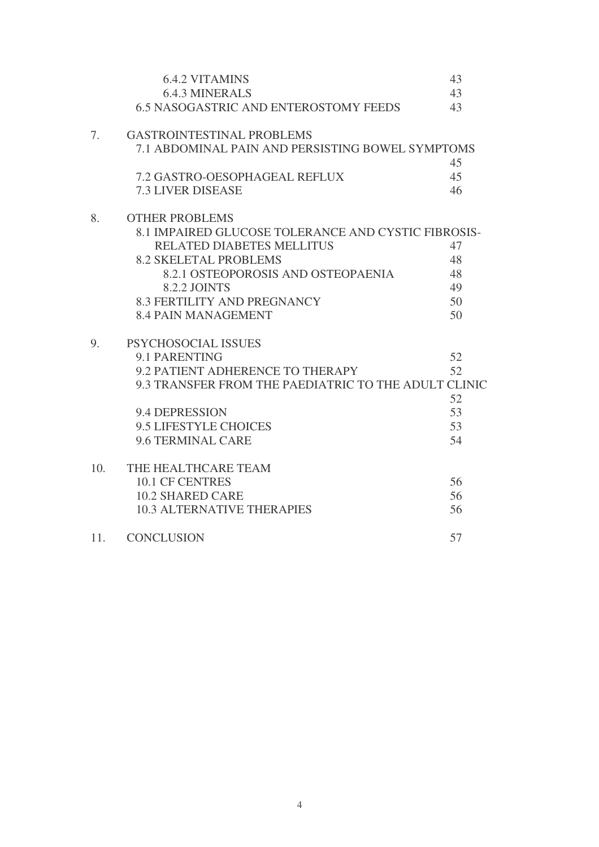|     | <b>6.4.2 VITAMINS</b>                                | 43 |
|-----|------------------------------------------------------|----|
|     | <b>6.4.3 MINERALS</b>                                | 43 |
|     | <b>6.5 NASOGASTRIC AND ENTEROSTOMY FEEDS</b>         | 43 |
| 7.  | <b>GASTROINTESTINAL PROBLEMS</b>                     |    |
|     | 7.1 ABDOMINAL PAIN AND PERSISTING BOWEL SYMPTOMS     |    |
|     |                                                      | 45 |
|     | 7.2 GASTRO-OESOPHAGEAL REFLUX                        | 45 |
|     | <b>7.3 LIVER DISEASE</b>                             | 46 |
| 8.  | <b>OTHER PROBLEMS</b>                                |    |
|     | 8.1 IMPAIRED GLUCOSE TOLERANCE AND CYSTIC FIBROSIS-  |    |
|     | RELATED DIABETES MELLITUS                            | 47 |
|     | <b>8.2 SKELETAL PROBLEMS</b>                         | 48 |
|     | 8.2.1 OSTEOPOROSIS AND OSTEOPAENIA                   | 48 |
|     | <b>8.2.2 JOINTS</b>                                  | 49 |
|     | <b>8.3 FERTILITY AND PREGNANCY</b>                   | 50 |
|     | <b>8.4 PAIN MANAGEMENT</b>                           | 50 |
| 9.  | PSYCHOSOCIAL ISSUES                                  |    |
|     | 9.1 PARENTING                                        | 52 |
|     | 9.2 PATIENT ADHERENCE TO THERAPY                     | 52 |
|     | 9.3 TRANSFER FROM THE PAEDIATRIC TO THE ADULT CLINIC |    |
|     |                                                      | 52 |
|     | 9.4 DEPRESSION                                       | 53 |
|     | 9.5 LIFESTYLE CHOICES                                | 53 |
|     | 9.6 TERMINAL CARE                                    | 54 |
| 10. | THE HEALTHCARE TEAM                                  |    |
|     | 10.1 CF CENTRES                                      | 56 |
|     | <b>10.2 SHARED CARE</b>                              | 56 |
|     | <b>10.3 ALTERNATIVE THERAPIES</b>                    | 56 |
| 11. | <b>CONCLUSION</b>                                    | 57 |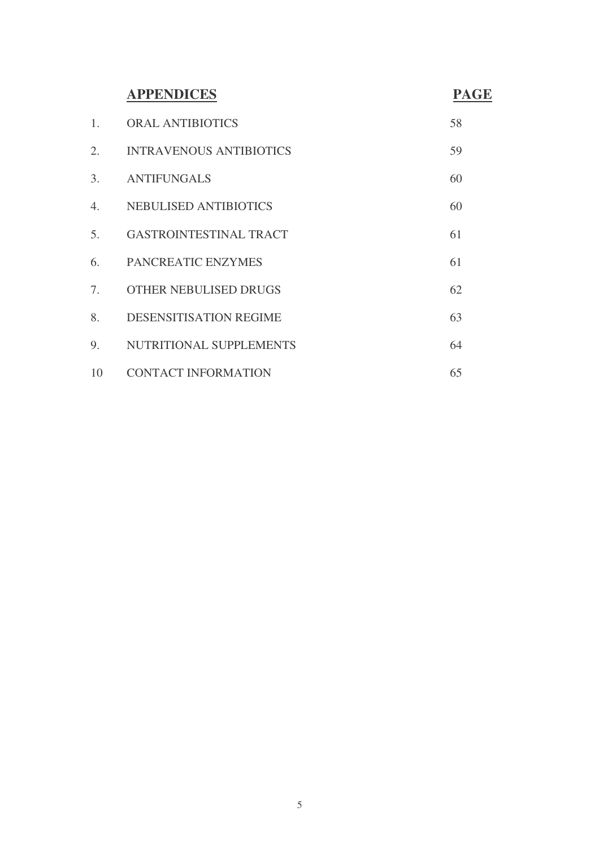# **APPENDICES PAGE**

| 1. | <b>ORAL ANTIBIOTICS</b>        | 58 |
|----|--------------------------------|----|
| 2. | <b>INTRAVENOUS ANTIBIOTICS</b> | 59 |
| 3. | <b>ANTIFUNGALS</b>             | 60 |
| 4. | <b>NEBULISED ANTIBIOTICS</b>   | 60 |
| 5. | GASTROINTESTINAL TRACT         | 61 |
| 6. | PANCREATIC ENZYMES             | 61 |
| 7. | OTHER NEBULISED DRUGS          | 62 |
| 8. | <b>DESENSITISATION REGIME</b>  | 63 |
| 9. | NUTRITIONAL SUPPLEMENTS        | 64 |
| 10 | <b>CONTACT INFORMATION</b>     | 65 |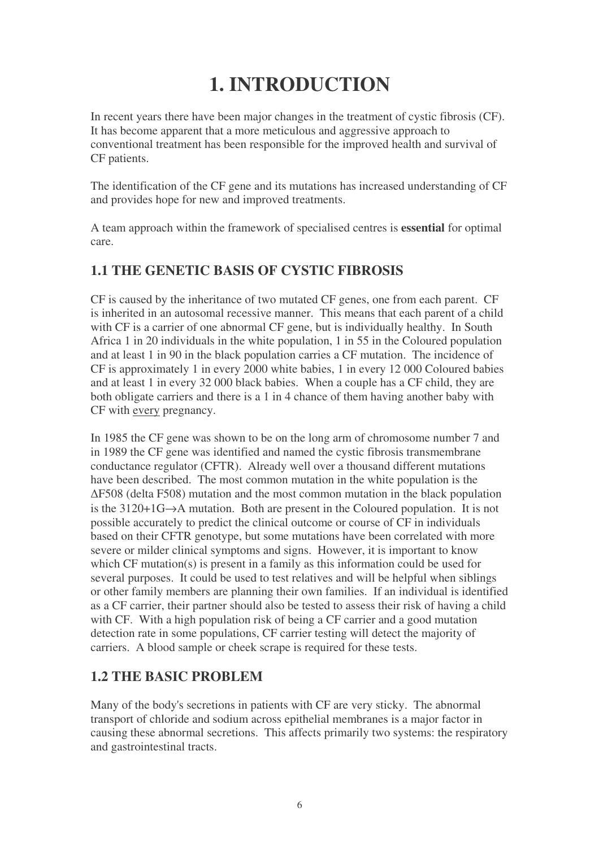# **1. INTRODUCTION**

In recent years there have been major changes in the treatment of cystic fibrosis (CF). It has become apparent that a more meticulous and aggressive approach to conventional treatment has been responsible for the improved health and survival of CF patients.

The identification of the CF gene and its mutations has increased understanding of CF and provides hope for new and improved treatments.

A team approach within the framework of specialised centres is **essential** for optimal care.

# **1.1 THE GENETIC BASIS OF CYSTIC FIBROSIS**

CF is caused by the inheritance of two mutated CF genes, one from each parent. CF is inherited in an autosomal recessive manner. This means that each parent of a child with CF is a carrier of one abnormal CF gene, but is individually healthy. In South Africa 1 in 20 individuals in the white population, 1 in 55 in the Coloured population and at least 1 in 90 in the black population carries a CF mutation. The incidence of CF is approximately 1 in every 2000 white babies, 1 in every 12 000 Coloured babies and at least 1 in every 32 000 black babies. When a couple has a CF child, they are both obligate carriers and there is a 1 in 4 chance of them having another baby with CF with every pregnancy.

In 1985 the CF gene was shown to be on the long arm of chromosome number 7 and in 1989 the CF gene was identified and named the cystic fibrosis transmembrane conductance regulator (CFTR). Already well over a thousand different mutations have been described. The most common mutation in the white population is the F508 (delta F508) mutation and the most common mutation in the black population is the 3120+1G→A mutation. Both are present in the Coloured population. It is not possible accurately to predict the clinical outcome or course of CF in individuals based on their CFTR genotype, but some mutations have been correlated with more severe or milder clinical symptoms and signs. However, it is important to know which CF mutation $(s)$  is present in a family as this information could be used for several purposes. It could be used to test relatives and will be helpful when siblings or other family members are planning their own families. If an individual is identified as a CF carrier, their partner should also be tested to assess their risk of having a child with CF. With a high population risk of being a CF carrier and a good mutation detection rate in some populations, CF carrier testing will detect the majority of carriers. A blood sample or cheek scrape is required for these tests.

# **1.2 THE BASIC PROBLEM**

Many of the body's secretions in patients with CF are very sticky. The abnormal transport of chloride and sodium across epithelial membranes is a major factor in causing these abnormal secretions. This affects primarily two systems: the respiratory and gastrointestinal tracts.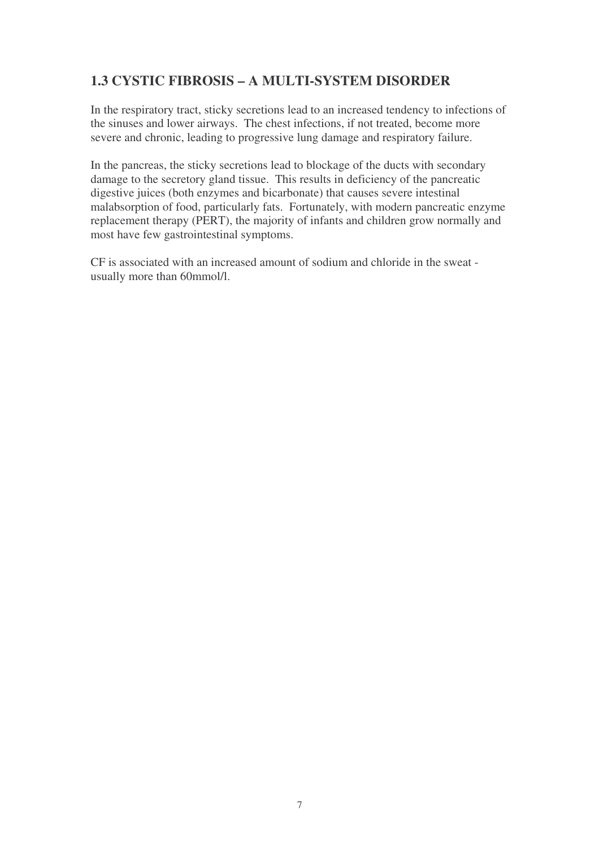# **1.3 CYSTIC FIBROSIS – A MULTI-SYSTEM DISORDER**

In the respiratory tract, sticky secretions lead to an increased tendency to infections of the sinuses and lower airways. The chest infections, if not treated, become more severe and chronic, leading to progressive lung damage and respiratory failure.

In the pancreas, the sticky secretions lead to blockage of the ducts with secondary damage to the secretory gland tissue. This results in deficiency of the pancreatic digestive juices (both enzymes and bicarbonate) that causes severe intestinal malabsorption of food, particularly fats. Fortunately, with modern pancreatic enzyme replacement therapy (PERT), the majority of infants and children grow normally and most have few gastrointestinal symptoms.

CF is associated with an increased amount of sodium and chloride in the sweat usually more than 60mmol/l.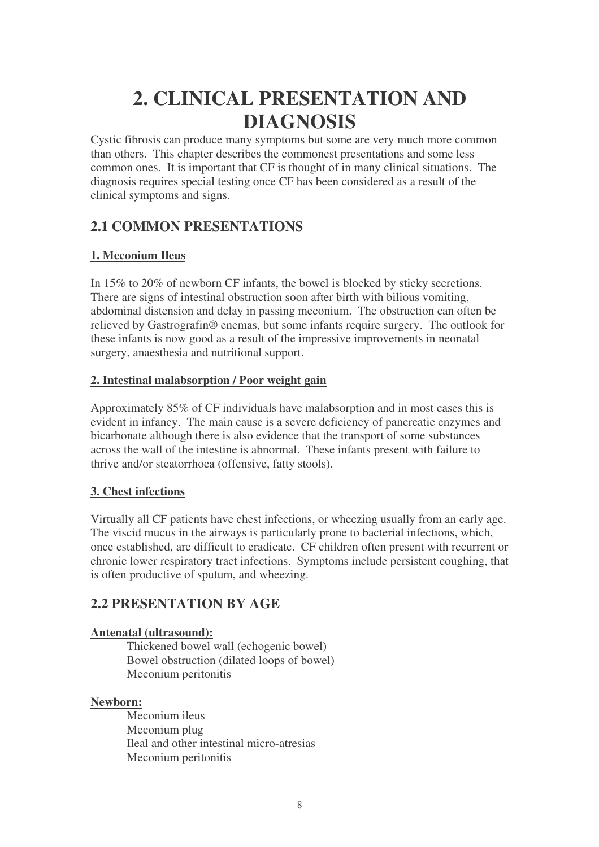# **2. CLINICAL PRESENTATION AND DIAGNOSIS**

Cystic fibrosis can produce many symptoms but some are very much more common than others. This chapter describes the commonest presentations and some less common ones. It is important that CF is thought of in many clinical situations. The diagnosis requires special testing once CF has been considered as a result of the clinical symptoms and signs.

# **2.1 COMMON PRESENTATIONS**

## **1. Meconium Ileus**

In 15% to 20% of newborn CF infants, the bowel is blocked by sticky secretions. There are signs of intestinal obstruction soon after birth with bilious vomiting, abdominal distension and delay in passing meconium. The obstruction can often be relieved by Gastrografin® enemas, but some infants require surgery. The outlook for these infants is now good as a result of the impressive improvements in neonatal surgery, anaesthesia and nutritional support.

### **2. Intestinal malabsorption / Poor weight gain**

Approximately 85% of CF individuals have malabsorption and in most cases this is evident in infancy. The main cause is a severe deficiency of pancreatic enzymes and bicarbonate although there is also evidence that the transport of some substances across the wall of the intestine is abnormal. These infants present with failure to thrive and/or steatorrhoea (offensive, fatty stools).

#### **3. Chest infections**

Virtually all CF patients have chest infections, or wheezing usually from an early age. The viscid mucus in the airways is particularly prone to bacterial infections, which, once established, are difficult to eradicate. CF children often present with recurrent or chronic lower respiratory tract infections. Symptoms include persistent coughing, that is often productive of sputum, and wheezing.

# **2.2 PRESENTATION BY AGE**

#### **Antenatal (ultrasound):**

Thickened bowel wall (echogenic bowel) Bowel obstruction (dilated loops of bowel) Meconium peritonitis

#### **Newborn:**

Meconium ileus Meconium plug Ileal and other intestinal micro-atresias Meconium peritonitis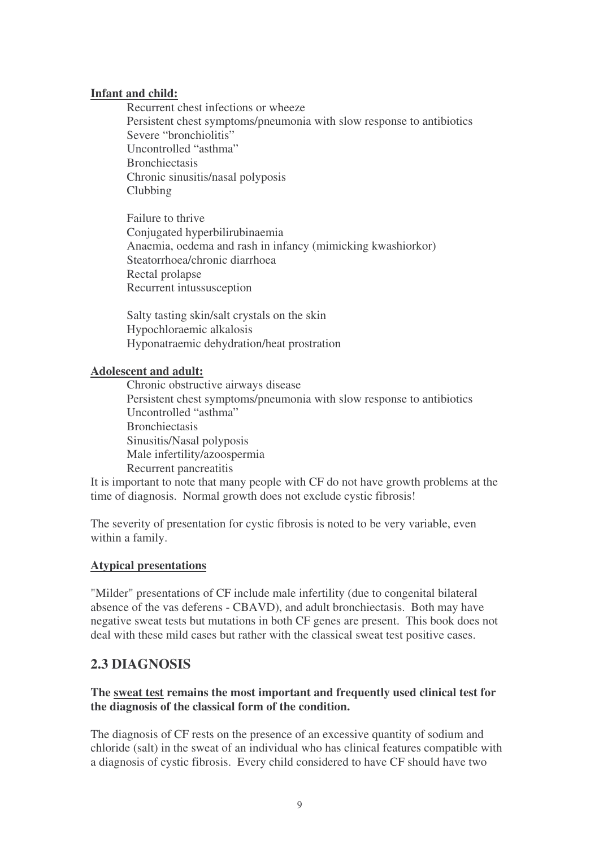#### **Infant and child:**

Recurrent chest infections or wheeze Persistent chest symptoms/pneumonia with slow response to antibiotics Severe "bronchiolitis" Uncontrolled "asthma" Bronchiectasis Chronic sinusitis/nasal polyposis Clubbing

Failure to thrive Conjugated hyperbilirubinaemia Anaemia, oedema and rash in infancy (mimicking kwashiorkor) Steatorrhoea/chronic diarrhoea Rectal prolapse Recurrent intussusception

Salty tasting skin/salt crystals on the skin Hypochloraemic alkalosis Hyponatraemic dehydration/heat prostration

#### **Adolescent and adult:**

Chronic obstructive airways disease Persistent chest symptoms/pneumonia with slow response to antibiotics Uncontrolled "asthma" **Bronchiectasis** Sinusitis/Nasal polyposis Male infertility/azoospermia Recurrent pancreatitis

It is important to note that many people with CF do not have growth problems at the time of diagnosis. Normal growth does not exclude cystic fibrosis!

The severity of presentation for cystic fibrosis is noted to be very variable, even within a family.

#### **Atypical presentations**

"Milder" presentations of CF include male infertility (due to congenital bilateral absence of the vas deferens - CBAVD), and adult bronchiectasis. Both may have negative sweat tests but mutations in both CF genes are present. This book does not deal with these mild cases but rather with the classical sweat test positive cases.

# **2.3 DIAGNOSIS**

#### **The sweat test remains the most important and frequently used clinical test for the diagnosis of the classical form of the condition.**

The diagnosis of CF rests on the presence of an excessive quantity of sodium and chloride (salt) in the sweat of an individual who has clinical features compatible with a diagnosis of cystic fibrosis. Every child considered to have CF should have two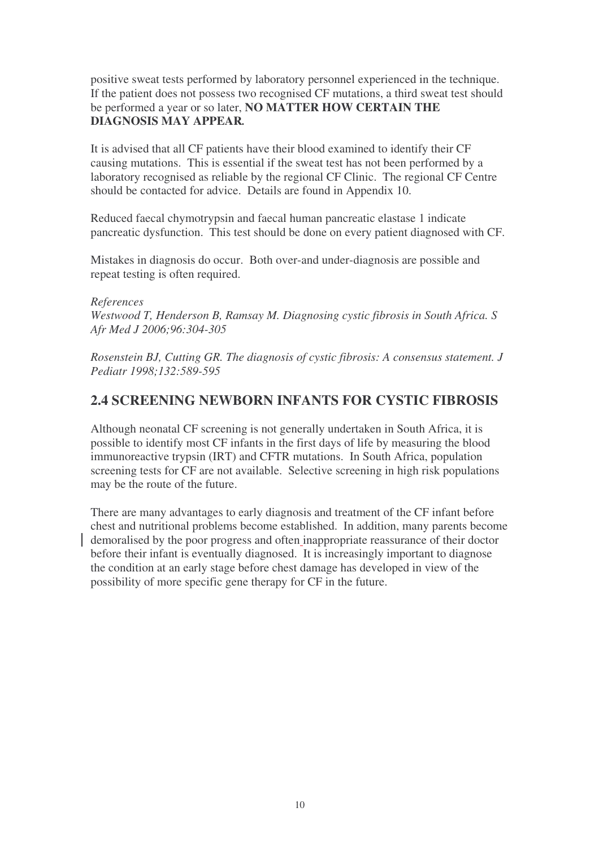positive sweat tests performed by laboratory personnel experienced in the technique. If the patient does not possess two recognised CF mutations, a third sweat test should be performed a year or so later, **NO MATTER HOW CERTAIN THE DIAGNOSIS MAY APPEAR***.*

It is advised that all CF patients have their blood examined to identify their CF causing mutations. This is essential if the sweat test has not been performed by a laboratory recognised as reliable by the regional CF Clinic. The regional CF Centre should be contacted for advice. Details are found in Appendix 10.

Reduced faecal chymotrypsin and faecal human pancreatic elastase 1 indicate pancreatic dysfunction. This test should be done on every patient diagnosed with CF.

Mistakes in diagnosis do occur. Both over-and under-diagnosis are possible and repeat testing is often required.

*References Westwood T, Henderson B, Ramsay M. Diagnosing cystic fibrosis in South Africa. S Afr Med J 2006;96:304-305*

*Rosenstein BJ, Cutting GR. The diagnosis of cystic fibrosis: A consensus statement. J Pediatr 1998;132:589-595*

#### **2.4 SCREENING NEWBORN INFANTS FOR CYSTIC FIBROSIS**

Although neonatal CF screening is not generally undertaken in South Africa, it is possible to identify most CF infants in the first days of life by measuring the blood immunoreactive trypsin (IRT) and CFTR mutations. In South Africa, population screening tests for CF are not available. Selective screening in high risk populations may be the route of the future.

There are many advantages to early diagnosis and treatment of the CF infant before chest and nutritional problems become established. In addition, many parents become demoralised by the poor progress and often inappropriate reassurance of their doctor before their infant is eventually diagnosed. It is increasingly important to diagnose the condition at an early stage before chest damage has developed in view of the possibility of more specific gene therapy for CF in the future.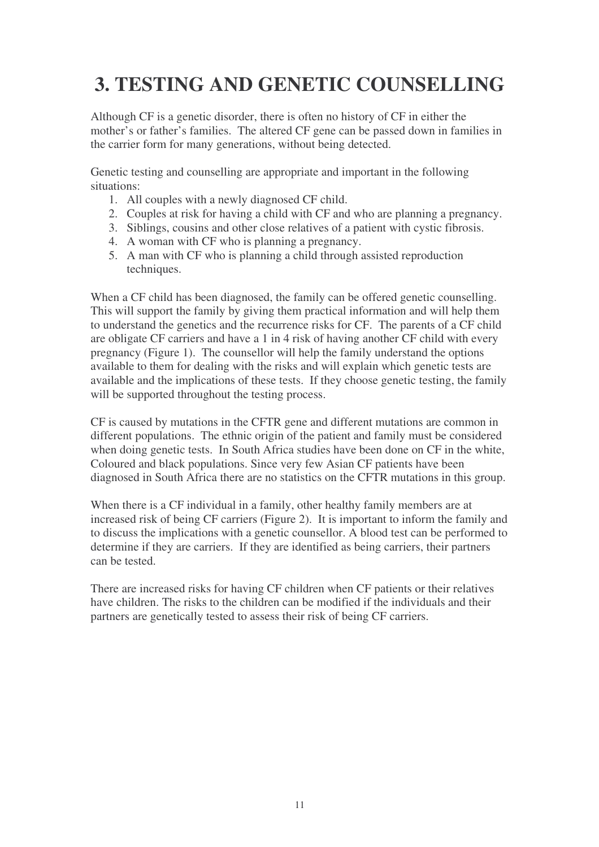# **3. TESTING AND GENETIC COUNSELLING**

Although CF is a genetic disorder, there is often no history of CF in either the mother's or father's families. The altered CF gene can be passed down in families in the carrier form for many generations, without being detected.

Genetic testing and counselling are appropriate and important in the following situations:

- 1. All couples with a newly diagnosed CF child.
- 2. Couples at risk for having a child with CF and who are planning a pregnancy.
- 3. Siblings, cousins and other close relatives of a patient with cystic fibrosis.
- 4. A woman with CF who is planning a pregnancy.
- 5. A man with CF who is planning a child through assisted reproduction techniques.

When a CF child has been diagnosed, the family can be offered genetic counselling. This will support the family by giving them practical information and will help them to understand the genetics and the recurrence risks for CF. The parents of a CF child are obligate CF carriers and have a 1 in 4 risk of having another CF child with every pregnancy (Figure 1). The counsellor will help the family understand the options available to them for dealing with the risks and will explain which genetic tests are available and the implications of these tests. If they choose genetic testing, the family will be supported throughout the testing process.

CF is caused by mutations in the CFTR gene and different mutations are common in different populations. The ethnic origin of the patient and family must be considered when doing genetic tests. In South Africa studies have been done on CF in the white, Coloured and black populations. Since very few Asian CF patients have been diagnosed in South Africa there are no statistics on the CFTR mutations in this group.

When there is a CF individual in a family, other healthy family members are at increased risk of being CF carriers (Figure 2). It is important to inform the family and to discuss the implications with a genetic counsellor. A blood test can be performed to determine if they are carriers. If they are identified as being carriers, their partners can be tested.

There are increased risks for having CF children when CF patients or their relatives have children. The risks to the children can be modified if the individuals and their partners are genetically tested to assess their risk of being CF carriers.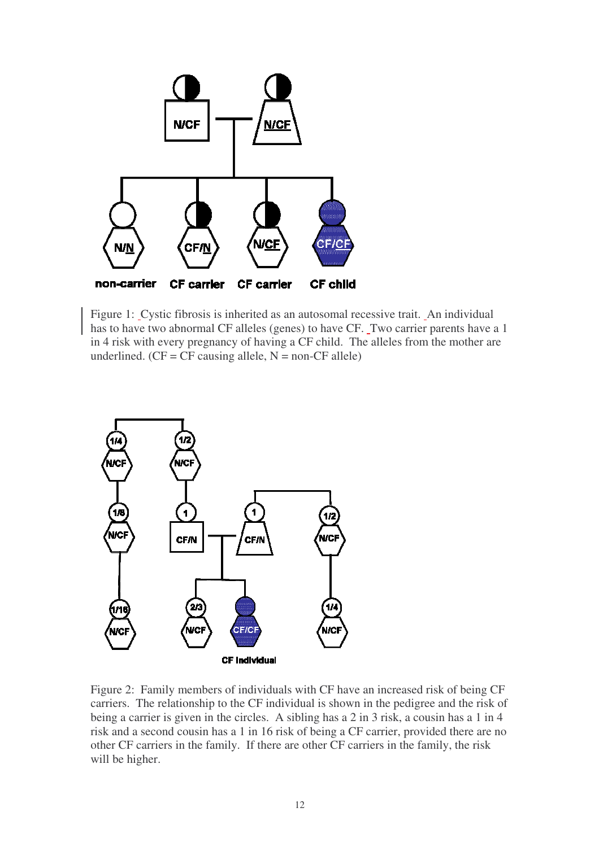

Figure 1: Cystic fibrosis is inherited as an autosomal recessive trait. An individual has to have two abnormal CF alleles (genes) to have CF. Two carrier parents have a 1 in 4 risk with every pregnancy of having a CF child. The alleles from the mother are underlined.  $(CF = CF \text{ causing allele}, N = \text{non-CF allele})$ 



Figure 2: Family members of individuals with CF have an increased risk of being CF carriers. The relationship to the CF individual is shown in the pedigree and the risk of being a carrier is given in the circles. A sibling has a 2 in 3 risk, a cousin has a 1 in 4 risk and a second cousin has a 1 in 16 risk of being a CF carrier, provided there are no other CF carriers in the family. If there are other CF carriers in the family, the risk will be higher.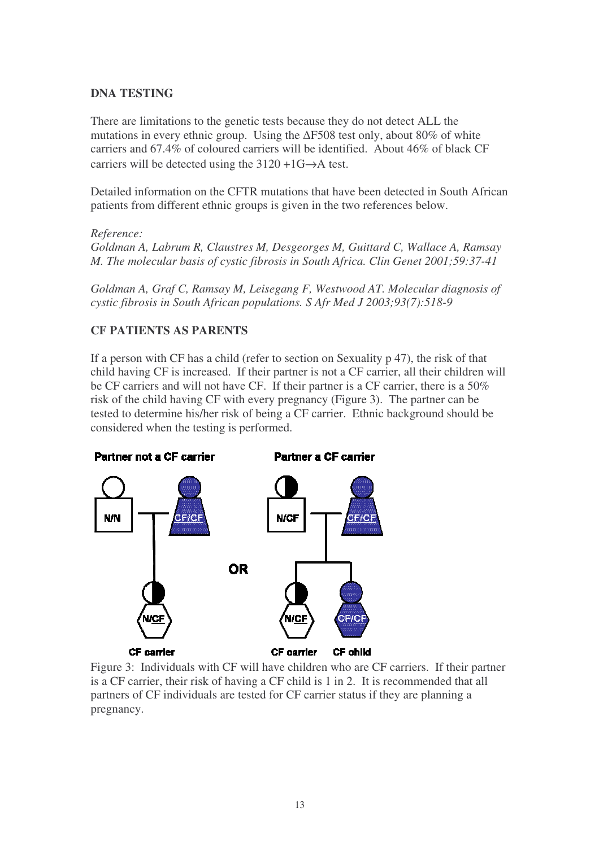#### **DNA TESTING**

There are limitations to the genetic tests because they do not detect ALL the mutations in every ethnic group. Using the  $\Delta$ F508 test only, about 80% of white carriers and 67.4% of coloured carriers will be identified. About 46% of black CF carriers will be detected using the  $3120 + 1G \rightarrow A$  test.

Detailed information on the CFTR mutations that have been detected in South African patients from different ethnic groups is given in the two references below.

#### *Reference:*

*Goldman A, Labrum R, Claustres M, Desgeorges M, Guittard C, Wallace A, Ramsay M. The molecular basis of cystic fibrosis in South Africa. Clin Genet 2001;59:37-41*

*Goldman A, Graf C, Ramsay M, Leisegang F, Westwood AT. Molecular diagnosis of cystic fibrosis in South African populations. S Afr Med J 2003;93(7):518-9*

#### **CF PATIENTS AS PARENTS**

If a person with CF has a child (refer to section on Sexuality p 47), the risk of that child having CF is increased. If their partner is not a CF carrier, all their children will be CF carriers and will not have CF. If their partner is a CF carrier, there is a 50% risk of the child having CF with every pregnancy (Figure 3). The partner can be tested to determine his/her risk of being a CF carrier. Ethnic background should be considered when the testing is performed.



Figure 3: Individuals with CF will have children who are CF carriers. If their partner is a CF carrier, their risk of having a CF child is 1 in 2. It is recommended that all partners of CF individuals are tested for CF carrier status if they are planning a pregnancy.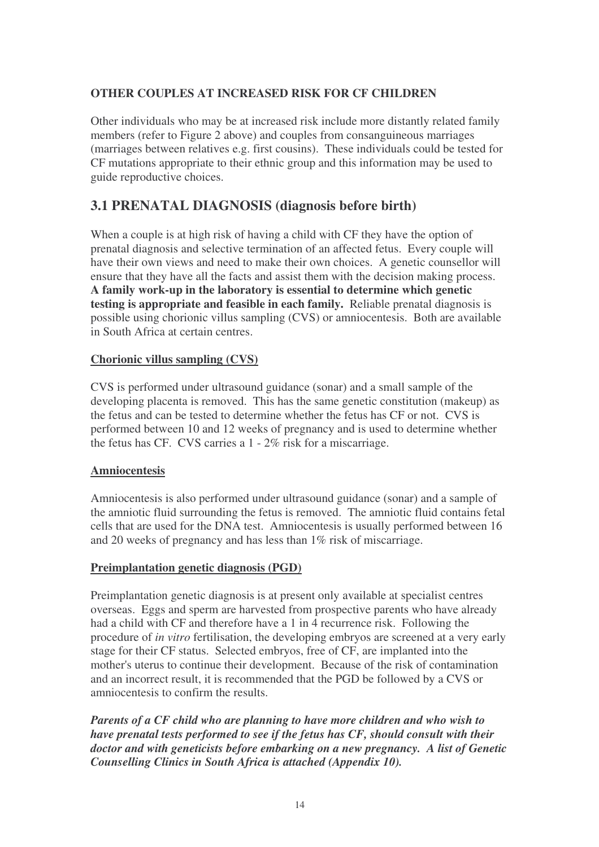#### **OTHER COUPLES AT INCREASED RISK FOR CF CHILDREN**

Other individuals who may be at increased risk include more distantly related family members (refer to Figure 2 above) and couples from consanguineous marriages (marriages between relatives e.g. first cousins). These individuals could be tested for CF mutations appropriate to their ethnic group and this information may be used to guide reproductive choices.

# **3.1 PRENATAL DIAGNOSIS (diagnosis before birth)**

When a couple is at high risk of having a child with CF they have the option of prenatal diagnosis and selective termination of an affected fetus. Every couple will have their own views and need to make their own choices. A genetic counsellor will ensure that they have all the facts and assist them with the decision making process. **A family work-up in the laboratory is essential to determine which genetic testing is appropriate and feasible in each family.** Reliable prenatal diagnosis is possible using chorionic villus sampling (CVS) or amniocentesis. Both are available in South Africa at certain centres.

#### **Chorionic villus sampling (CVS)**

CVS is performed under ultrasound guidance (sonar) and a small sample of the developing placenta is removed. This has the same genetic constitution (makeup) as the fetus and can be tested to determine whether the fetus has CF or not. CVS is performed between 10 and 12 weeks of pregnancy and is used to determine whether the fetus has CF. CVS carries a 1 - 2% risk for a miscarriage.

#### **Amniocentesis**

Amniocentesis is also performed under ultrasound guidance (sonar) and a sample of the amniotic fluid surrounding the fetus is removed. The amniotic fluid contains fetal cells that are used for the DNA test. Amniocentesis is usually performed between 16 and 20 weeks of pregnancy and has less than 1% risk of miscarriage.

#### **Preimplantation genetic diagnosis (PGD)**

Preimplantation genetic diagnosis is at present only available at specialist centres overseas. Eggs and sperm are harvested from prospective parents who have already had a child with CF and therefore have a 1 in 4 recurrence risk. Following the procedure of *in vitro* fertilisation, the developing embryos are screened at a very early stage for their CF status. Selected embryos, free of CF, are implanted into the mother's uterus to continue their development. Because of the risk of contamination and an incorrect result, it is recommended that the PGD be followed by a CVS or amniocentesis to confirm the results.

*Parents of a CF child who are planning to have more children and who wish to have prenatal tests performed to see if the fetus has CF, should consult with their doctor and with geneticists before embarking on a new pregnancy. A list of Genetic Counselling Clinics in South Africa is attached (Appendix 10).*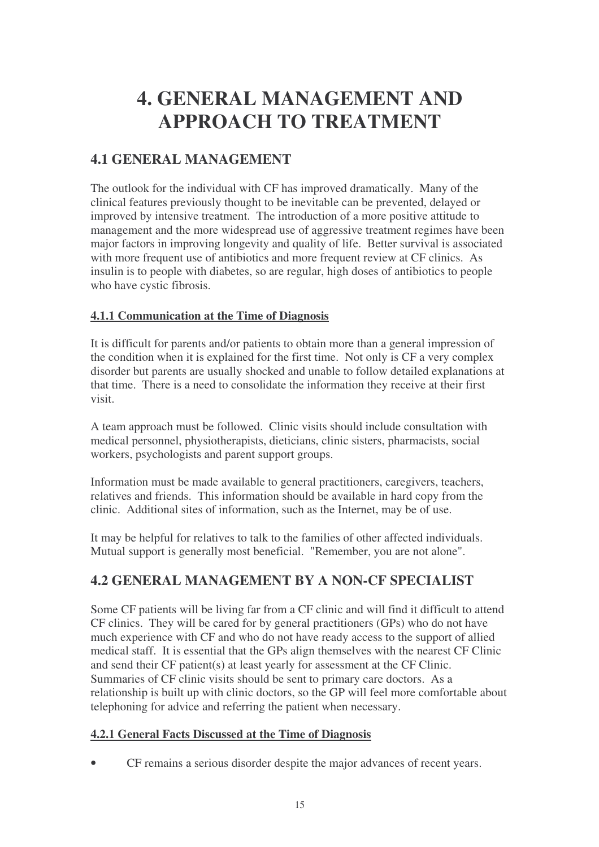# **4. GENERAL MANAGEMENT AND APPROACH TO TREATMENT**

# **4.1 GENERAL MANAGEMENT**

The outlook for the individual with CF has improved dramatically. Many of the clinical features previously thought to be inevitable can be prevented, delayed or improved by intensive treatment. The introduction of a more positive attitude to management and the more widespread use of aggressive treatment regimes have been major factors in improving longevity and quality of life. Better survival is associated with more frequent use of antibiotics and more frequent review at CF clinics. As insulin is to people with diabetes, so are regular, high doses of antibiotics to people who have cystic fibrosis.

#### **4.1.1 Communication at the Time of Diagnosis**

It is difficult for parents and/or patients to obtain more than a general impression of the condition when it is explained for the first time. Not only is CF a very complex disorder but parents are usually shocked and unable to follow detailed explanations at that time. There is a need to consolidate the information they receive at their first visit.

A team approach must be followed. Clinic visits should include consultation with medical personnel, physiotherapists, dieticians, clinic sisters, pharmacists, social workers, psychologists and parent support groups.

Information must be made available to general practitioners, caregivers, teachers, relatives and friends. This information should be available in hard copy from the clinic. Additional sites of information, such as the Internet, may be of use.

It may be helpful for relatives to talk to the families of other affected individuals. Mutual support is generally most beneficial. "Remember, you are not alone".

# **4.2 GENERAL MANAGEMENT BY A NON-CF SPECIALIST**

Some CF patients will be living far from a CF clinic and will find it difficult to attend CF clinics. They will be cared for by general practitioners (GPs) who do not have much experience with CF and who do not have ready access to the support of allied medical staff. It is essential that the GPs align themselves with the nearest CF Clinic and send their CF patient(s) at least yearly for assessment at the CF Clinic. Summaries of CF clinic visits should be sent to primary care doctors. As a relationship is built up with clinic doctors, so the GP will feel more comfortable about telephoning for advice and referring the patient when necessary.

#### **4.2.1 General Facts Discussed at the Time of Diagnosis**

• CF remains a serious disorder despite the major advances of recent years.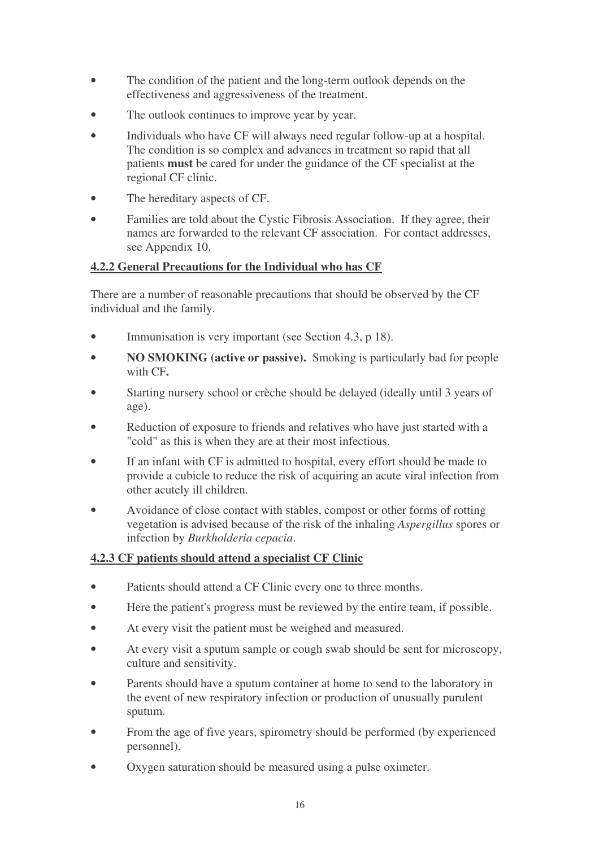- The condition of the patient and the long-term outlook depends on the effectiveness and aggressiveness of the treatment.
- The outlook continues to improve year by year.
- Individuals who have CF will always need regular follow-up at a hospital. The condition is so complex and advances in treatment so rapid that all patients **must** be cared for under the guidance of the CF specialist at the regional CF clinic.
- The hereditary aspects of CF.
- Families are told about the Cystic Fibrosis Association. If they agree, their names are forwarded to the relevant CF association. For contact addresses, see Appendix 10.

#### **4.2.2 General Precautions for the Individual who has CF**

There are a number of reasonable precautions that should be observed by the CF individual and the family.

- Immunisation is very important (see Section 4.3, p 18).
- **NO SMOKING (active or passive).** Smoking is particularly bad for people with CF**.**
- Starting nursery school or crèche should be delayed (ideally until 3 years of age).
- Reduction of exposure to friends and relatives who have just started with a "cold" as this is when they are at their most infectious.
- If an infant with CF is admitted to hospital, every effort should be made to provide a cubicle to reduce the risk of acquiring an acute viral infection from other acutely ill children.
- Avoidance of close contact with stables, compost or other forms of rotting vegetation is advised because of the risk of the inhaling *Aspergillus* spores or infection by *Burkholderia cepacia*.

#### **4.2.3 CF patients should attend a specialist CF Clinic**

- Patients should attend a CF Clinic every one to three months.
- Here the patient's progress must be reviewed by the entire team, if possible.
- At every visit the patient must be weighed and measured.
- At every visit a sputum sample or cough swab should be sent for microscopy, culture and sensitivity.
- Parents should have a sputum container at home to send to the laboratory in the event of new respiratory infection or production of unusually purulent sputum.
- From the age of five years, spirometry should be performed (by experienced personnel).
- Oxygen saturation should be measured using a pulse oximeter.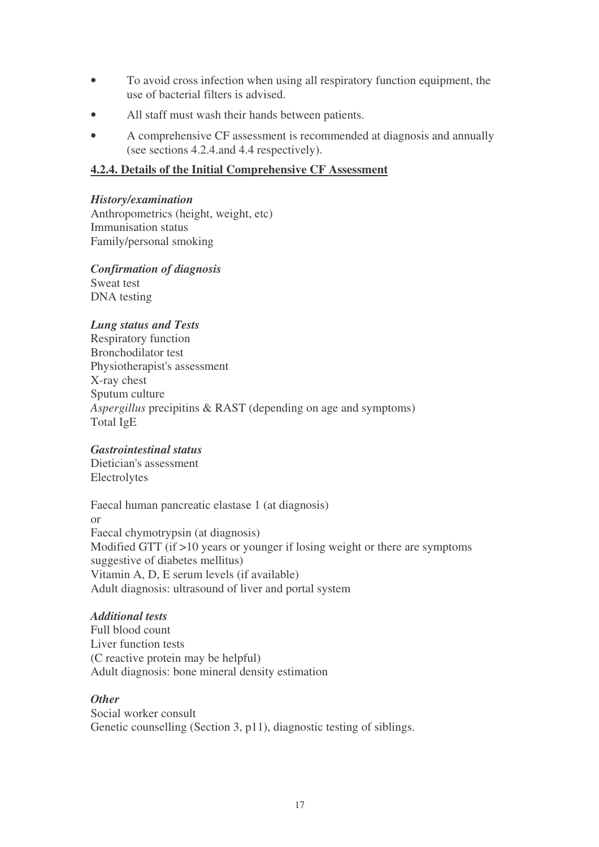- To avoid cross infection when using all respiratory function equipment, the use of bacterial filters is advised.
- All staff must wash their hands between patients.
- A comprehensive CF assessment is recommended at diagnosis and annually (see sections 4.2.4.and 4.4 respectively).

#### **4.2.4. Details of the Initial Comprehensive CF Assessment**

#### *History/examination*

Anthropometrics (height, weight, etc) Immunisation status Family/personal smoking

*Confirmation of diagnosis* Sweat test DNA testing

#### *Lung status and Tests*

Respiratory function Bronchodilator test Physiotherapist's assessment X-ray chest Sputum culture *Aspergillus* precipitins & RAST (depending on age and symptoms) Total IgE

#### *Gastrointestinal status*

Dietician's assessment Electrolytes

Faecal human pancreatic elastase 1 (at diagnosis) or Faecal chymotrypsin (at diagnosis) Modified GTT (if >10 years or younger if losing weight or there are symptoms suggestive of diabetes mellitus) Vitamin A, D, E serum levels (if available) Adult diagnosis: ultrasound of liver and portal system

#### *Additional tests*

Full blood count Liver function tests (C reactive protein may be helpful) Adult diagnosis: bone mineral density estimation

#### *Other*

Social worker consult Genetic counselling (Section 3, p11), diagnostic testing of siblings.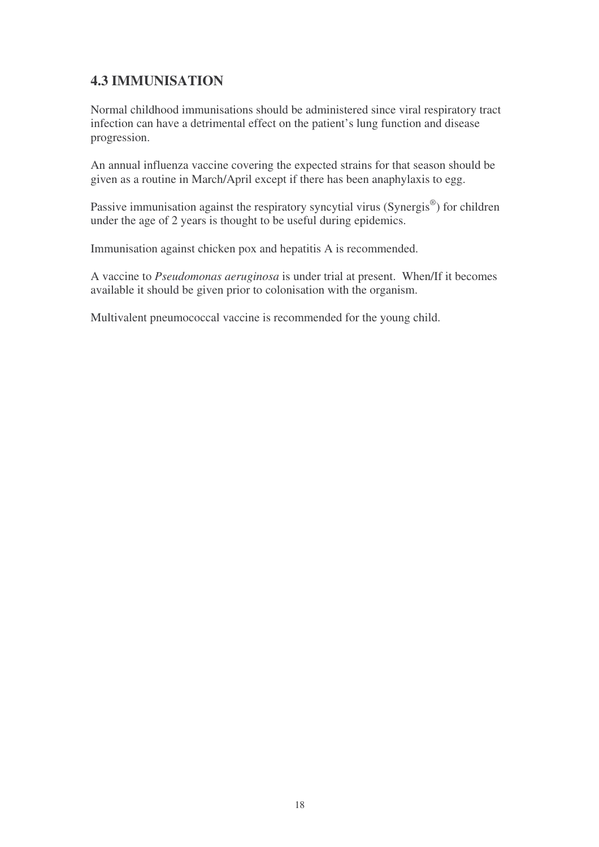# **4.3 IMMUNISATION**

Normal childhood immunisations should be administered since viral respiratory tract infection can have a detrimental effect on the patient's lung function and disease progression.

An annual influenza vaccine covering the expected strains for that season should be given as a routine in March/April except if there has been anaphylaxis to egg.

Passive immunisation against the respiratory syncytial virus (Synergis®) for children under the age of 2 years is thought to be useful during epidemics.

Immunisation against chicken pox and hepatitis A is recommended.

A vaccine to *Pseudomonas aeruginosa* is under trial at present. When/If it becomes available it should be given prior to colonisation with the organism.

Multivalent pneumococcal vaccine is recommended for the young child.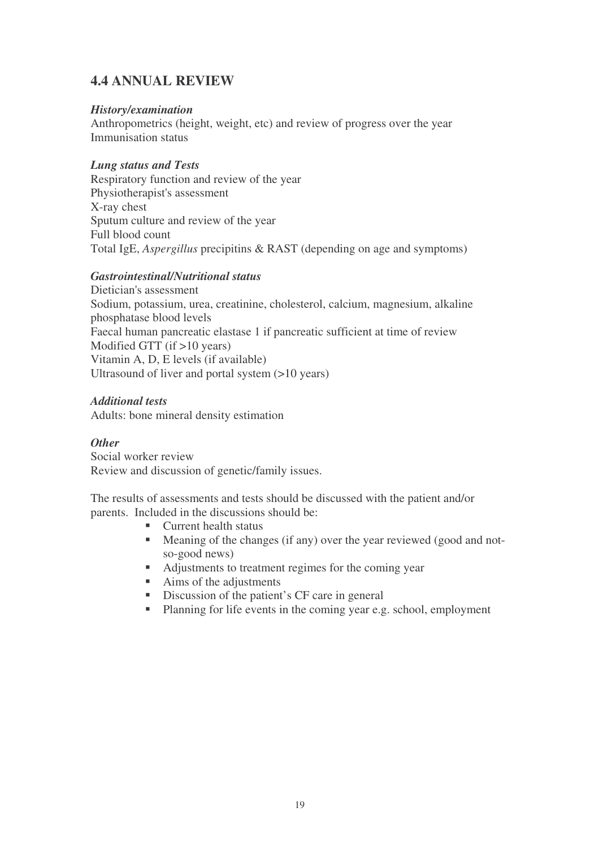# **4.4 ANNUAL REVIEW**

#### *History/examination*

Anthropometrics (height, weight, etc) and review of progress over the year Immunisation status

#### *Lung status and Tests*

Respiratory function and review of the year Physiotherapist's assessment X-ray chest Sputum culture and review of the year Full blood count Total IgE, *Aspergillus* precipitins & RAST (depending on age and symptoms)

#### *Gastrointestinal/Nutritional status*

Dietician's assessment Sodium, potassium, urea, creatinine, cholesterol, calcium, magnesium, alkaline phosphatase blood levels Faecal human pancreatic elastase 1 if pancreatic sufficient at time of review Modified GTT (if >10 years) Vitamin A, D, E levels (if available) Ultrasound of liver and portal system (>10 years)

#### *Additional tests*

Adults: bone mineral density estimation

#### *Other*

Social worker review Review and discussion of genetic/family issues.

The results of assessments and tests should be discussed with the patient and/or parents. Included in the discussions should be:

- Current health status
- Meaning of the changes (if any) over the year reviewed (good and notso-good news)
- Adjustments to treatment regimes for the coming year
- Aims of the adjustments
- Discussion of the patient's CF care in general
- Planning for life events in the coming year e.g. school, employment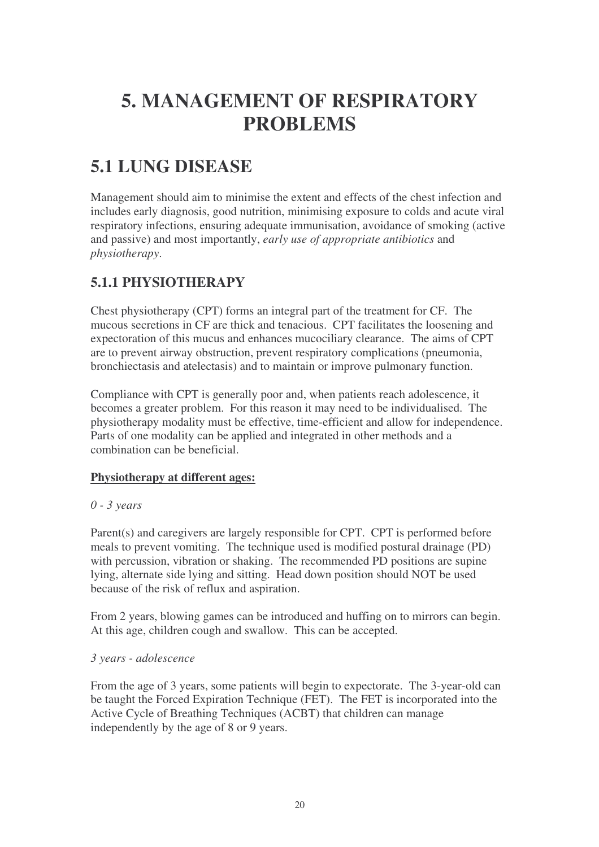# **5. MANAGEMENT OF RESPIRATORY PROBLEMS**

# **5.1 LUNG DISEASE**

Management should aim to minimise the extent and effects of the chest infection and includes early diagnosis, good nutrition, minimising exposure to colds and acute viral respiratory infections, ensuring adequate immunisation, avoidance of smoking (active and passive) and most importantly, *early use of appropriate antibiotics* and *physiotherapy*.

# **5.1.1 PHYSIOTHERAPY**

Chest physiotherapy (CPT) forms an integral part of the treatment for CF. The mucous secretions in CF are thick and tenacious. CPT facilitates the loosening and expectoration of this mucus and enhances mucociliary clearance. The aims of CPT are to prevent airway obstruction, prevent respiratory complications (pneumonia, bronchiectasis and atelectasis) and to maintain or improve pulmonary function.

Compliance with CPT is generally poor and, when patients reach adolescence, it becomes a greater problem. For this reason it may need to be individualised. The physiotherapy modality must be effective, time-efficient and allow for independence. Parts of one modality can be applied and integrated in other methods and a combination can be beneficial.

#### **Physiotherapy at different ages:**

#### *0 - 3 years*

Parent(s) and caregivers are largely responsible for CPT. CPT is performed before meals to prevent vomiting. The technique used is modified postural drainage (PD) with percussion, vibration or shaking. The recommended PD positions are supine lying, alternate side lying and sitting. Head down position should NOT be used because of the risk of reflux and aspiration.

From 2 years, blowing games can be introduced and huffing on to mirrors can begin. At this age, children cough and swallow. This can be accepted.

#### *3 years - adolescence*

From the age of 3 years, some patients will begin to expectorate. The 3-year-old can be taught the Forced Expiration Technique (FET). The FET is incorporated into the Active Cycle of Breathing Techniques (ACBT) that children can manage independently by the age of 8 or 9 years.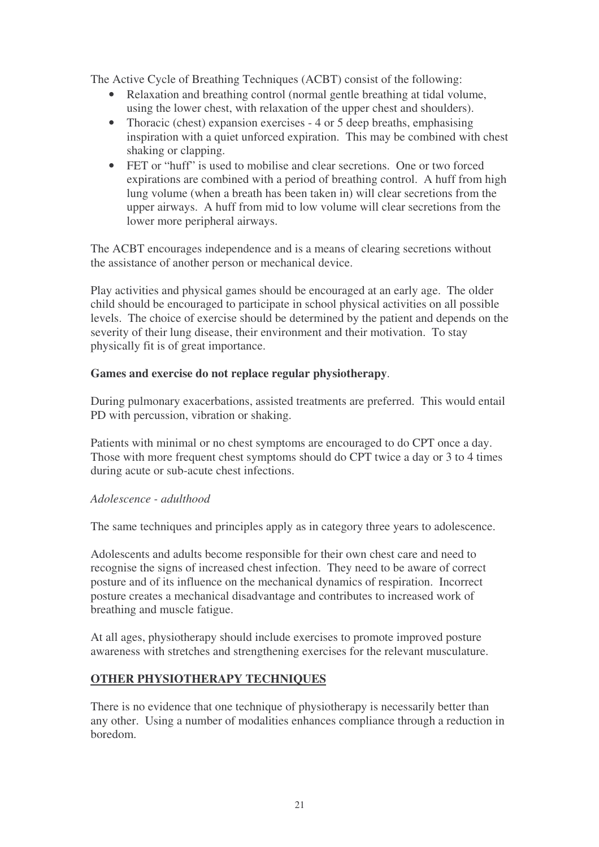The Active Cycle of Breathing Techniques (ACBT) consist of the following:

- Relaxation and breathing control (normal gentle breathing at tidal volume, using the lower chest, with relaxation of the upper chest and shoulders).
- Thoracic (chest) expansion exercises 4 or 5 deep breaths, emphasising inspiration with a quiet unforced expiration. This may be combined with chest shaking or clapping.
- FET or "huff" is used to mobilise and clear secretions. One or two forced expirations are combined with a period of breathing control. A huff from high lung volume (when a breath has been taken in) will clear secretions from the upper airways. A huff from mid to low volume will clear secretions from the lower more peripheral airways.

The ACBT encourages independence and is a means of clearing secretions without the assistance of another person or mechanical device.

Play activities and physical games should be encouraged at an early age. The older child should be encouraged to participate in school physical activities on all possible levels. The choice of exercise should be determined by the patient and depends on the severity of their lung disease, their environment and their motivation. To stay physically fit is of great importance.

#### **Games and exercise do not replace regular physiotherapy**.

During pulmonary exacerbations, assisted treatments are preferred. This would entail PD with percussion, vibration or shaking.

Patients with minimal or no chest symptoms are encouraged to do CPT once a day. Those with more frequent chest symptoms should do CPT twice a day or 3 to 4 times during acute or sub-acute chest infections.

#### *Adolescence - adulthood*

The same techniques and principles apply as in category three years to adolescence.

Adolescents and adults become responsible for their own chest care and need to recognise the signs of increased chest infection. They need to be aware of correct posture and of its influence on the mechanical dynamics of respiration. Incorrect posture creates a mechanical disadvantage and contributes to increased work of breathing and muscle fatigue.

At all ages, physiotherapy should include exercises to promote improved posture awareness with stretches and strengthening exercises for the relevant musculature.

#### **OTHER PHYSIOTHERAPY TECHNIQUES**

There is no evidence that one technique of physiotherapy is necessarily better than any other. Using a number of modalities enhances compliance through a reduction in boredom.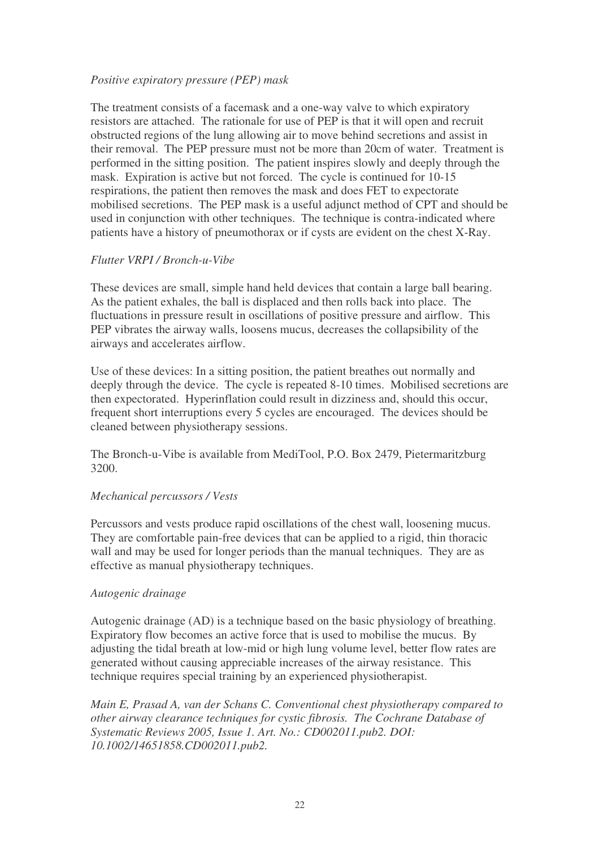#### *Positive expiratory pressure (PEP) mask*

The treatment consists of a facemask and a one-way valve to which expiratory resistors are attached. The rationale for use of PEP is that it will open and recruit obstructed regions of the lung allowing air to move behind secretions and assist in their removal. The PEP pressure must not be more than 20cm of water. Treatment is performed in the sitting position. The patient inspires slowly and deeply through the mask. Expiration is active but not forced. The cycle is continued for 10-15 respirations, the patient then removes the mask and does FET to expectorate mobilised secretions. The PEP mask is a useful adjunct method of CPT and should be used in conjunction with other techniques. The technique is contra-indicated where patients have a history of pneumothorax or if cysts are evident on the chest X-Ray.

#### *Flutter VRPI / Bronch-u-Vibe*

These devices are small, simple hand held devices that contain a large ball bearing. As the patient exhales, the ball is displaced and then rolls back into place. The fluctuations in pressure result in oscillations of positive pressure and airflow. This PEP vibrates the airway walls, loosens mucus, decreases the collapsibility of the airways and accelerates airflow.

Use of these devices: In a sitting position, the patient breathes out normally and deeply through the device. The cycle is repeated 8-10 times. Mobilised secretions are then expectorated. Hyperinflation could result in dizziness and, should this occur, frequent short interruptions every 5 cycles are encouraged. The devices should be cleaned between physiotherapy sessions.

The Bronch-u-Vibe is available from MediTool, P.O. Box 2479, Pietermaritzburg 3200.

#### *Mechanical percussors / Vests*

Percussors and vests produce rapid oscillations of the chest wall, loosening mucus. They are comfortable pain-free devices that can be applied to a rigid, thin thoracic wall and may be used for longer periods than the manual techniques. They are as effective as manual physiotherapy techniques.

#### *Autogenic drainage*

Autogenic drainage (AD) is a technique based on the basic physiology of breathing. Expiratory flow becomes an active force that is used to mobilise the mucus. By adjusting the tidal breath at low-mid or high lung volume level, better flow rates are generated without causing appreciable increases of the airway resistance. This technique requires special training by an experienced physiotherapist.

*Main E, Prasad A, van der Schans C. Conventional chest physiotherapy compared to other airway clearance techniques for cystic fibrosis. The Cochrane Database of Systematic Reviews 2005, Issue 1. Art. No.: CD002011.pub2. DOI: 10.1002/14651858.CD002011.pub2.*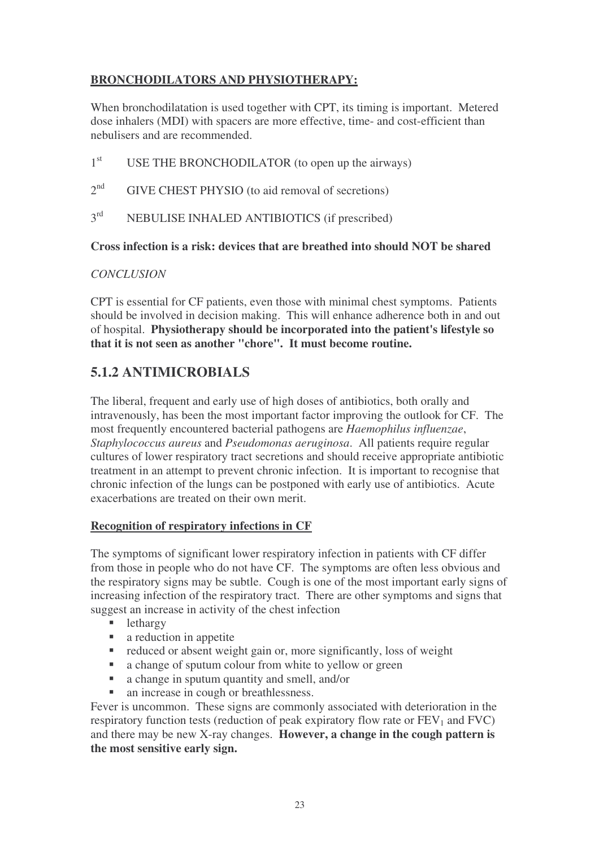### **BRONCHODILATORS AND PHYSIOTHERAPY:**

When bronchodilatation is used together with CPT, its timing is important. Metered dose inhalers (MDI) with spacers are more effective, time- and cost-efficient than nebulisers and are recommended.

- 1<sup>st</sup> USE THE BRONCHODILATOR (to open up the airways)
- $2^{nd}$ GIVE CHEST PHYSIO (to aid removal of secretions)
- $2^{rd}$ NEBULISE INHALED ANTIBIOTICS (if prescribed)

#### **Cross infection is a risk: devices that are breathed into should NOT be shared**

#### *CONCLUSION*

CPT is essential for CF patients, even those with minimal chest symptoms. Patients should be involved in decision making. This will enhance adherence both in and out of hospital. **Physiotherapy should be incorporated into the patient's lifestyle so that it is not seen as another "chore". It must become routine.**

# **5.1.2 ANTIMICROBIALS**

The liberal, frequent and early use of high doses of antibiotics, both orally and intravenously, has been the most important factor improving the outlook for CF. The most frequently encountered bacterial pathogens are *Haemophilus influenzae*, *Staphylococcus aureus* and *Pseudomonas aeruginosa*. All patients require regular cultures of lower respiratory tract secretions and should receive appropriate antibiotic treatment in an attempt to prevent chronic infection. It is important to recognise that chronic infection of the lungs can be postponed with early use of antibiotics. Acute exacerbations are treated on their own merit.

#### **Recognition of respiratory infections in CF**

The symptoms of significant lower respiratory infection in patients with CF differ from those in people who do not have CF. The symptoms are often less obvious and the respiratory signs may be subtle. Cough is one of the most important early signs of increasing infection of the respiratory tract. There are other symptoms and signs that suggest an increase in activity of the chest infection

- **lethargy**
- **a** reduction in appetite
- $\blacksquare$  reduced or absent weight gain or, more significantly, loss of weight
- a change of sputum colour from white to yellow or green
- a change in sputum quantity and smell, and/or
- an increase in cough or breathlessness.

Fever is uncommon. These signs are commonly associated with deterioration in the respiratory function tests (reduction of peak expiratory flow rate or  $FEV<sub>1</sub>$  and  $FVC$ ) and there may be new X-ray changes. **However, a change in the cough pattern is the most sensitive early sign.**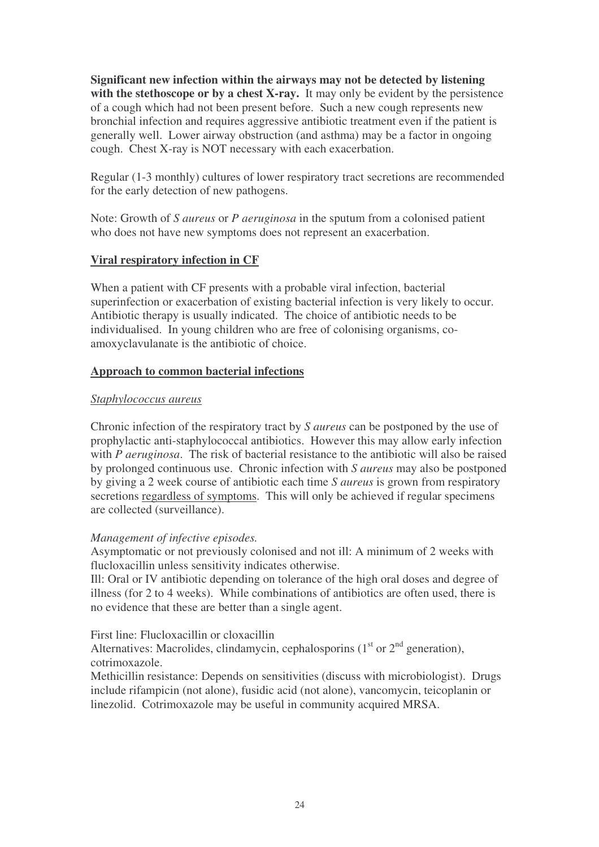**Significant new infection within the airways may not be detected by listening with the stethoscope or by a chest X-ray.** It may only be evident by the persistence of a cough which had not been present before. Such a new cough represents new bronchial infection and requires aggressive antibiotic treatment even if the patient is generally well. Lower airway obstruction (and asthma) may be a factor in ongoing cough. Chest X-ray is NOT necessary with each exacerbation.

Regular (1-3 monthly) cultures of lower respiratory tract secretions are recommended for the early detection of new pathogens.

Note: Growth of *S aureus* or *P aeruginosa* in the sputum from a colonised patient who does not have new symptoms does not represent an exacerbation.

#### **Viral respiratory infection in CF**

When a patient with CF presents with a probable viral infection, bacterial superinfection or exacerbation of existing bacterial infection is very likely to occur. Antibiotic therapy is usually indicated. The choice of antibiotic needs to be individualised. In young children who are free of colonising organisms, coamoxyclavulanate is the antibiotic of choice.

#### **Approach to common bacterial infections**

#### *Staphylococcus aureus*

Chronic infection of the respiratory tract by *S aureus* can be postponed by the use of prophylactic anti-staphylococcal antibiotics. However this may allow early infection with *P aeruginosa*. The risk of bacterial resistance to the antibiotic will also be raised by prolonged continuous use. Chronic infection with *S aureus* may also be postponed by giving a 2 week course of antibiotic each time *S aureus* is grown from respiratory secretions regardless of symptoms. This will only be achieved if regular specimens are collected (surveillance).

#### *Management of infective episodes.*

Asymptomatic or not previously colonised and not ill: A minimum of 2 weeks with flucloxacillin unless sensitivity indicates otherwise.

Ill: Oral or IV antibiotic depending on tolerance of the high oral doses and degree of illness (for 2 to 4 weeks). While combinations of antibiotics are often used, there is no evidence that these are better than a single agent.

#### First line: Flucloxacillin or cloxacillin

Alternatives: Macrolides, clindamycin, cephalosporins  $(1<sup>st</sup>$  or  $2<sup>nd</sup>$  generation), cotrimoxazole.

Methicillin resistance: Depends on sensitivities (discuss with microbiologist). Drugs include rifampicin (not alone), fusidic acid (not alone), vancomycin, teicoplanin or linezolid. Cotrimoxazole may be useful in community acquired MRSA.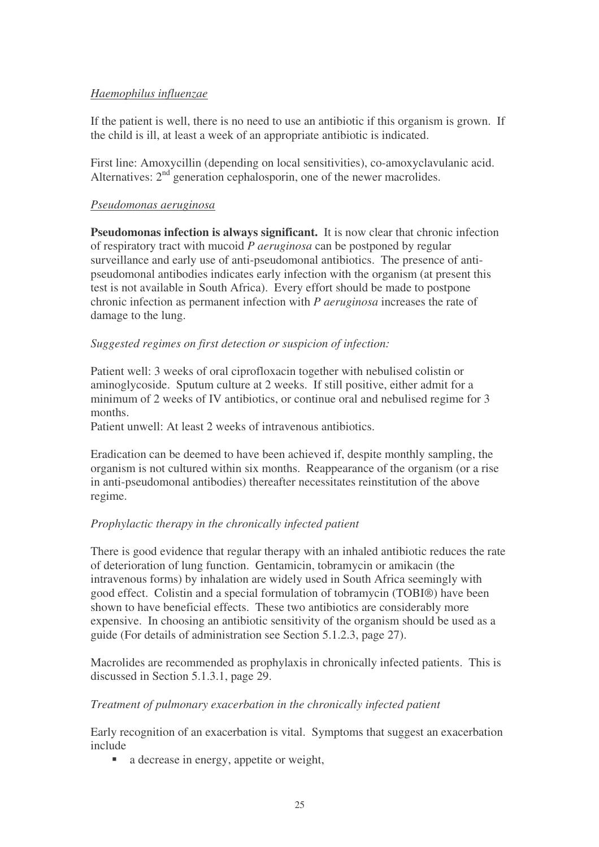#### *Haemophilus influenzae*

If the patient is well, there is no need to use an antibiotic if this organism is grown. If the child is ill, at least a week of an appropriate antibiotic is indicated.

First line: Amoxycillin (depending on local sensitivities), co-amoxyclavulanic acid. Alternatives:  $2<sup>nd</sup>$  generation cephalosporin, one of the newer macrolides.

#### *Pseudomonas aeruginosa*

**Pseudomonas infection is always significant.** It is now clear that chronic infection of respiratory tract with mucoid *P aeruginosa* can be postponed by regular surveillance and early use of anti-pseudomonal antibiotics. The presence of antipseudomonal antibodies indicates early infection with the organism (at present this test is not available in South Africa). Every effort should be made to postpone chronic infection as permanent infection with *P aeruginosa* increases the rate of damage to the lung.

#### *Suggested regimes on first detection or suspicion of infection:*

Patient well: 3 weeks of oral ciprofloxacin together with nebulised colistin or aminoglycoside. Sputum culture at 2 weeks. If still positive, either admit for a minimum of 2 weeks of IV antibiotics, or continue oral and nebulised regime for 3 months.

Patient unwell: At least 2 weeks of intravenous antibiotics.

Eradication can be deemed to have been achieved if, despite monthly sampling, the organism is not cultured within six months. Reappearance of the organism (or a rise in anti-pseudomonal antibodies) thereafter necessitates reinstitution of the above regime.

#### *Prophylactic therapy in the chronically infected patient*

There is good evidence that regular therapy with an inhaled antibiotic reduces the rate of deterioration of lung function. Gentamicin, tobramycin or amikacin (the intravenous forms) by inhalation are widely used in South Africa seemingly with good effect. Colistin and a special formulation of tobramycin (TOBI®) have been shown to have beneficial effects. These two antibiotics are considerably more expensive. In choosing an antibiotic sensitivity of the organism should be used as a guide (For details of administration see Section 5.1.2.3, page 27).

Macrolides are recommended as prophylaxis in chronically infected patients. This is discussed in Section 5.1.3.1, page 29.

#### *Treatment of pulmonary exacerbation in the chronically infected patient*

Early recognition of an exacerbation is vital. Symptoms that suggest an exacerbation include

• a decrease in energy, appetite or weight,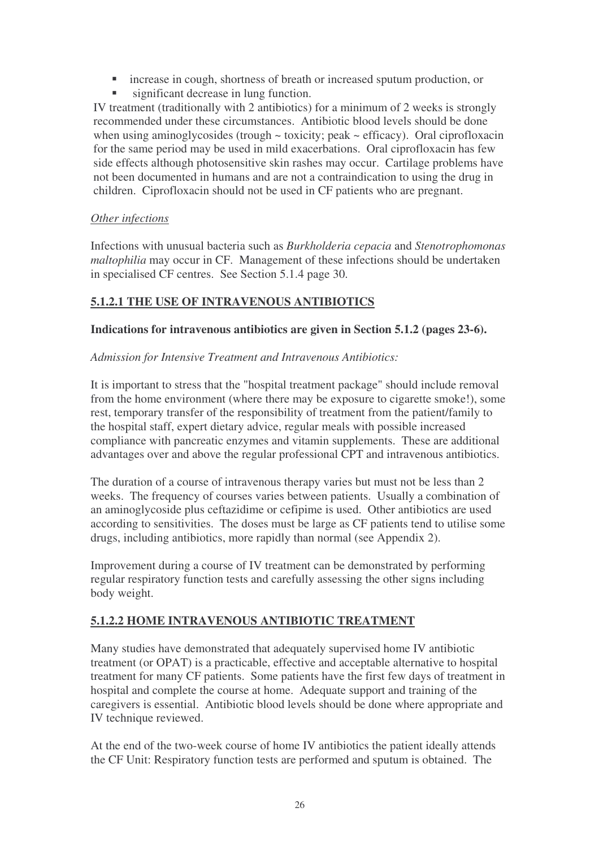- increase in cough, shortness of breath or increased sputum production, or
- significant decrease in lung function.

IV treatment (traditionally with 2 antibiotics) for a minimum of 2 weeks is strongly recommended under these circumstances. Antibiotic blood levels should be done when using aminoglycosides (trough ~ toxicity; peak ~ efficacy). Oral ciprofloxacin for the same period may be used in mild exacerbations. Oral ciprofloxacin has few side effects although photosensitive skin rashes may occur. Cartilage problems have not been documented in humans and are not a contraindication to using the drug in children. Ciprofloxacin should not be used in CF patients who are pregnant.

#### *Other infections*

Infections with unusual bacteria such as *Burkholderia cepacia* and *Stenotrophomonas maltophilia* may occur in CF. Management of these infections should be undertaken in specialised CF centres. See Section 5.1.4 page 30.

#### **5.1.2.1 THE USE OF INTRAVENOUS ANTIBIOTICS**

#### **Indications for intravenous antibiotics are given in Section 5.1.2 (pages 23-6).**

#### *Admission for Intensive Treatment and Intravenous Antibiotics:*

It is important to stress that the "hospital treatment package" should include removal from the home environment (where there may be exposure to cigarette smoke!), some rest, temporary transfer of the responsibility of treatment from the patient/family to the hospital staff, expert dietary advice, regular meals with possible increased compliance with pancreatic enzymes and vitamin supplements. These are additional advantages over and above the regular professional CPT and intravenous antibiotics.

The duration of a course of intravenous therapy varies but must not be less than 2 weeks. The frequency of courses varies between patients. Usually a combination of an aminoglycoside plus ceftazidime or cefipime is used. Other antibiotics are used according to sensitivities. The doses must be large as CF patients tend to utilise some drugs, including antibiotics, more rapidly than normal (see Appendix 2).

Improvement during a course of IV treatment can be demonstrated by performing regular respiratory function tests and carefully assessing the other signs including body weight.

#### **5.1.2.2 HOME INTRAVENOUS ANTIBIOTIC TREATMENT**

Many studies have demonstrated that adequately supervised home IV antibiotic treatment (or OPAT) is a practicable, effective and acceptable alternative to hospital treatment for many CF patients. Some patients have the first few days of treatment in hospital and complete the course at home. Adequate support and training of the caregivers is essential. Antibiotic blood levels should be done where appropriate and IV technique reviewed.

At the end of the two-week course of home IV antibiotics the patient ideally attends the CF Unit: Respiratory function tests are performed and sputum is obtained. The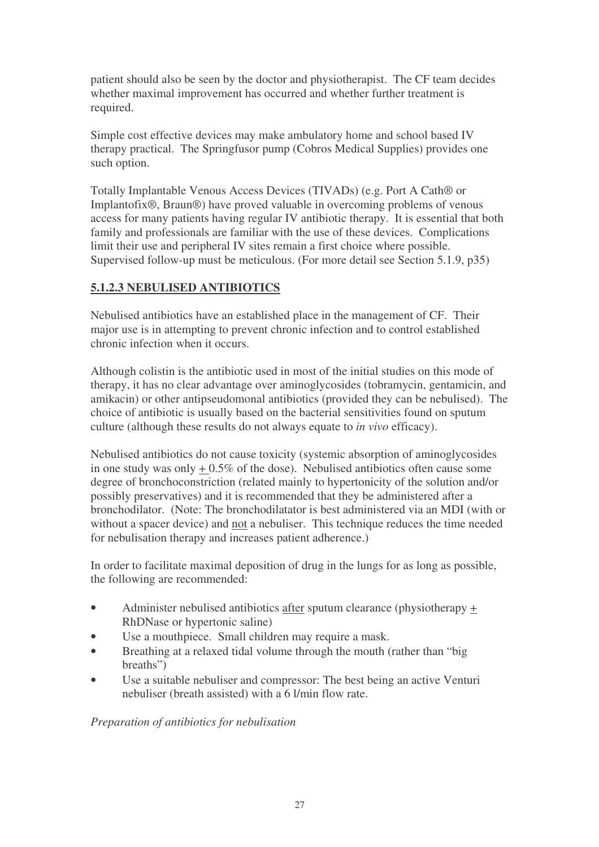patient should also be seen by the doctor and physiotherapist. The CF team decides whether maximal improvement has occurred and whether further treatment is required.

Simple cost effective devices may make ambulatory home and school based IV therapy practical. The Springfusor pump (Cobros Medical Supplies) provides one such option.

Totally Implantable Venous Access Devices (TIVADs) (e.g. Port A Cath® or Implantofix®, Braun®) have proved valuable in overcoming problems of venous access for many patients having regular IV antibiotic therapy. It is essential that both family and professionals are familiar with the use of these devices. Complications limit their use and peripheral IV sites remain a first choice where possible. Supervised follow-up must be meticulous. (For more detail see Section 5.1.9, p35)

#### **5.1.2.3 NEBULISED ANTIBIOTICS**

Nebulised antibiotics have an established place in the management of CF. Their major use is in attempting to prevent chronic infection and to control established chronic infection when it occurs.

Although colistin is the antibiotic used in most of the initial studies on this mode of therapy, it has no clear advantage over aminoglycosides (tobramycin, gentamicin, and amikacin) or other antipseudomonal antibiotics (provided they can be nebulised). The choice of antibiotic is usually based on the bacterial sensitivities found on sputum culture (although these results do not always equate to *in vivo* efficacy).

Nebulised antibiotics do not cause toxicity (systemic absorption of aminoglycosides in one study was only  $+0.5\%$  of the dose). Nebulised antibiotics often cause some degree of bronchoconstriction (related mainly to hypertonicity of the solution and/or possibly preservatives) and it is recommended that they be administered after a bronchodilator. (Note: The bronchodilatator is best administered via an MDI (with or without a spacer device) and not a nebuliser. This technique reduces the time needed for nebulisation therapy and increases patient adherence.)

In order to facilitate maximal deposition of drug in the lungs for as long as possible, the following are recommended:

- Administer nebulised antibiotics after sputum clearance (physiotherapy + RhDNase or hypertonic saline)
- Use a mouthpiece. Small children may require a mask.
- Breathing at a relaxed tidal volume through the mouth (rather than "big" breaths")
- Use a suitable nebuliser and compressor: The best being an active Venturi nebuliser (breath assisted) with a 6 l/min flow rate.

*Preparation of antibiotics for nebulisation*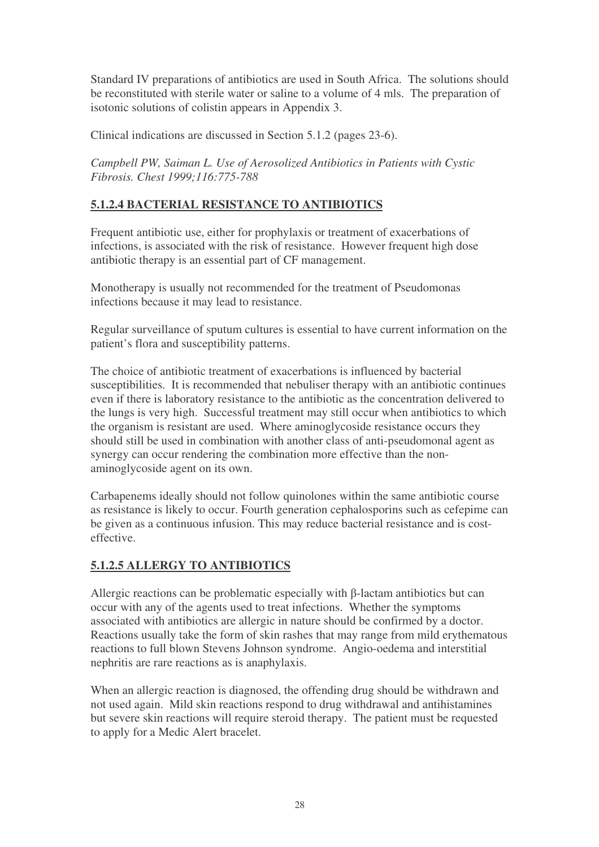Standard IV preparations of antibiotics are used in South Africa. The solutions should be reconstituted with sterile water or saline to a volume of 4 mls. The preparation of isotonic solutions of colistin appears in Appendix 3.

Clinical indications are discussed in Section 5.1.2 (pages 23-6).

*Campbell PW, Saiman L. Use of Aerosolized Antibiotics in Patients with Cystic Fibrosis. Chest 1999;116:775-788*

#### **5.1.2.4 BACTERIAL RESISTANCE TO ANTIBIOTICS**

Frequent antibiotic use, either for prophylaxis or treatment of exacerbations of infections, is associated with the risk of resistance. However frequent high dose antibiotic therapy is an essential part of CF management.

Monotherapy is usually not recommended for the treatment of Pseudomonas infections because it may lead to resistance.

Regular surveillance of sputum cultures is essential to have current information on the patient's flora and susceptibility patterns.

The choice of antibiotic treatment of exacerbations is influenced by bacterial susceptibilities. It is recommended that nebuliser therapy with an antibiotic continues even if there is laboratory resistance to the antibiotic as the concentration delivered to the lungs is very high. Successful treatment may still occur when antibiotics to which the organism is resistant are used. Where aminoglycoside resistance occurs they should still be used in combination with another class of anti-pseudomonal agent as synergy can occur rendering the combination more effective than the nonaminoglycoside agent on its own.

Carbapenems ideally should not follow quinolones within the same antibiotic course as resistance is likely to occur. Fourth generation cephalosporins such as cefepime can be given as a continuous infusion. This may reduce bacterial resistance and is costeffective.

#### **5.1.2.5 ALLERGY TO ANTIBIOTICS**

Allergic reactions can be problematic especially with  $\beta$ -lactam antibiotics but can occur with any of the agents used to treat infections. Whether the symptoms associated with antibiotics are allergic in nature should be confirmed by a doctor. Reactions usually take the form of skin rashes that may range from mild erythematous reactions to full blown Stevens Johnson syndrome. Angio-oedema and interstitial nephritis are rare reactions as is anaphylaxis.

When an allergic reaction is diagnosed, the offending drug should be withdrawn and not used again. Mild skin reactions respond to drug withdrawal and antihistamines but severe skin reactions will require steroid therapy. The patient must be requested to apply for a Medic Alert bracelet.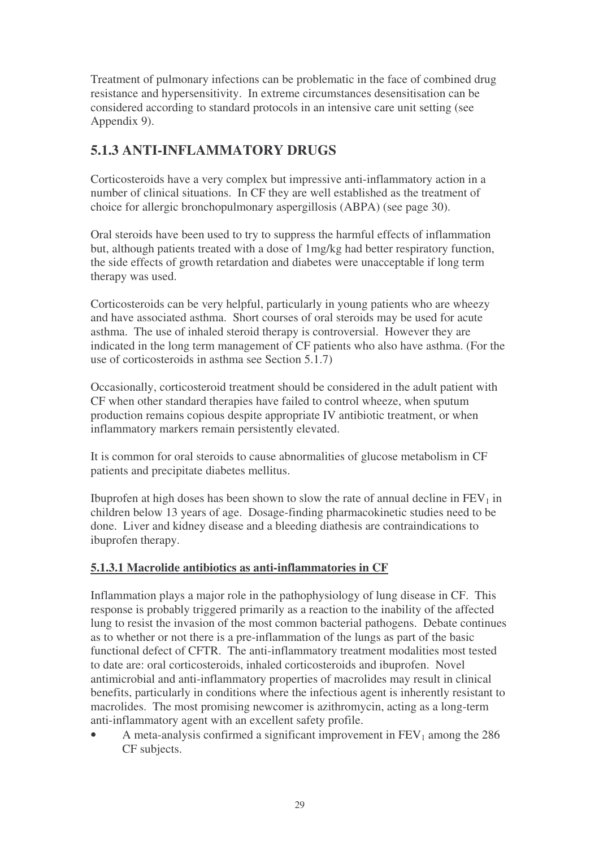Treatment of pulmonary infections can be problematic in the face of combined drug resistance and hypersensitivity. In extreme circumstances desensitisation can be considered according to standard protocols in an intensive care unit setting (see Appendix 9).

# **5.1.3 ANTI-INFLAMMATORY DRUGS**

Corticosteroids have a very complex but impressive anti-inflammatory action in a number of clinical situations. In CF they are well established as the treatment of choice for allergic bronchopulmonary aspergillosis (ABPA) (see page 30).

Oral steroids have been used to try to suppress the harmful effects of inflammation but, although patients treated with a dose of 1mg/kg had better respiratory function, the side effects of growth retardation and diabetes were unacceptable if long term therapy was used.

Corticosteroids can be very helpful, particularly in young patients who are wheezy and have associated asthma. Short courses of oral steroids may be used for acute asthma. The use of inhaled steroid therapy is controversial. However they are indicated in the long term management of CF patients who also have asthma. (For the use of corticosteroids in asthma see Section 5.1.7)

Occasionally, corticosteroid treatment should be considered in the adult patient with CF when other standard therapies have failed to control wheeze, when sputum production remains copious despite appropriate IV antibiotic treatment, or when inflammatory markers remain persistently elevated.

It is common for oral steroids to cause abnormalities of glucose metabolism in CF patients and precipitate diabetes mellitus.

Ibuprofen at high doses has been shown to slow the rate of annual decline in  $FEV<sub>1</sub>$  in children below 13 years of age. Dosage-finding pharmacokinetic studies need to be done. Liver and kidney disease and a bleeding diathesis are contraindications to ibuprofen therapy.

#### **5.1.3.1 Macrolide antibiotics as anti-inflammatories in CF**

Inflammation plays a major role in the pathophysiology of lung disease in CF. This response is probably triggered primarily as a reaction to the inability of the affected lung to resist the invasion of the most common bacterial pathogens. Debate continues as to whether or not there is a pre-inflammation of the lungs as part of the basic functional defect of CFTR. The anti-inflammatory treatment modalities most tested to date are: oral corticosteroids, inhaled corticosteroids and ibuprofen. Novel antimicrobial and anti-inflammatory properties of macrolides may result in clinical benefits, particularly in conditions where the infectious agent is inherently resistant to macrolides. The most promising newcomer is azithromycin, acting as a long-term anti-inflammatory agent with an excellent safety profile.

A meta-analysis confirmed a significant improvement in  $FEV<sub>1</sub>$  among the 286 CF subjects.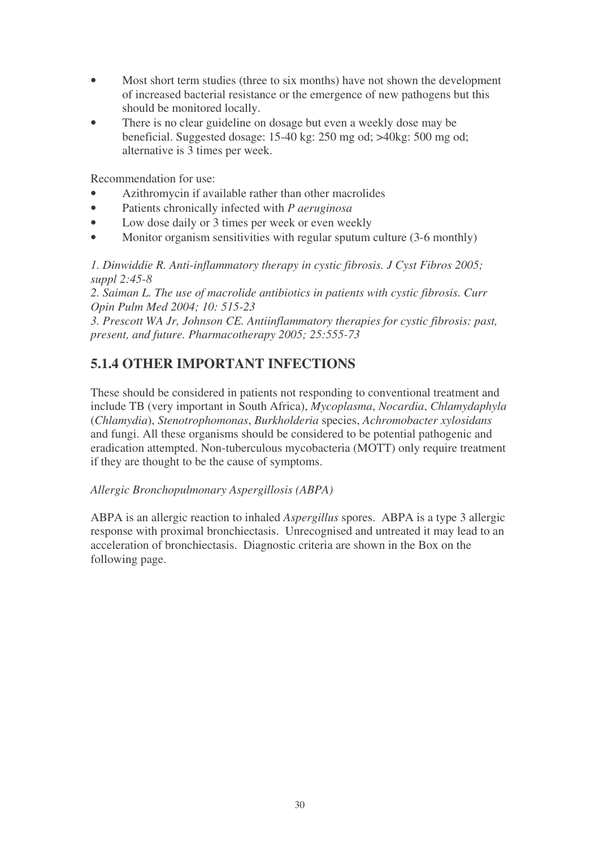- Most short term studies (three to six months) have not shown the development of increased bacterial resistance or the emergence of new pathogens but this should be monitored locally.
- There is no clear guideline on dosage but even a weekly dose may be beneficial. Suggested dosage: 15-40 kg: 250 mg od; >40kg: 500 mg od; alternative is 3 times per week.

Recommendation for use:

- Azithromycin if available rather than other macrolides
- Patients chronically infected with *P aeruginosa*
- Low dose daily or 3 times per week or even weekly
- Monitor organism sensitivities with regular sputum culture (3-6 monthly)

*1. Dinwiddie R. Anti-inflammatory therapy in cystic fibrosis. J Cyst Fibros 2005; suppl 2:45-8*

*2. Saiman L. The use of macrolide antibiotics in patients with cystic fibrosis. Curr Opin Pulm Med 2004; 10: 515-23*

*3. Prescott WA Jr, Johnson CE. Antiinflammatory therapies for cystic fibrosis: past, present, and future. Pharmacotherapy 2005; 25:555-73*

# **5.1.4 OTHER IMPORTANT INFECTIONS**

These should be considered in patients not responding to conventional treatment and include TB (very important in South Africa), *Mycoplasma*, *Nocardia*, *Chlamydaphyla* (*Chlamydia*), *Stenotrophomonas*, *Burkholderia* species, *Achromobacter xylosidans* and fungi. All these organisms should be considered to be potential pathogenic and eradication attempted. Non-tuberculous mycobacteria (MOTT) only require treatment if they are thought to be the cause of symptoms.

*Allergic Bronchopulmonary Aspergillosis (ABPA)*

ABPA is an allergic reaction to inhaled *Aspergillus* spores. ABPA is a type 3 allergic response with proximal bronchiectasis. Unrecognised and untreated it may lead to an acceleration of bronchiectasis. Diagnostic criteria are shown in the Box on the following page.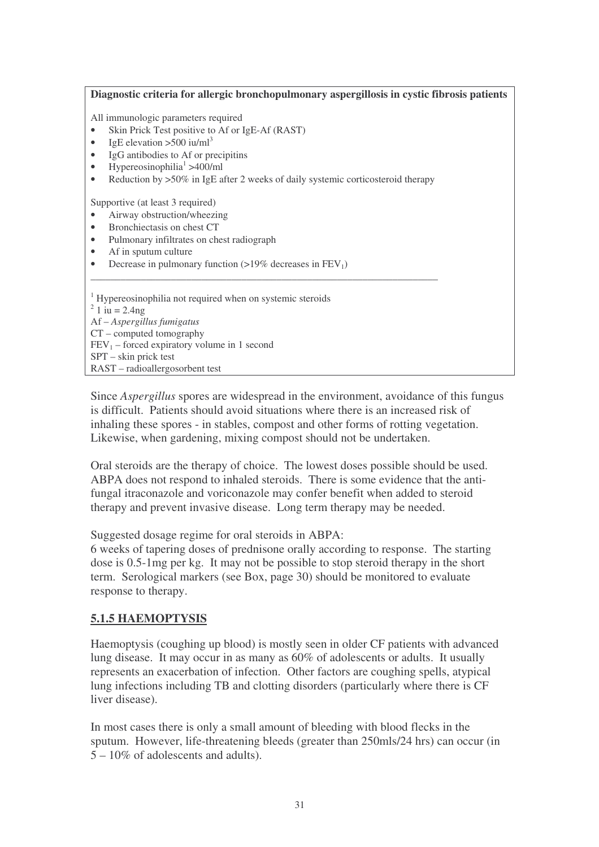| Diagnostic criteria for allergic bronchopulmonary aspergillosis in cystic fibrosis patients                                                                                                                                                                                                                                                             |
|---------------------------------------------------------------------------------------------------------------------------------------------------------------------------------------------------------------------------------------------------------------------------------------------------------------------------------------------------------|
| All immunologic parameters required<br>Skin Prick Test positive to Af or IgE-Af (RAST)<br>IgE elevation >500 iu/ml <sup>3</sup><br>$\bullet$<br>IgG antibodies to Af or precipitins<br>$\bullet$<br>Hypereosinophilia <sup>1</sup> >400/ml<br>$\bullet$<br>Reduction by >50% in IgE after 2 weeks of daily systemic corticosteroid therapy<br>$\bullet$ |
| Supportive (at least 3 required)<br>Airway obstruction/wheezing<br>Bronchiectasis on chest CT<br>$\bullet$<br>Pulmonary infiltrates on chest radiograph<br>٠<br>Af in sputum culture<br>$\bullet$<br>Decrease in pulmonary function $(>19\%$ decreases in FEV <sub>1</sub> )                                                                            |
| <sup>1</sup> Hypereosinophilia not required when on systemic steroids<br>$^{2}$ 1 iu = 2.4ng<br>$Af-Aspergillus fumigatus$<br>$CT$ – computed tomography<br>$FEV1$ – forced expiratory volume in 1 second<br>$SPT - skin$ prick test<br>RAST – radioallergosorbent test                                                                                 |

Since *Aspergillus* spores are widespread in the environment, avoidance of this fungus is difficult. Patients should avoid situations where there is an increased risk of inhaling these spores - in stables, compost and other forms of rotting vegetation. Likewise, when gardening, mixing compost should not be undertaken.

Oral steroids are the therapy of choice. The lowest doses possible should be used. ABPA does not respond to inhaled steroids. There is some evidence that the antifungal itraconazole and voriconazole may confer benefit when added to steroid therapy and prevent invasive disease. Long term therapy may be needed.

Suggested dosage regime for oral steroids in ABPA:

6 weeks of tapering doses of prednisone orally according to response. The starting dose is 0.5-1mg per kg. It may not be possible to stop steroid therapy in the short term. Serological markers (see Box, page 30) should be monitored to evaluate response to therapy.

#### **5.1.5 HAEMOPTYSIS**

Haemoptysis (coughing up blood) is mostly seen in older CF patients with advanced lung disease. It may occur in as many as 60% of adolescents or adults. It usually represents an exacerbation of infection. Other factors are coughing spells, atypical lung infections including TB and clotting disorders (particularly where there is CF liver disease).

In most cases there is only a small amount of bleeding with blood flecks in the sputum. However, life-threatening bleeds (greater than 250mls/24 hrs) can occur (in 5 – 10% of adolescents and adults).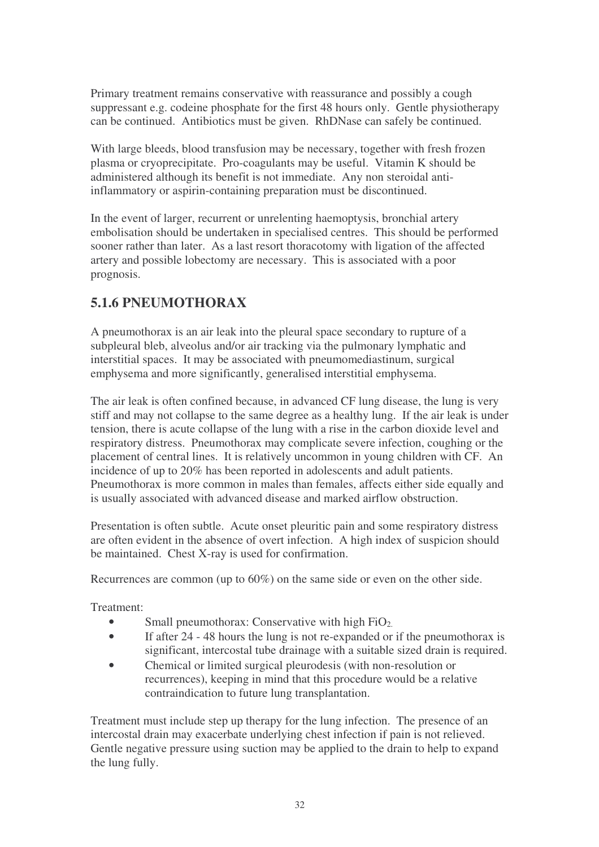Primary treatment remains conservative with reassurance and possibly a cough suppressant e.g. codeine phosphate for the first 48 hours only. Gentle physiotherapy can be continued. Antibiotics must be given. RhDNase can safely be continued.

With large bleeds, blood transfusion may be necessary, together with fresh frozen plasma or cryoprecipitate. Pro-coagulants may be useful. Vitamin K should be administered although its benefit is not immediate. Any non steroidal antiinflammatory or aspirin-containing preparation must be discontinued.

In the event of larger, recurrent or unrelenting haemoptysis, bronchial artery embolisation should be undertaken in specialised centres. This should be performed sooner rather than later. As a last resort thoracotomy with ligation of the affected artery and possible lobectomy are necessary. This is associated with a poor prognosis.

# **5.1.6 PNEUMOTHORAX**

A pneumothorax is an air leak into the pleural space secondary to rupture of a subpleural bleb, alveolus and/or air tracking via the pulmonary lymphatic and interstitial spaces. It may be associated with pneumomediastinum, surgical emphysema and more significantly, generalised interstitial emphysema.

The air leak is often confined because, in advanced CF lung disease, the lung is very stiff and may not collapse to the same degree as a healthy lung. If the air leak is under tension, there is acute collapse of the lung with a rise in the carbon dioxide level and respiratory distress. Pneumothorax may complicate severe infection, coughing or the placement of central lines. It is relatively uncommon in young children with CF. An incidence of up to 20% has been reported in adolescents and adult patients. Pneumothorax is more common in males than females, affects either side equally and is usually associated with advanced disease and marked airflow obstruction.

Presentation is often subtle. Acute onset pleuritic pain and some respiratory distress are often evident in the absence of overt infection. A high index of suspicion should be maintained. Chest X-ray is used for confirmation.

Recurrences are common (up to 60%) on the same side or even on the other side.

Treatment:

- Small pneumothorax: Conservative with high  $FiO<sub>2</sub>$ .
- If after 24 48 hours the lung is not re-expanded or if the pneumothorax is significant, intercostal tube drainage with a suitable sized drain is required.
- Chemical or limited surgical pleurodesis (with non-resolution or recurrences), keeping in mind that this procedure would be a relative contraindication to future lung transplantation.

Treatment must include step up therapy for the lung infection. The presence of an intercostal drain may exacerbate underlying chest infection if pain is not relieved. Gentle negative pressure using suction may be applied to the drain to help to expand the lung fully.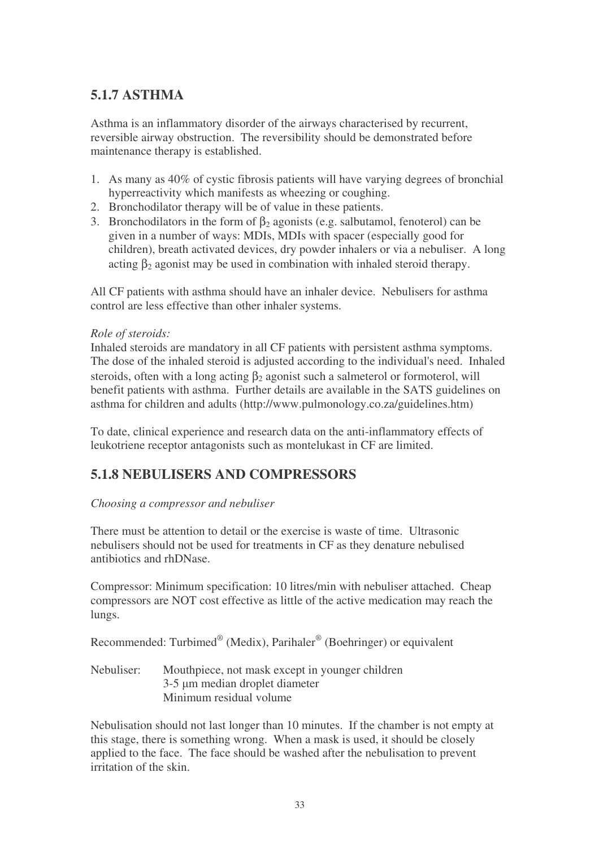# **5.1.7 ASTHMA**

Asthma is an inflammatory disorder of the airways characterised by recurrent, reversible airway obstruction. The reversibility should be demonstrated before maintenance therapy is established.

- 1. As many as 40% of cystic fibrosis patients will have varying degrees of bronchial hyperreactivity which manifests as wheezing or coughing.
- 2. Bronchodilator therapy will be of value in these patients.
- 3. Bronchodilators in the form of  $\beta_2$  agonists (e.g. salbutamol, fenoterol) can be given in a number of ways: MDIs, MDIs with spacer (especially good for children), breath activated devices, dry powder inhalers or via a nebuliser. A long acting  $\beta_2$  agonist may be used in combination with inhaled steroid therapy.

All CF patients with asthma should have an inhaler device. Nebulisers for asthma control are less effective than other inhaler systems.

#### *Role of steroids:*

Inhaled steroids are mandatory in all CF patients with persistent asthma symptoms. The dose of the inhaled steroid is adjusted according to the individual's need. Inhaled steroids, often with a long acting  $\beta_2$  agonist such a salmeterol or formoterol, will benefit patients with asthma. Further details are available in the SATS guidelines on asthma for children and adults (http://www.pulmonology.co.za/guidelines.htm)

To date, clinical experience and research data on the anti-inflammatory effects of leukotriene receptor antagonists such as montelukast in CF are limited.

# **5.1.8 NEBULISERS AND COMPRESSORS**

#### *Choosing a compressor and nebuliser*

There must be attention to detail or the exercise is waste of time. Ultrasonic nebulisers should not be used for treatments in CF as they denature nebulised antibiotics and rhDNase.

Compressor: Minimum specification: 10 litres/min with nebuliser attached. Cheap compressors are NOT cost effective as little of the active medication may reach the lungs.

Recommended: Turbimed® (Medix), Parihaler<sup>®</sup> (Boehringer) or equivalent

Nebuliser: Mouthpiece, not mask except in younger children 3-5 um median droplet diameter Minimum residual volume

Nebulisation should not last longer than 10 minutes. If the chamber is not empty at this stage, there is something wrong. When a mask is used, it should be closely applied to the face. The face should be washed after the nebulisation to prevent irritation of the skin.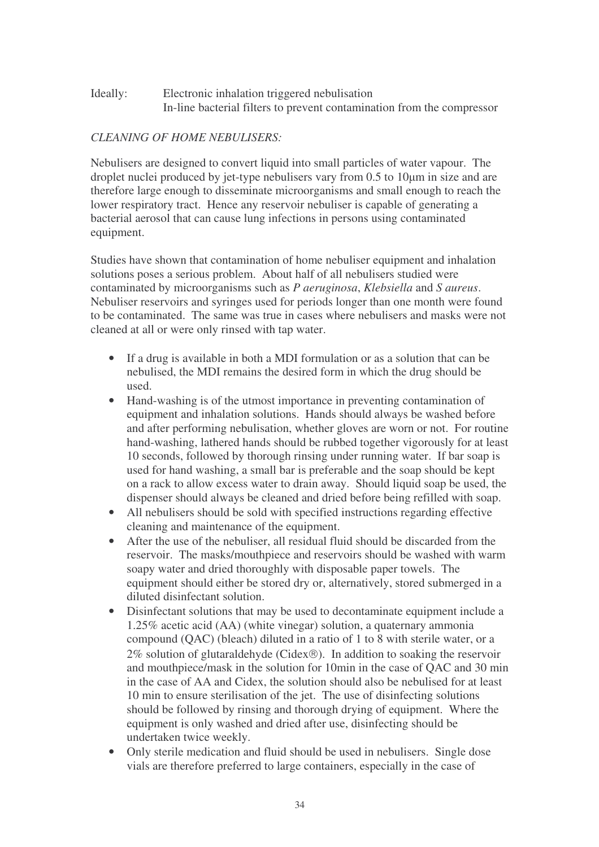#### Ideally: Electronic inhalation triggered nebulisation In-line bacterial filters to prevent contamination from the compressor

#### *CLEANING OF HOME NEBULISERS:*

Nebulisers are designed to convert liquid into small particles of water vapour. The droplet nuclei produced by jet-type nebulisers vary from  $0.5$  to  $10 \mu m$  in size and are therefore large enough to disseminate microorganisms and small enough to reach the lower respiratory tract. Hence any reservoir nebuliser is capable of generating a bacterial aerosol that can cause lung infections in persons using contaminated equipment.

Studies have shown that contamination of home nebuliser equipment and inhalation solutions poses a serious problem. About half of all nebulisers studied were contaminated by microorganisms such as *P aeruginosa*, *Klebsiella* and *S aureus*. Nebuliser reservoirs and syringes used for periods longer than one month were found to be contaminated. The same was true in cases where nebulisers and masks were not cleaned at all or were only rinsed with tap water.

- If a drug is available in both a MDI formulation or as a solution that can be nebulised, the MDI remains the desired form in which the drug should be used.
- Hand-washing is of the utmost importance in preventing contamination of equipment and inhalation solutions. Hands should always be washed before and after performing nebulisation, whether gloves are worn or not. For routine hand-washing, lathered hands should be rubbed together vigorously for at least 10 seconds, followed by thorough rinsing under running water. If bar soap is used for hand washing, a small bar is preferable and the soap should be kept on a rack to allow excess water to drain away. Should liquid soap be used, the dispenser should always be cleaned and dried before being refilled with soap.
- All nebulisers should be sold with specified instructions regarding effective cleaning and maintenance of the equipment.
- After the use of the nebuliser, all residual fluid should be discarded from the reservoir. The masks/mouthpiece and reservoirs should be washed with warm soapy water and dried thoroughly with disposable paper towels. The equipment should either be stored dry or, alternatively, stored submerged in a diluted disinfectant solution.
- Disinfectant solutions that may be used to decontaminate equipment include a 1.25% acetic acid (AA) (white vinegar) solution, a quaternary ammonia compound (QAC) (bleach) diluted in a ratio of 1 to 8 with sterile water, or a  $2\%$  solution of glutaraldehyde (Cidex®). In addition to soaking the reservoir and mouthpiece/mask in the solution for 10min in the case of QAC and 30 min in the case of AA and Cidex, the solution should also be nebulised for at least 10 min to ensure sterilisation of the jet. The use of disinfecting solutions should be followed by rinsing and thorough drying of equipment. Where the equipment is only washed and dried after use, disinfecting should be undertaken twice weekly.
- Only sterile medication and fluid should be used in nebulisers. Single dose vials are therefore preferred to large containers, especially in the case of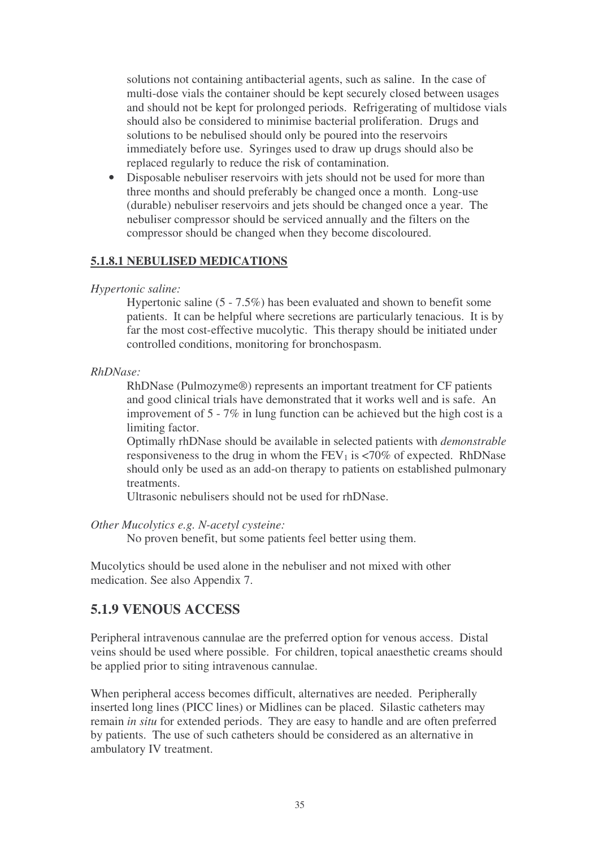solutions not containing antibacterial agents, such as saline. In the case of multi-dose vials the container should be kept securely closed between usages and should not be kept for prolonged periods. Refrigerating of multidose vials should also be considered to minimise bacterial proliferation. Drugs and solutions to be nebulised should only be poured into the reservoirs immediately before use. Syringes used to draw up drugs should also be replaced regularly to reduce the risk of contamination.

• Disposable nebuliser reservoirs with jets should not be used for more than three months and should preferably be changed once a month. Long-use (durable) nebuliser reservoirs and jets should be changed once a year. The nebuliser compressor should be serviced annually and the filters on the compressor should be changed when they become discoloured.

#### **5.1.8.1 NEBULISED MEDICATIONS**

#### *Hypertonic saline:*

Hypertonic saline (5 - 7.5%) has been evaluated and shown to benefit some patients. It can be helpful where secretions are particularly tenacious. It is by far the most cost-effective mucolytic. This therapy should be initiated under controlled conditions, monitoring for bronchospasm.

#### *RhDNase:*

RhDNase (Pulmozyme®) represents an important treatment for CF patients and good clinical trials have demonstrated that it works well and is safe. An improvement of 5 - 7% in lung function can be achieved but the high cost is a limiting factor.

Optimally rhDNase should be available in selected patients with *demonstrable* responsiveness to the drug in whom the  $FEV<sub>1</sub>$  is <70% of expected. RhDNase should only be used as an add-on therapy to patients on established pulmonary treatments.

Ultrasonic nebulisers should not be used for rhDNase.

*Other Mucolytics e.g. N-acetyl cysteine:*

No proven benefit, but some patients feel better using them.

Mucolytics should be used alone in the nebuliser and not mixed with other medication. See also Appendix 7.

#### **5.1.9 VENOUS ACCESS**

Peripheral intravenous cannulae are the preferred option for venous access. Distal veins should be used where possible. For children, topical anaesthetic creams should be applied prior to siting intravenous cannulae.

When peripheral access becomes difficult, alternatives are needed. Peripherally inserted long lines (PICC lines) or Midlines can be placed. Silastic catheters may remain *in situ* for extended periods. They are easy to handle and are often preferred by patients. The use of such catheters should be considered as an alternative in ambulatory IV treatment.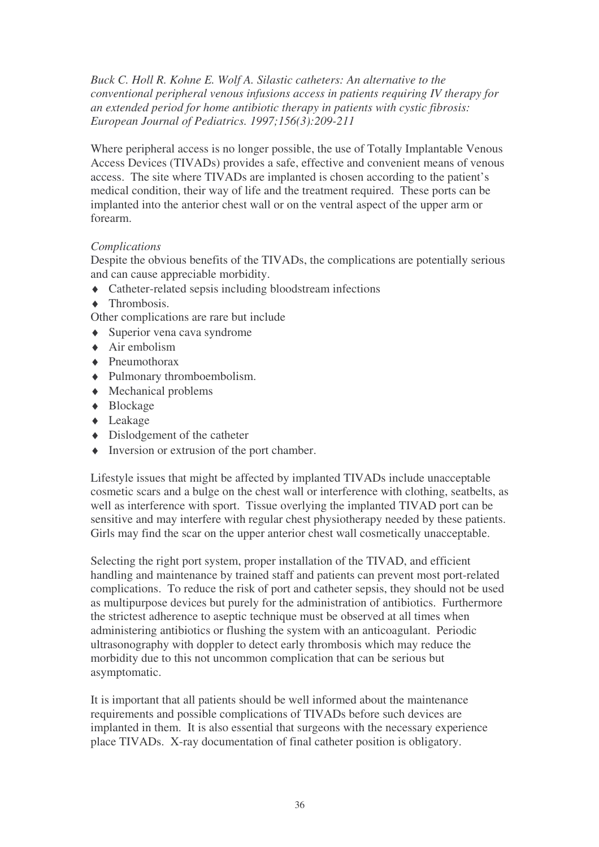*Buck C. Holl R. Kohne E. Wolf A. Silastic catheters: An alternative to the conventional peripheral venous infusions access in patients requiring IV therapy for an extended period for home antibiotic therapy in patients with cystic fibrosis: European Journal of Pediatrics. 1997;156(3):209-211*

Where peripheral access is no longer possible, the use of Totally Implantable Venous Access Devices (TIVADs) provides a safe, effective and convenient means of venous access. The site where TIVADs are implanted is chosen according to the patient's medical condition, their way of life and the treatment required. These ports can be implanted into the anterior chest wall or on the ventral aspect of the upper arm or forearm.

#### *Complications*

Despite the obvious benefits of the TIVADs, the complications are potentially serious and can cause appreciable morbidity.

- ♦ Catheter-related sepsis including bloodstream infections
- ♦ Thrombosis.
- Other complications are rare but include
- $\triangle$  Superior vena cava syndrome
- ♦ Air embolism
- ♦ Pneumothorax
- ♦ Pulmonary thromboembolism.
- ♦ Mechanical problems
- ♦ Blockage
- ♦ Leakage
- $\rightarrow$  Dislodgement of the catheter
- ♦ Inversion or extrusion of the port chamber.

Lifestyle issues that might be affected by implanted TIVADs include unacceptable cosmetic scars and a bulge on the chest wall or interference with clothing, seatbelts, as well as interference with sport. Tissue overlying the implanted TIVAD port can be sensitive and may interfere with regular chest physiotherapy needed by these patients. Girls may find the scar on the upper anterior chest wall cosmetically unacceptable.

Selecting the right port system, proper installation of the TIVAD, and efficient handling and maintenance by trained staff and patients can prevent most port-related complications. To reduce the risk of port and catheter sepsis, they should not be used as multipurpose devices but purely for the administration of antibiotics. Furthermore the strictest adherence to aseptic technique must be observed at all times when administering antibiotics or flushing the system with an anticoagulant. Periodic ultrasonography with doppler to detect early thrombosis which may reduce the morbidity due to this not uncommon complication that can be serious but asymptomatic.

It is important that all patients should be well informed about the maintenance requirements and possible complications of TIVADs before such devices are implanted in them. It is also essential that surgeons with the necessary experience place TIVADs. X-ray documentation of final catheter position is obligatory.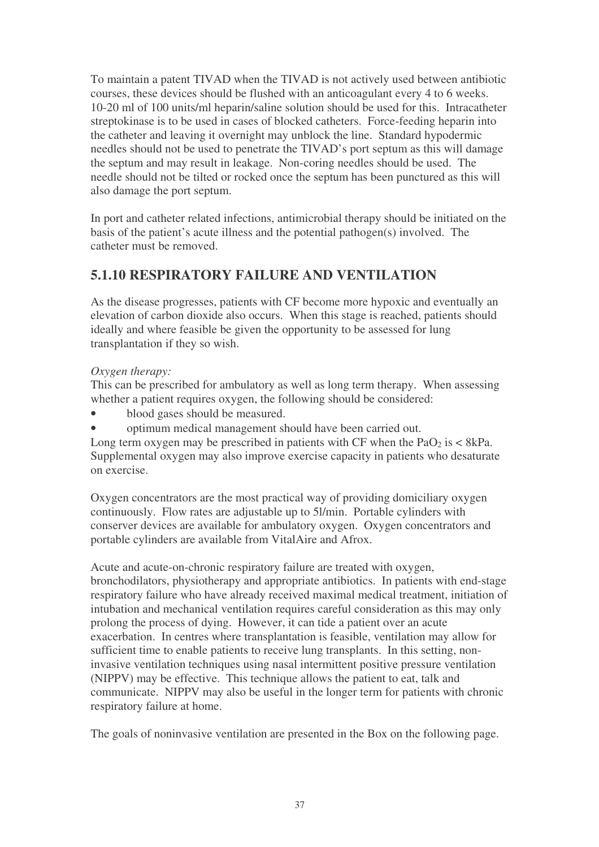To maintain a patent TIVAD when the TIVAD is not actively used between antibiotic courses, these devices should be flushed with an anticoagulant every 4 to 6 weeks. 10-20 ml of 100 units/ml heparin/saline solution should be used for this. Intracatheter streptokinase is to be used in cases of blocked catheters. Force-feeding heparin into the catheter and leaving it overnight may unblock the line. Standard hypodermic needles should not be used to penetrate the TIVAD's port septum as this will damage the septum and may result in leakage. Non-coring needles should be used. The needle should not be tilted or rocked once the septum has been punctured as this will also damage the port septum.

In port and catheter related infections, antimicrobial therapy should be initiated on the basis of the patient's acute illness and the potential pathogen(s) involved. The catheter must be removed.

# **5.1.10 RESPIRATORY FAILURE AND VENTILATION**

As the disease progresses, patients with CF become more hypoxic and eventually an elevation of carbon dioxide also occurs. When this stage is reached, patients should ideally and where feasible be given the opportunity to be assessed for lung transplantation if they so wish.

#### *Oxygen therapy:*

This can be prescribed for ambulatory as well as long term therapy. When assessing whether a patient requires oxygen, the following should be considered:

- blood gases should be measured.
- optimum medical management should have been carried out.

Long term oxygen may be prescribed in patients with CF when the  $PaO<sub>2</sub>$  is  $\lt 8kPa$ . Supplemental oxygen may also improve exercise capacity in patients who desaturate on exercise.

Oxygen concentrators are the most practical way of providing domiciliary oxygen continuously. Flow rates are adjustable up to 5l/min. Portable cylinders with conserver devices are available for ambulatory oxygen. Oxygen concentrators and portable cylinders are available from VitalAire and Afrox.

Acute and acute-on-chronic respiratory failure are treated with oxygen, bronchodilators, physiotherapy and appropriate antibiotics. In patients with end-stage respiratory failure who have already received maximal medical treatment, initiation of intubation and mechanical ventilation requires careful consideration as this may only prolong the process of dying. However, it can tide a patient over an acute exacerbation. In centres where transplantation is feasible, ventilation may allow for sufficient time to enable patients to receive lung transplants. In this setting, noninvasive ventilation techniques using nasal intermittent positive pressure ventilation (NIPPV) may be effective. This technique allows the patient to eat, talk and communicate. NIPPV may also be useful in the longer term for patients with chronic respiratory failure at home.

The goals of noninvasive ventilation are presented in the Box on the following page.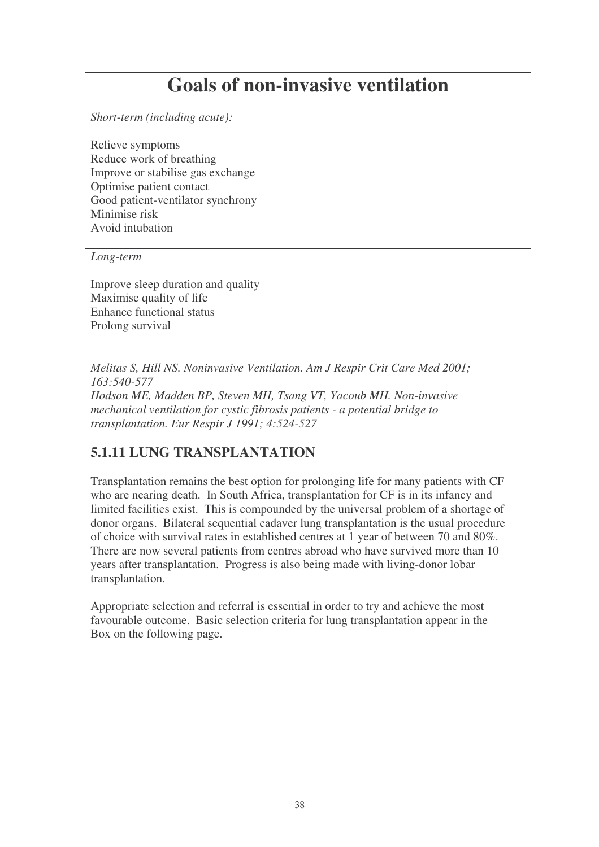# **Goals of non-invasive ventilation**

*Short-term (including acute):*

Relieve symptoms Reduce work of breathing Improve or stabilise gas exchange Optimise patient contact Good patient-ventilator synchrony Minimise risk Avoid intubation

*Long-term*

Improve sleep duration and quality Maximise quality of life Enhance functional status Prolong survival

*Melitas S, Hill NS. Noninvasive Ventilation. Am J Respir Crit Care Med 2001; 163:540-577 Hodson ME, Madden BP, Steven MH, Tsang VT, Yacoub MH. Non-invasive mechanical ventilation for cystic fibrosis patients - a potential bridge to transplantation. Eur Respir J 1991; 4:524-527*

# **5.1.11 LUNG TRANSPLANTATION**

Transplantation remains the best option for prolonging life for many patients with CF who are nearing death. In South Africa, transplantation for CF is in its infancy and limited facilities exist. This is compounded by the universal problem of a shortage of donor organs. Bilateral sequential cadaver lung transplantation is the usual procedure of choice with survival rates in established centres at 1 year of between 70 and 80%. There are now several patients from centres abroad who have survived more than 10 years after transplantation. Progress is also being made with living-donor lobar transplantation.

Appropriate selection and referral is essential in order to try and achieve the most favourable outcome. Basic selection criteria for lung transplantation appear in the Box on the following page.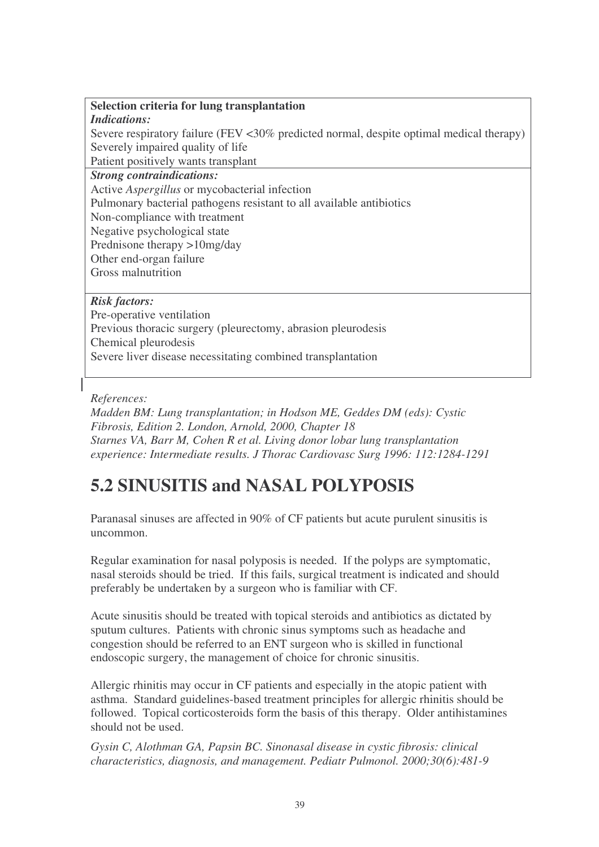#### **Selection criteria for lung transplantation**

#### *Indications:*

Severe respiratory failure (FEV <30% predicted normal, despite optimal medical therapy) Severely impaired quality of life

Patient positively wants transplant

#### *Strong contraindications:*

Active *Aspergillus* or mycobacterial infection

Pulmonary bacterial pathogens resistant to all available antibiotics

Non-compliance with treatment

Negative psychological state

Prednisone therapy >10mg/day

Other end-organ failure

Gross malnutrition

#### *Risk factors:*

Pre-operative ventilation Previous thoracic surgery (pleurectomy, abrasion pleurodesis Chemical pleurodesis Severe liver disease necessitating combined transplantation

#### *References:*

*Madden BM: Lung transplantation; in Hodson ME, Geddes DM (eds): Cystic Fibrosis, Edition 2. London, Arnold, 2000, Chapter 18 Starnes VA, Barr M, Cohen R et al. Living donor lobar lung transplantation experience: Intermediate results. J Thorac Cardiovasc Surg 1996: 112:1284-1291*

# **5.2 SINUSITIS and NASAL POLYPOSIS**

Paranasal sinuses are affected in 90% of CF patients but acute purulent sinusitis is uncommon.

Regular examination for nasal polyposis is needed. If the polyps are symptomatic, nasal steroids should be tried. If this fails, surgical treatment is indicated and should preferably be undertaken by a surgeon who is familiar with CF.

Acute sinusitis should be treated with topical steroids and antibiotics as dictated by sputum cultures. Patients with chronic sinus symptoms such as headache and congestion should be referred to an ENT surgeon who is skilled in functional endoscopic surgery, the management of choice for chronic sinusitis.

Allergic rhinitis may occur in CF patients and especially in the atopic patient with asthma. Standard guidelines-based treatment principles for allergic rhinitis should be followed. Topical corticosteroids form the basis of this therapy. Older antihistamines should not be used.

*Gysin C, Alothman GA, Papsin BC. Sinonasal disease in cystic fibrosis: clinical characteristics, diagnosis, and management. Pediatr Pulmonol. 2000;30(6):481-9*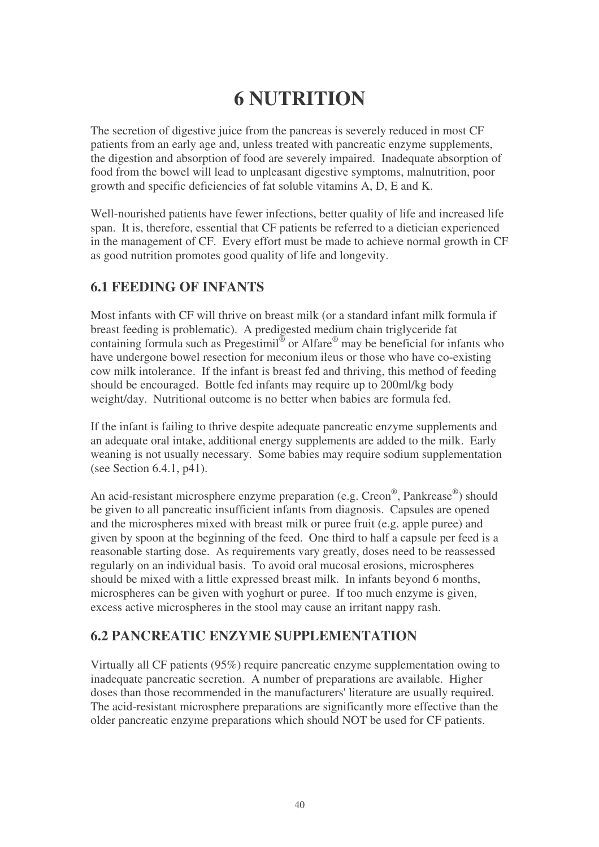# **6 NUTRITION**

The secretion of digestive juice from the pancreas is severely reduced in most CF patients from an early age and, unless treated with pancreatic enzyme supplements, the digestion and absorption of food are severely impaired. Inadequate absorption of food from the bowel will lead to unpleasant digestive symptoms, malnutrition, poor growth and specific deficiencies of fat soluble vitamins A, D, E and K.

Well-nourished patients have fewer infections, better quality of life and increased life span. It is, therefore, essential that CF patients be referred to a dietician experienced in the management of CF. Every effort must be made to achieve normal growth in CF as good nutrition promotes good quality of life and longevity.

## **6.1 FEEDING OF INFANTS**

Most infants with CF will thrive on breast milk (or a standard infant milk formula if breast feeding is problematic). A predigested medium chain triglyceride fat containing formula such as Pregestimil<sup>®</sup> or Alfare<sup>®</sup> may be beneficial for infants who have undergone bowel resection for meconium ileus or those who have co-existing cow milk intolerance. If the infant is breast fed and thriving, this method of feeding should be encouraged. Bottle fed infants may require up to 200ml/kg body weight/day. Nutritional outcome is no better when babies are formula fed.

If the infant is failing to thrive despite adequate pancreatic enzyme supplements and an adequate oral intake, additional energy supplements are added to the milk. Early weaning is not usually necessary. Some babies may require sodium supplementation (see Section 6.4.1, p41).

An acid-resistant microsphere enzyme preparation (e.g. Creon®, Pankrease®) should be given to all pancreatic insufficient infants from diagnosis. Capsules are opened and the microspheres mixed with breast milk or puree fruit (e.g. apple puree) and given by spoon at the beginning of the feed. One third to half a capsule per feed is a reasonable starting dose. As requirements vary greatly, doses need to be reassessed regularly on an individual basis. To avoid oral mucosal erosions, microspheres should be mixed with a little expressed breast milk. In infants beyond 6 months, microspheres can be given with yoghurt or puree. If too much enzyme is given, excess active microspheres in the stool may cause an irritant nappy rash.

## **6.2 PANCREATIC ENZYME SUPPLEMENTATION**

Virtually all CF patients (95%) require pancreatic enzyme supplementation owing to inadequate pancreatic secretion. A number of preparations are available. Higher doses than those recommended in the manufacturers' literature are usually required. The acid-resistant microsphere preparations are significantly more effective than the older pancreatic enzyme preparations which should NOT be used for CF patients.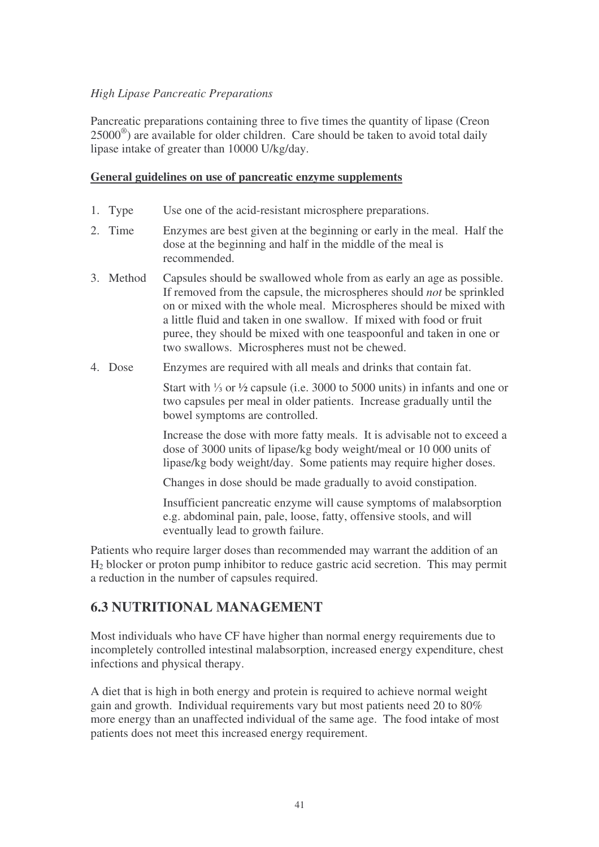#### *High Lipase Pancreatic Preparations*

Pancreatic preparations containing three to five times the quantity of lipase (Creon 25000<sup>®</sup>) are available for older children. Care should be taken to avoid total daily lipase intake of greater than 10000 U/kg/day.

#### **General guidelines on use of pancreatic enzyme supplements**

- 1. Type Use one of the acid-resistant microsphere preparations.
- 2. Time Enzymes are best given at the beginning or early in the meal. Half the dose at the beginning and half in the middle of the meal is recommended.
- 3. Method Capsules should be swallowed whole from as early an age as possible. If removed from the capsule, the microspheres should *not* be sprinkled on or mixed with the whole meal. Microspheres should be mixed with a little fluid and taken in one swallow. If mixed with food or fruit puree, they should be mixed with one teaspoonful and taken in one or two swallows. Microspheres must not be chewed.
- 4. Dose Enzymes are required with all meals and drinks that contain fat.

Start with  $\frac{1}{3}$  or  $\frac{1}{2}$  capsule (i.e. 3000 to 5000 units) in infants and one or two capsules per meal in older patients. Increase gradually until the bowel symptoms are controlled.

Increase the dose with more fatty meals. It is advisable not to exceed a dose of 3000 units of lipase/kg body weight/meal or 10 000 units of lipase/kg body weight/day. Some patients may require higher doses.

Changes in dose should be made gradually to avoid constipation.

Insufficient pancreatic enzyme will cause symptoms of malabsorption e.g. abdominal pain, pale, loose, fatty, offensive stools, and will eventually lead to growth failure.

Patients who require larger doses than recommended may warrant the addition of an H<sup>2</sup> blocker or proton pump inhibitor to reduce gastric acid secretion. This may permit a reduction in the number of capsules required.

#### **6.3 NUTRITIONAL MANAGEMENT**

Most individuals who have CF have higher than normal energy requirements due to incompletely controlled intestinal malabsorption, increased energy expenditure, chest infections and physical therapy.

A diet that is high in both energy and protein is required to achieve normal weight gain and growth. Individual requirements vary but most patients need 20 to 80% more energy than an unaffected individual of the same age. The food intake of most patients does not meet this increased energy requirement.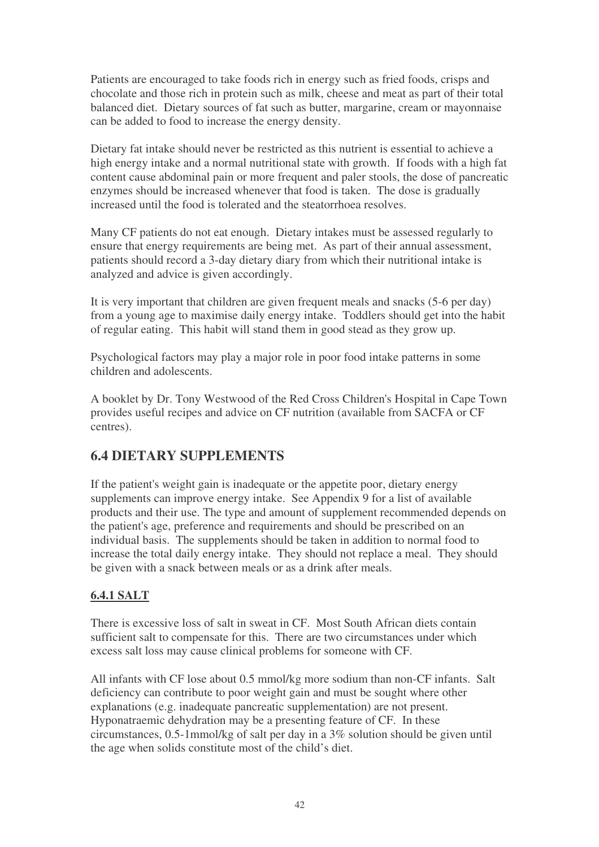Patients are encouraged to take foods rich in energy such as fried foods, crisps and chocolate and those rich in protein such as milk, cheese and meat as part of their total balanced diet. Dietary sources of fat such as butter, margarine, cream or mayonnaise can be added to food to increase the energy density.

Dietary fat intake should never be restricted as this nutrient is essential to achieve a high energy intake and a normal nutritional state with growth. If foods with a high fat content cause abdominal pain or more frequent and paler stools, the dose of pancreatic enzymes should be increased whenever that food is taken. The dose is gradually increased until the food is tolerated and the steatorrhoea resolves.

Many CF patients do not eat enough. Dietary intakes must be assessed regularly to ensure that energy requirements are being met. As part of their annual assessment, patients should record a 3-day dietary diary from which their nutritional intake is analyzed and advice is given accordingly.

It is very important that children are given frequent meals and snacks (5-6 per day) from a young age to maximise daily energy intake. Toddlers should get into the habit of regular eating. This habit will stand them in good stead as they grow up.

Psychological factors may play a major role in poor food intake patterns in some children and adolescents.

A booklet by Dr. Tony Westwood of the Red Cross Children's Hospital in Cape Town provides useful recipes and advice on CF nutrition (available from SACFA or CF centres).

## **6.4 DIETARY SUPPLEMENTS**

If the patient's weight gain is inadequate or the appetite poor, dietary energy supplements can improve energy intake. See Appendix 9 for a list of available products and their use. The type and amount of supplement recommended depends on the patient's age, preference and requirements and should be prescribed on an individual basis. The supplements should be taken in addition to normal food to increase the total daily energy intake. They should not replace a meal. They should be given with a snack between meals or as a drink after meals.

#### **6.4.1 SALT**

There is excessive loss of salt in sweat in CF. Most South African diets contain sufficient salt to compensate for this. There are two circumstances under which excess salt loss may cause clinical problems for someone with CF.

All infants with CF lose about 0.5 mmol/kg more sodium than non-CF infants. Salt deficiency can contribute to poor weight gain and must be sought where other explanations (e.g. inadequate pancreatic supplementation) are not present. Hyponatraemic dehydration may be a presenting feature of CF. In these circumstances, 0.5-1mmol/kg of salt per day in a 3% solution should be given until the age when solids constitute most of the child's diet.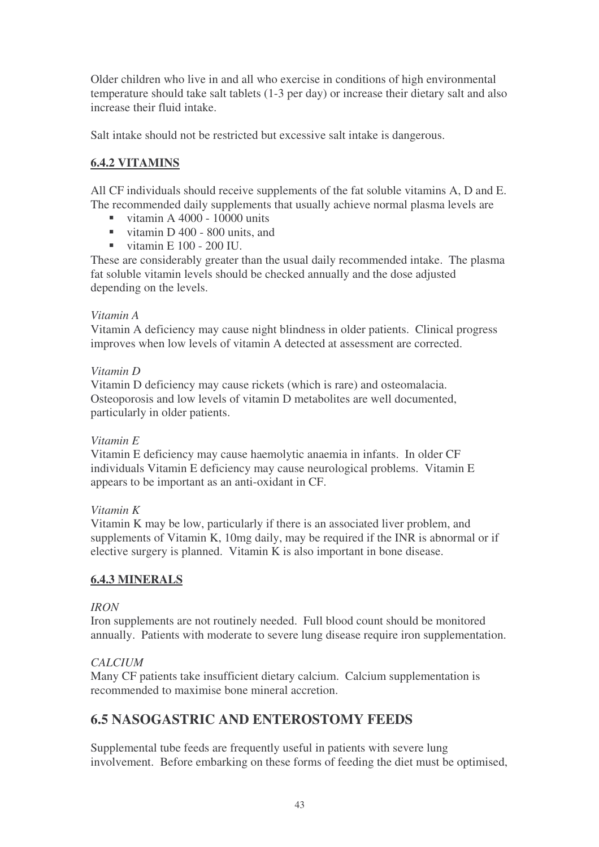Older children who live in and all who exercise in conditions of high environmental temperature should take salt tablets (1-3 per day) or increase their dietary salt and also increase their fluid intake.

Salt intake should not be restricted but excessive salt intake is dangerous.

### **6.4.2 VITAMINS**

All CF individuals should receive supplements of the fat soluble vitamins A, D and E. The recommended daily supplements that usually achieve normal plasma levels are

- vitamin A 4000 10000 units
- vitamin D 400 800 units, and
- vitamin E  $100 200$  IU.

These are considerably greater than the usual daily recommended intake. The plasma fat soluble vitamin levels should be checked annually and the dose adjusted depending on the levels.

#### *Vitamin A*

Vitamin A deficiency may cause night blindness in older patients. Clinical progress improves when low levels of vitamin A detected at assessment are corrected.

#### *Vitamin D*

Vitamin D deficiency may cause rickets (which is rare) and osteomalacia. Osteoporosis and low levels of vitamin D metabolites are well documented, particularly in older patients.

#### *Vitamin E*

Vitamin E deficiency may cause haemolytic anaemia in infants. In older CF individuals Vitamin E deficiency may cause neurological problems. Vitamin E appears to be important as an anti-oxidant in CF.

#### *Vitamin K*

Vitamin K may be low, particularly if there is an associated liver problem, and supplements of Vitamin K, 10mg daily, may be required if the INR is abnormal or if elective surgery is planned. Vitamin K is also important in bone disease.

#### **6.4.3 MINERALS**

#### *IRON*

Iron supplements are not routinely needed. Full blood count should be monitored annually. Patients with moderate to severe lung disease require iron supplementation.

#### *CALCIUM*

Many CF patients take insufficient dietary calcium. Calcium supplementation is recommended to maximise bone mineral accretion.

## **6.5 NASOGASTRIC AND ENTEROSTOMY FEEDS**

Supplemental tube feeds are frequently useful in patients with severe lung involvement. Before embarking on these forms of feeding the diet must be optimised,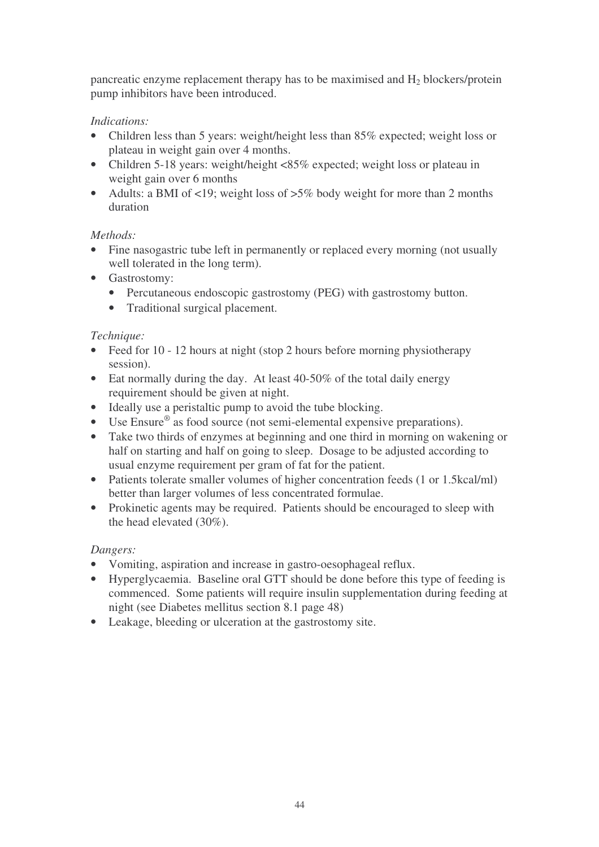pancreatic enzyme replacement therapy has to be maximised and H<sup>2</sup> blockers/protein pump inhibitors have been introduced.

#### *Indications:*

- Children less than 5 years: weight/height less than 85% expected; weight loss or plateau in weight gain over 4 months.
- Children 5-18 years: weight/height <85% expected; weight loss or plateau in weight gain over 6 months
- Adults: a BMI of <19; weight loss of >5% body weight for more than 2 months duration

### *Methods:*

- Fine nasogastric tube left in permanently or replaced every morning (not usually well tolerated in the long term).
- Gastrostomy:
	- Percutaneous endoscopic gastrostomy (PEG) with gastrostomy button.
	- Traditional surgical placement.

### *Technique:*

- Feed for 10 12 hours at night (stop 2 hours before morning physiotherapy session).
- Eat normally during the day. At least 40-50% of the total daily energy requirement should be given at night.
- Ideally use a peristaltic pump to avoid the tube blocking.
- Use Ensure<sup>®</sup> as food source (not semi-elemental expensive preparations).
- Take two thirds of enzymes at beginning and one third in morning on wakening or half on starting and half on going to sleep. Dosage to be adjusted according to usual enzyme requirement per gram of fat for the patient.
- Patients tolerate smaller volumes of higher concentration feeds (1 or 1.5kcal/ml) better than larger volumes of less concentrated formulae.
- Prokinetic agents may be required. Patients should be encouraged to sleep with the head elevated (30%).

#### *Dangers:*

- Vomiting, aspiration and increase in gastro-oesophageal reflux.
- Hyperglycaemia. Baseline oral GTT should be done before this type of feeding is commenced. Some patients will require insulin supplementation during feeding at night (see Diabetes mellitus section 8.1 page 48)
- Leakage, bleeding or ulceration at the gastrostomy site.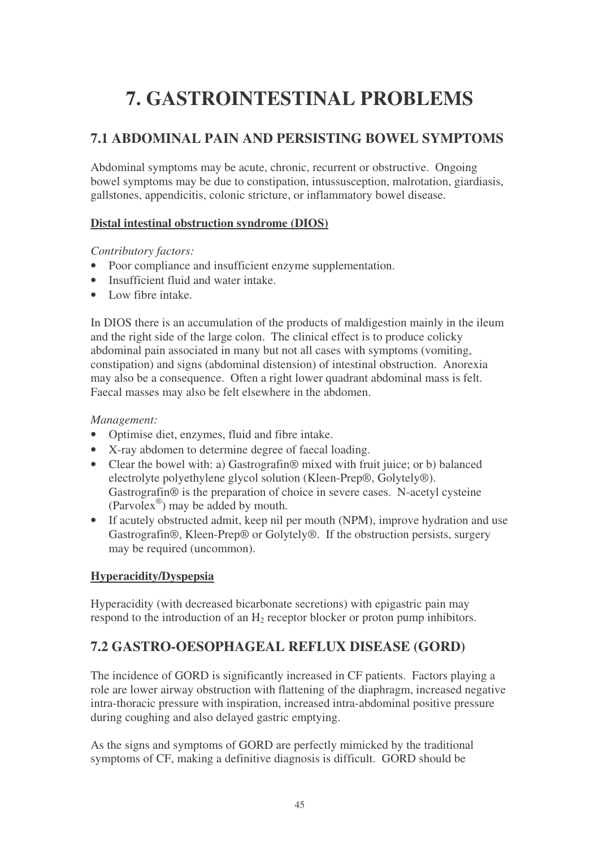# **7. GASTROINTESTINAL PROBLEMS**

# **7.1 ABDOMINAL PAIN AND PERSISTING BOWEL SYMPTOMS**

Abdominal symptoms may be acute, chronic, recurrent or obstructive. Ongoing bowel symptoms may be due to constipation, intussusception, malrotation, giardiasis, gallstones, appendicitis, colonic stricture, or inflammatory bowel disease.

#### **Distal intestinal obstruction syndrome (DIOS)**

*Contributory factors:*

- Poor compliance and insufficient enzyme supplementation.
- Insufficient fluid and water intake.
- Low fibre intake.

In DIOS there is an accumulation of the products of maldigestion mainly in the ileum and the right side of the large colon. The clinical effect is to produce colicky abdominal pain associated in many but not all cases with symptoms (vomiting, constipation) and signs (abdominal distension) of intestinal obstruction. Anorexia may also be a consequence. Often a right lower quadrant abdominal mass is felt. Faecal masses may also be felt elsewhere in the abdomen.

#### *Management:*

- Optimise diet, enzymes, fluid and fibre intake.
- X-ray abdomen to determine degree of faecal loading.
- Clear the bowel with: a) Gastrografin® mixed with fruit juice; or b) balanced electrolyte polyethylene glycol solution (Kleen-Prep®, Golytely®). Gastrografin® is the preparation of choice in severe cases. N-acetyl cysteine (Parvolex ® ) may be added by mouth.
- If acutely obstructed admit, keep nil per mouth (NPM), improve hydration and use Gastrografin®, Kleen-Prep® or Golytely®. If the obstruction persists, surgery may be required (uncommon).

#### **Hyperacidity/Dyspepsia**

Hyperacidity (with decreased bicarbonate secretions) with epigastric pain may respond to the introduction of an  $H_2$  receptor blocker or proton pump inhibitors.

# **7.2 GASTRO-OESOPHAGEAL REFLUX DISEASE (GORD)**

The incidence of GORD is significantly increased in CF patients. Factors playing a role are lower airway obstruction with flattening of the diaphragm, increased negative intra-thoracic pressure with inspiration, increased intra-abdominal positive pressure during coughing and also delayed gastric emptying.

As the signs and symptoms of GORD are perfectly mimicked by the traditional symptoms of CF, making a definitive diagnosis is difficult. GORD should be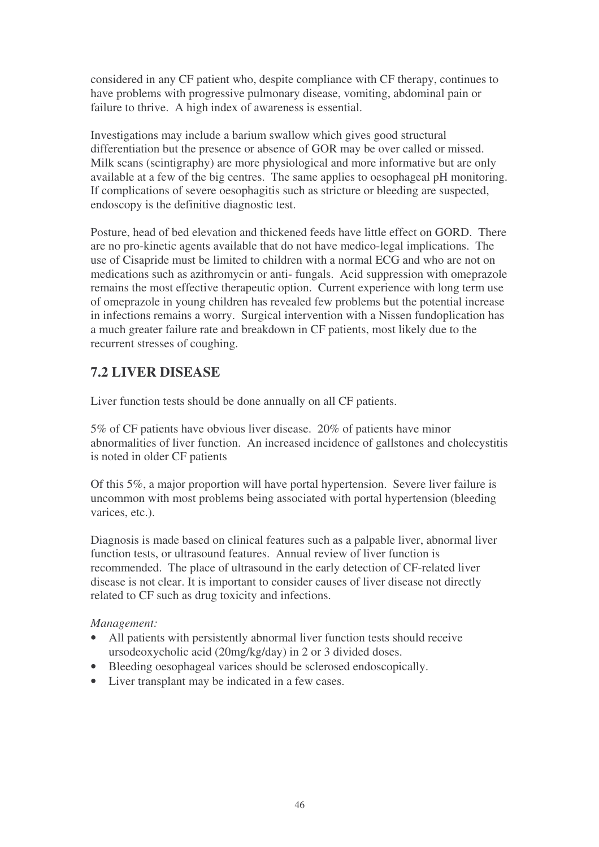considered in any CF patient who, despite compliance with CF therapy, continues to have problems with progressive pulmonary disease, vomiting, abdominal pain or failure to thrive. A high index of awareness is essential.

Investigations may include a barium swallow which gives good structural differentiation but the presence or absence of GOR may be over called or missed. Milk scans (scintigraphy) are more physiological and more informative but are only available at a few of the big centres. The same applies to oesophageal pH monitoring. If complications of severe oesophagitis such as stricture or bleeding are suspected, endoscopy is the definitive diagnostic test.

Posture, head of bed elevation and thickened feeds have little effect on GORD. There are no pro-kinetic agents available that do not have medico-legal implications. The use of Cisapride must be limited to children with a normal ECG and who are not on medications such as azithromycin or anti- fungals. Acid suppression with omeprazole remains the most effective therapeutic option. Current experience with long term use of omeprazole in young children has revealed few problems but the potential increase in infections remains a worry. Surgical intervention with a Nissen fundoplication has a much greater failure rate and breakdown in CF patients, most likely due to the recurrent stresses of coughing.

# **7.2 LIVER DISEASE**

Liver function tests should be done annually on all CF patients.

5% of CF patients have obvious liver disease. 20% of patients have minor abnormalities of liver function. An increased incidence of gallstones and cholecystitis is noted in older CF patients

Of this 5%, a major proportion will have portal hypertension. Severe liver failure is uncommon with most problems being associated with portal hypertension (bleeding varices, etc.).

Diagnosis is made based on clinical features such as a palpable liver, abnormal liver function tests, or ultrasound features. Annual review of liver function is recommended. The place of ultrasound in the early detection of CF-related liver disease is not clear. It is important to consider causes of liver disease not directly related to CF such as drug toxicity and infections.

#### *Management:*

- All patients with persistently abnormal liver function tests should receive ursodeoxycholic acid (20mg/kg/day) in 2 or 3 divided doses.
- Bleeding oesophageal varices should be sclerosed endoscopically.
- Liver transplant may be indicated in a few cases.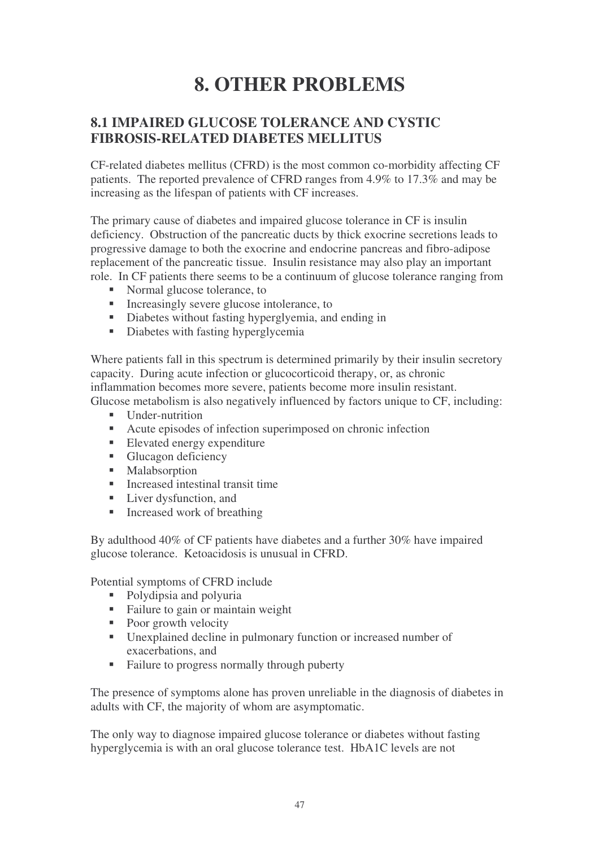# **8. OTHER PROBLEMS**

## **8.1 IMPAIRED GLUCOSE TOLERANCE AND CYSTIC FIBROSIS-RELATED DIABETES MELLITUS**

CF-related diabetes mellitus (CFRD) is the most common co-morbidity affecting CF patients. The reported prevalence of CFRD ranges from 4.9% to 17.3% and may be increasing as the lifespan of patients with CF increases.

The primary cause of diabetes and impaired glucose tolerance in CF is insulin deficiency. Obstruction of the pancreatic ducts by thick exocrine secretions leads to progressive damage to both the exocrine and endocrine pancreas and fibro-adipose replacement of the pancreatic tissue. Insulin resistance may also play an important role. In CF patients there seems to be a continuum of glucose tolerance ranging from

- Normal glucose tolerance, to
- Increasingly severe glucose intolerance, to
- Diabetes without fasting hyperglyemia, and ending in
- Diabetes with fasting hyperglycemia

Where patients fall in this spectrum is determined primarily by their insulin secretory capacity. During acute infection or glucocorticoid therapy, or, as chronic inflammation becomes more severe, patients become more insulin resistant. Glucose metabolism is also negatively influenced by factors unique to CF, including:

- Under-nutrition
- Acute episodes of infection superimposed on chronic infection
- Elevated energy expenditure
- Glucagon deficiency
- **Malabsorption**
- Increased intestinal transit time
- Liver dysfunction, and
- $\blacksquare$  Increased work of breathing

By adulthood 40% of CF patients have diabetes and a further 30% have impaired glucose tolerance. Ketoacidosis is unusual in CFRD.

Potential symptoms of CFRD include

- Polydipsia and polyuria
- Failure to gain or maintain weight
- Poor growth velocity
- Unexplained decline in pulmonary function or increased number of exacerbations, and
- Failure to progress normally through puberty

The presence of symptoms alone has proven unreliable in the diagnosis of diabetes in adults with CF, the majority of whom are asymptomatic.

The only way to diagnose impaired glucose tolerance or diabetes without fasting hyperglycemia is with an oral glucose tolerance test. HbA1C levels are not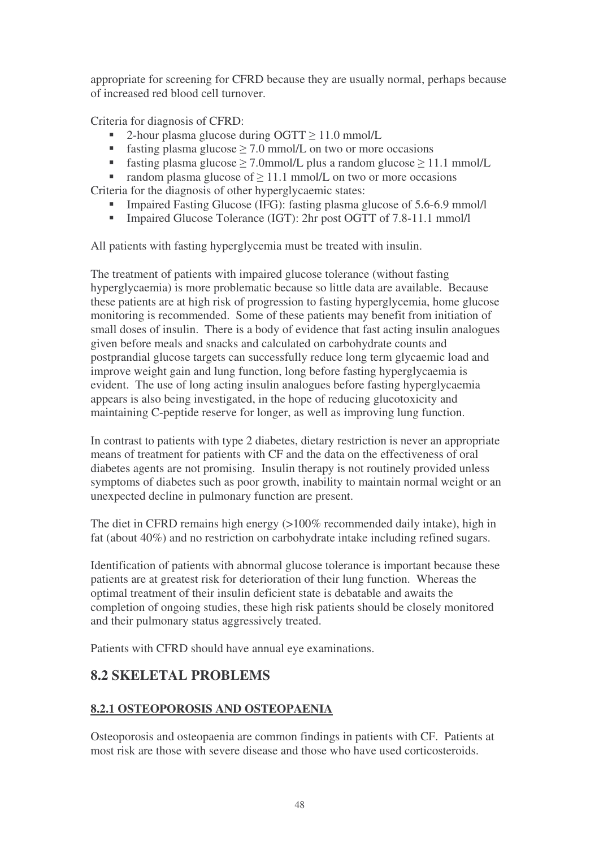appropriate for screening for CFRD because they are usually normal, perhaps because of increased red blood cell turnover.

Criteria for diagnosis of CFRD:

- $\blacksquare$  2-hour plasma glucose during OGTT  $\geq 11.0$  mmol/L
- **fasting plasma glucose**  $>$  7.0 mmol/L on two or more occasions
- fasting plasma glucose  $>$  7.0mmol/L plus a random glucose  $>$  11.1 mmol/L

**random plasma glucose of**  $\geq$  11.1 mmol/L on two or more occasions Criteria for the diagnosis of other hyperglycaemic states:

- Impaired Fasting Glucose (IFG): fasting plasma glucose of 5.6-6.9 mmol/l
- Impaired Glucose Tolerance (IGT): 2hr post OGTT of 7.8-11.1 mmol/l

All patients with fasting hyperglycemia must be treated with insulin.

The treatment of patients with impaired glucose tolerance (without fasting hyperglycaemia) is more problematic because so little data are available. Because these patients are at high risk of progression to fasting hyperglycemia, home glucose monitoring is recommended. Some of these patients may benefit from initiation of small doses of insulin. There is a body of evidence that fast acting insulin analogues given before meals and snacks and calculated on carbohydrate counts and postprandial glucose targets can successfully reduce long term glycaemic load and improve weight gain and lung function, long before fasting hyperglycaemia is evident. The use of long acting insulin analogues before fasting hyperglycaemia appears is also being investigated, in the hope of reducing glucotoxicity and maintaining C-peptide reserve for longer, as well as improving lung function.

In contrast to patients with type 2 diabetes, dietary restriction is never an appropriate means of treatment for patients with CF and the data on the effectiveness of oral diabetes agents are not promising. Insulin therapy is not routinely provided unless symptoms of diabetes such as poor growth, inability to maintain normal weight or an unexpected decline in pulmonary function are present.

The diet in CFRD remains high energy (>100% recommended daily intake), high in fat (about 40%) and no restriction on carbohydrate intake including refined sugars.

Identification of patients with abnormal glucose tolerance is important because these patients are at greatest risk for deterioration of their lung function. Whereas the optimal treatment of their insulin deficient state is debatable and awaits the completion of ongoing studies, these high risk patients should be closely monitored and their pulmonary status aggressively treated.

Patients with CFRD should have annual eye examinations.

# **8.2 SKELETAL PROBLEMS**

#### **8.2.1 OSTEOPOROSIS AND OSTEOPAENIA**

Osteoporosis and osteopaenia are common findings in patients with CF. Patients at most risk are those with severe disease and those who have used corticosteroids.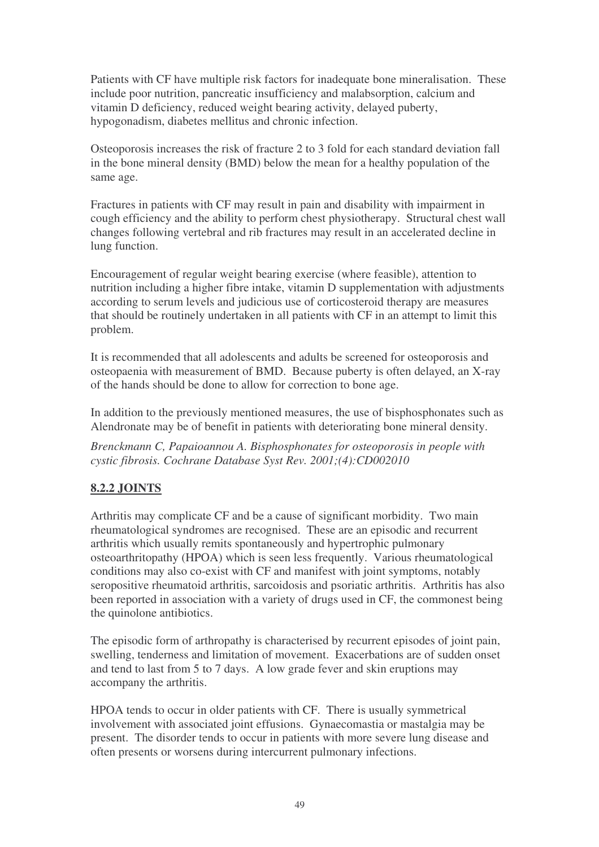Patients with CF have multiple risk factors for inadequate bone mineralisation. These include poor nutrition, pancreatic insufficiency and malabsorption, calcium and vitamin D deficiency, reduced weight bearing activity, delayed puberty, hypogonadism, diabetes mellitus and chronic infection.

Osteoporosis increases the risk of fracture 2 to 3 fold for each standard deviation fall in the bone mineral density (BMD) below the mean for a healthy population of the same age.

Fractures in patients with CF may result in pain and disability with impairment in cough efficiency and the ability to perform chest physiotherapy. Structural chest wall changes following vertebral and rib fractures may result in an accelerated decline in lung function.

Encouragement of regular weight bearing exercise (where feasible), attention to nutrition including a higher fibre intake, vitamin D supplementation with adjustments according to serum levels and judicious use of corticosteroid therapy are measures that should be routinely undertaken in all patients with CF in an attempt to limit this problem.

It is recommended that all adolescents and adults be screened for osteoporosis and osteopaenia with measurement of BMD. Because puberty is often delayed, an X-ray of the hands should be done to allow for correction to bone age.

In addition to the previously mentioned measures, the use of bisphosphonates such as Alendronate may be of benefit in patients with deteriorating bone mineral density.

*Brenckmann C, Papaioannou A. Bisphosphonates for osteoporosis in people with cystic fibrosis. Cochrane Database Syst Rev. 2001;(4):CD002010*

#### **8.2.2 JOINTS**

Arthritis may complicate CF and be a cause of significant morbidity. Two main rheumatological syndromes are recognised. These are an episodic and recurrent arthritis which usually remits spontaneously and hypertrophic pulmonary osteoarthritopathy (HPOA) which is seen less frequently. Various rheumatological conditions may also co-exist with CF and manifest with joint symptoms, notably seropositive rheumatoid arthritis, sarcoidosis and psoriatic arthritis. Arthritis has also been reported in association with a variety of drugs used in CF, the commonest being the quinolone antibiotics.

The episodic form of arthropathy is characterised by recurrent episodes of joint pain, swelling, tenderness and limitation of movement. Exacerbations are of sudden onset and tend to last from 5 to 7 days. A low grade fever and skin eruptions may accompany the arthritis.

HPOA tends to occur in older patients with CF. There is usually symmetrical involvement with associated joint effusions. Gynaecomastia or mastalgia may be present. The disorder tends to occur in patients with more severe lung disease and often presents or worsens during intercurrent pulmonary infections.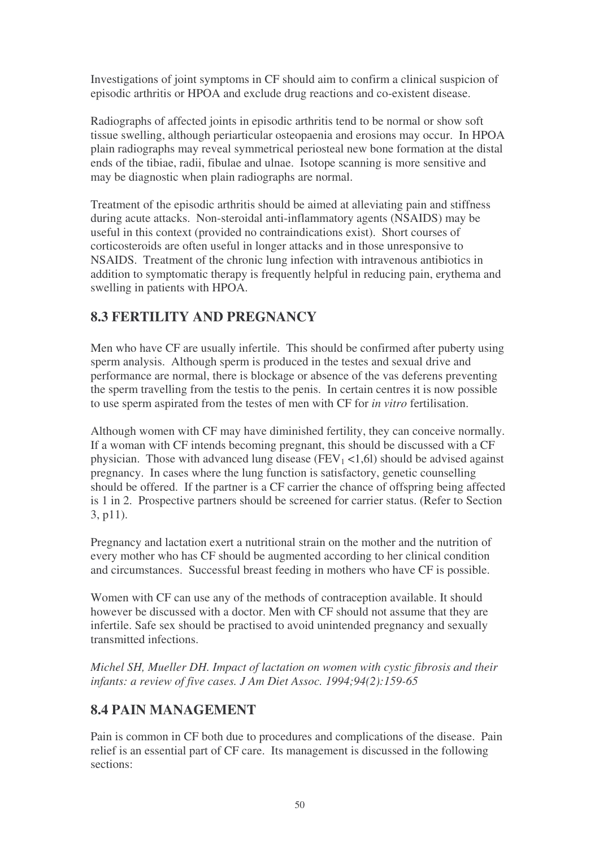Investigations of joint symptoms in CF should aim to confirm a clinical suspicion of episodic arthritis or HPOA and exclude drug reactions and co-existent disease.

Radiographs of affected joints in episodic arthritis tend to be normal or show soft tissue swelling, although periarticular osteopaenia and erosions may occur. In HPOA plain radiographs may reveal symmetrical periosteal new bone formation at the distal ends of the tibiae, radii, fibulae and ulnae. Isotope scanning is more sensitive and may be diagnostic when plain radiographs are normal.

Treatment of the episodic arthritis should be aimed at alleviating pain and stiffness during acute attacks. Non-steroidal anti-inflammatory agents (NSAIDS) may be useful in this context (provided no contraindications exist). Short courses of corticosteroids are often useful in longer attacks and in those unresponsive to NSAIDS. Treatment of the chronic lung infection with intravenous antibiotics in addition to symptomatic therapy is frequently helpful in reducing pain, erythema and swelling in patients with HPOA.

# **8.3 FERTILITY AND PREGNANCY**

Men who have CF are usually infertile. This should be confirmed after puberty using sperm analysis. Although sperm is produced in the testes and sexual drive and performance are normal, there is blockage or absence of the vas deferens preventing the sperm travelling from the testis to the penis. In certain centres it is now possible to use sperm aspirated from the testes of men with CF for *in vitro* fertilisation.

Although women with CF may have diminished fertility, they can conceive normally. If a woman with CF intends becoming pregnant, this should be discussed with a CF physician. Those with advanced lung disease ( $FEV_1 < 1,6$ ) should be advised against pregnancy. In cases where the lung function is satisfactory, genetic counselling should be offered. If the partner is a CF carrier the chance of offspring being affected is 1 in 2. Prospective partners should be screened for carrier status. (Refer to Section 3, p11).

Pregnancy and lactation exert a nutritional strain on the mother and the nutrition of every mother who has CF should be augmented according to her clinical condition and circumstances. Successful breast feeding in mothers who have CF is possible.

Women with CF can use any of the methods of contraception available. It should however be discussed with a doctor. Men with CF should not assume that they are infertile. Safe sex should be practised to avoid unintended pregnancy and sexually transmitted infections.

*Michel SH, Mueller DH. Impact of lactation on women with cystic fibrosis and their infants: a review of five cases. J Am Diet Assoc. 1994;94(2):159-65*

## **8.4 PAIN MANAGEMENT**

Pain is common in CF both due to procedures and complications of the disease. Pain relief is an essential part of CF care. Its management is discussed in the following sections: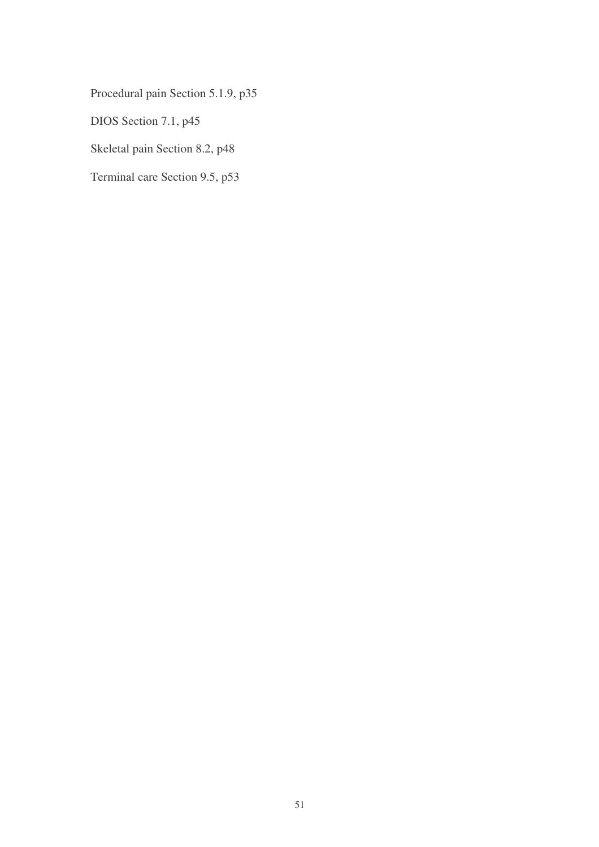Procedural pain Section 5.1.9, p35

DIOS Section 7.1, p45

Skeletal pain Section 8.2, p48

Terminal care Section 9.5, p53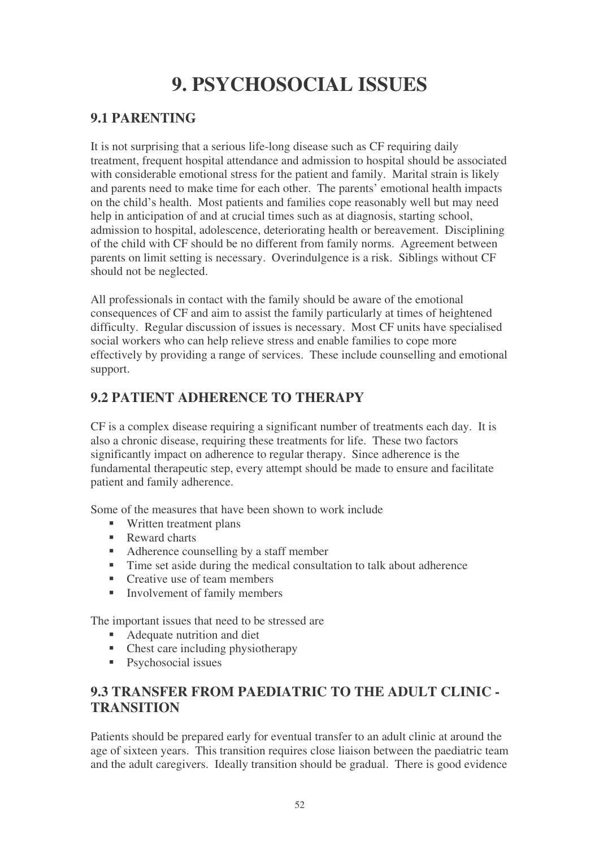# **9. PSYCHOSOCIAL ISSUES**

# **9.1 PARENTING**

It is not surprising that a serious life-long disease such as CF requiring daily treatment, frequent hospital attendance and admission to hospital should be associated with considerable emotional stress for the patient and family. Marital strain is likely and parents need to make time for each other. The parents' emotional health impacts on the child's health. Most patients and families cope reasonably well but may need help in anticipation of and at crucial times such as at diagnosis, starting school, admission to hospital, adolescence, deteriorating health or bereavement. Disciplining of the child with CF should be no different from family norms. Agreement between parents on limit setting is necessary. Overindulgence is a risk. Siblings without CF should not be neglected.

All professionals in contact with the family should be aware of the emotional consequences of CF and aim to assist the family particularly at times of heightened difficulty. Regular discussion of issues is necessary. Most CF units have specialised social workers who can help relieve stress and enable families to cope more effectively by providing a range of services. These include counselling and emotional support.

# **9.2 PATIENT ADHERENCE TO THERAPY**

CF is a complex disease requiring a significant number of treatments each day. It is also a chronic disease, requiring these treatments for life. These two factors significantly impact on adherence to regular therapy. Since adherence is the fundamental therapeutic step, every attempt should be made to ensure and facilitate patient and family adherence.

Some of the measures that have been shown to work include

- Written treatment plans
- Reward charts
- Adherence counselling by a staff member
- Time set aside during the medical consultation to talk about adherence
- Creative use of team members
- $\blacksquare$  Involvement of family members

The important issues that need to be stressed are

- Adequate nutrition and diet
- Chest care including physiotherapy
- **Psychosocial issues**

# **9.3 TRANSFER FROM PAEDIATRIC TO THE ADULT CLINIC - TRANSITION**

Patients should be prepared early for eventual transfer to an adult clinic at around the age of sixteen years. This transition requires close liaison between the paediatric team and the adult caregivers. Ideally transition should be gradual. There is good evidence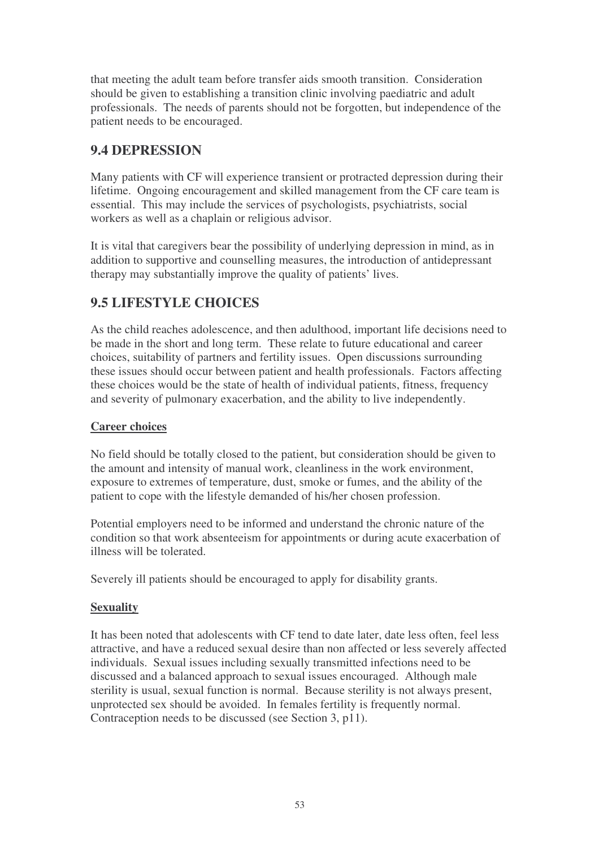that meeting the adult team before transfer aids smooth transition. Consideration should be given to establishing a transition clinic involving paediatric and adult professionals. The needs of parents should not be forgotten, but independence of the patient needs to be encouraged.

# **9.4 DEPRESSION**

Many patients with CF will experience transient or protracted depression during their lifetime. Ongoing encouragement and skilled management from the CF care team is essential. This may include the services of psychologists, psychiatrists, social workers as well as a chaplain or religious advisor.

It is vital that caregivers bear the possibility of underlying depression in mind, as in addition to supportive and counselling measures, the introduction of antidepressant therapy may substantially improve the quality of patients' lives.

# **9.5 LIFESTYLE CHOICES**

As the child reaches adolescence, and then adulthood, important life decisions need to be made in the short and long term. These relate to future educational and career choices, suitability of partners and fertility issues. Open discussions surrounding these issues should occur between patient and health professionals. Factors affecting these choices would be the state of health of individual patients, fitness, frequency and severity of pulmonary exacerbation, and the ability to live independently.

#### **Career choices**

No field should be totally closed to the patient, but consideration should be given to the amount and intensity of manual work, cleanliness in the work environment, exposure to extremes of temperature, dust, smoke or fumes, and the ability of the patient to cope with the lifestyle demanded of his/her chosen profession.

Potential employers need to be informed and understand the chronic nature of the condition so that work absenteeism for appointments or during acute exacerbation of illness will be tolerated.

Severely ill patients should be encouraged to apply for disability grants.

#### **Sexuality**

It has been noted that adolescents with CF tend to date later, date less often, feel less attractive, and have a reduced sexual desire than non affected or less severely affected individuals. Sexual issues including sexually transmitted infections need to be discussed and a balanced approach to sexual issues encouraged. Although male sterility is usual, sexual function is normal. Because sterility is not always present, unprotected sex should be avoided. In females fertility is frequently normal. Contraception needs to be discussed (see Section 3, p11).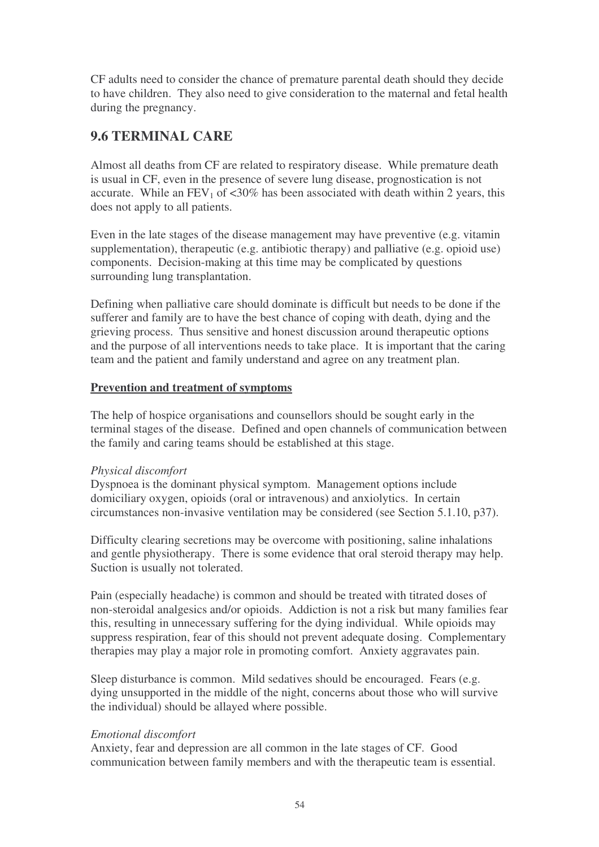CF adults need to consider the chance of premature parental death should they decide to have children. They also need to give consideration to the maternal and fetal health during the pregnancy.

## **9.6 TERMINAL CARE**

Almost all deaths from CF are related to respiratory disease. While premature death is usual in CF, even in the presence of severe lung disease, prognostication is not accurate. While an  $FEV_1$  of  $<30\%$  has been associated with death within 2 years, this does not apply to all patients.

Even in the late stages of the disease management may have preventive (e.g. vitamin supplementation), therapeutic (e.g. antibiotic therapy) and palliative (e.g. opioid use) components. Decision-making at this time may be complicated by questions surrounding lung transplantation.

Defining when palliative care should dominate is difficult but needs to be done if the sufferer and family are to have the best chance of coping with death, dying and the grieving process. Thus sensitive and honest discussion around therapeutic options and the purpose of all interventions needs to take place. It is important that the caring team and the patient and family understand and agree on any treatment plan.

#### **Prevention and treatment of symptoms**

The help of hospice organisations and counsellors should be sought early in the terminal stages of the disease. Defined and open channels of communication between the family and caring teams should be established at this stage.

#### *Physical discomfort*

Dyspnoea is the dominant physical symptom. Management options include domiciliary oxygen, opioids (oral or intravenous) and anxiolytics. In certain circumstances non-invasive ventilation may be considered (see Section 5.1.10, p37).

Difficulty clearing secretions may be overcome with positioning, saline inhalations and gentle physiotherapy. There is some evidence that oral steroid therapy may help. Suction is usually not tolerated.

Pain (especially headache) is common and should be treated with titrated doses of non-steroidal analgesics and/or opioids. Addiction is not a risk but many families fear this, resulting in unnecessary suffering for the dying individual. While opioids may suppress respiration, fear of this should not prevent adequate dosing. Complementary therapies may play a major role in promoting comfort. Anxiety aggravates pain.

Sleep disturbance is common. Mild sedatives should be encouraged. Fears (e.g. dying unsupported in the middle of the night, concerns about those who will survive the individual) should be allayed where possible.

#### *Emotional discomfort*

Anxiety, fear and depression are all common in the late stages of CF. Good communication between family members and with the therapeutic team is essential.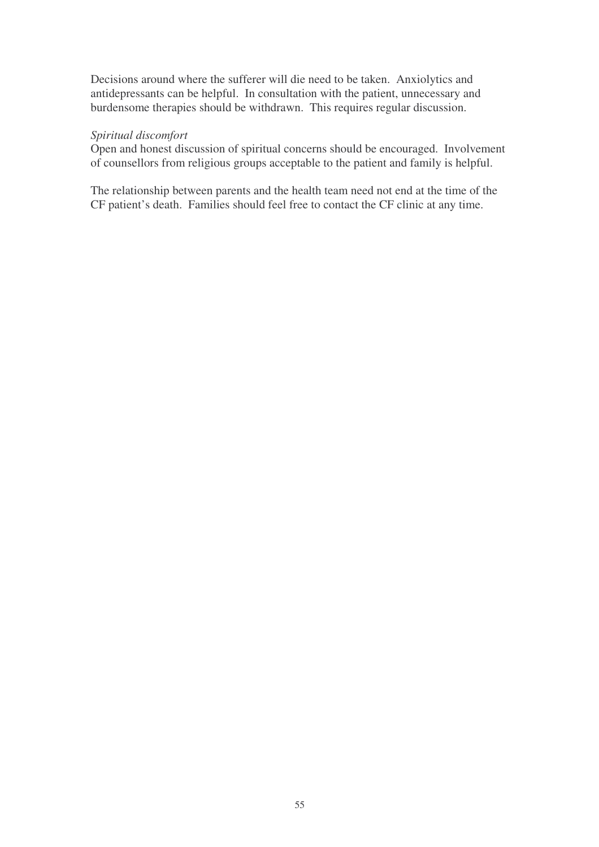Decisions around where the sufferer will die need to be taken. Anxiolytics and antidepressants can be helpful. In consultation with the patient, unnecessary and burdensome therapies should be withdrawn. This requires regular discussion.

#### *Spiritual discomfort*

Open and honest discussion of spiritual concerns should be encouraged. Involvement of counsellors from religious groups acceptable to the patient and family is helpful.

The relationship between parents and the health team need not end at the time of the CF patient's death. Families should feel free to contact the CF clinic at any time.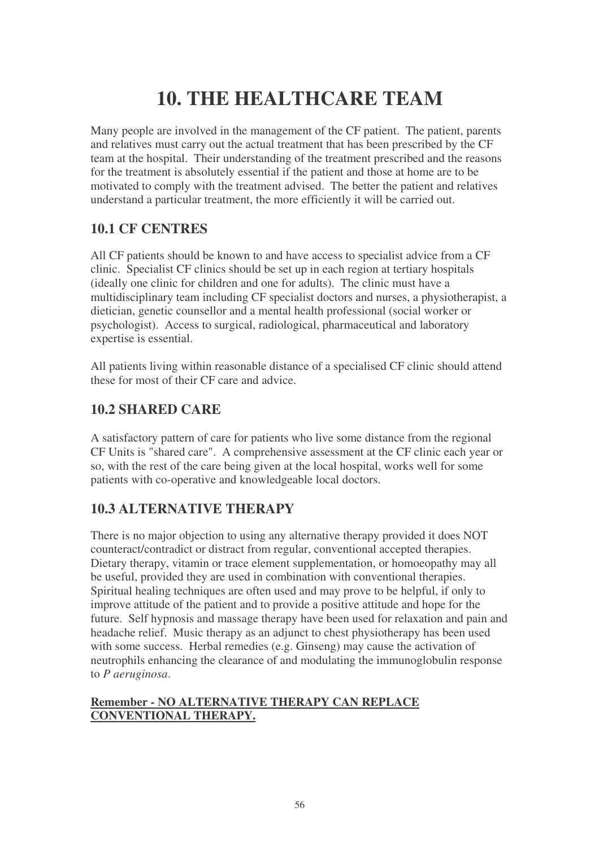# **10. THE HEALTHCARE TEAM**

Many people are involved in the management of the CF patient. The patient, parents and relatives must carry out the actual treatment that has been prescribed by the CF team at the hospital. Their understanding of the treatment prescribed and the reasons for the treatment is absolutely essential if the patient and those at home are to be motivated to comply with the treatment advised. The better the patient and relatives understand a particular treatment, the more efficiently it will be carried out.

# **10.1 CF CENTRES**

All CF patients should be known to and have access to specialist advice from a CF clinic. Specialist CF clinics should be set up in each region at tertiary hospitals (ideally one clinic for children and one for adults). The clinic must have a multidisciplinary team including CF specialist doctors and nurses, a physiotherapist, a dietician, genetic counsellor and a mental health professional (social worker or psychologist). Access to surgical, radiological, pharmaceutical and laboratory expertise is essential.

All patients living within reasonable distance of a specialised CF clinic should attend these for most of their CF care and advice.

# **10.2 SHARED CARE**

A satisfactory pattern of care for patients who live some distance from the regional CF Units is "shared care". A comprehensive assessment at the CF clinic each year or so, with the rest of the care being given at the local hospital, works well for some patients with co-operative and knowledgeable local doctors.

# **10.3 ALTERNATIVE THERAPY**

There is no major objection to using any alternative therapy provided it does NOT counteract/contradict or distract from regular, conventional accepted therapies. Dietary therapy, vitamin or trace element supplementation, or homoeopathy may all be useful, provided they are used in combination with conventional therapies. Spiritual healing techniques are often used and may prove to be helpful, if only to improve attitude of the patient and to provide a positive attitude and hope for the future. Self hypnosis and massage therapy have been used for relaxation and pain and headache relief. Music therapy as an adjunct to chest physiotherapy has been used with some success. Herbal remedies (e.g. Ginseng) may cause the activation of neutrophils enhancing the clearance of and modulating the immunoglobulin response to *P aeruginosa*.

#### **Remember - NO ALTERNATIVE THERAPY CAN REPLACE CONVENTIONAL THERAPY.**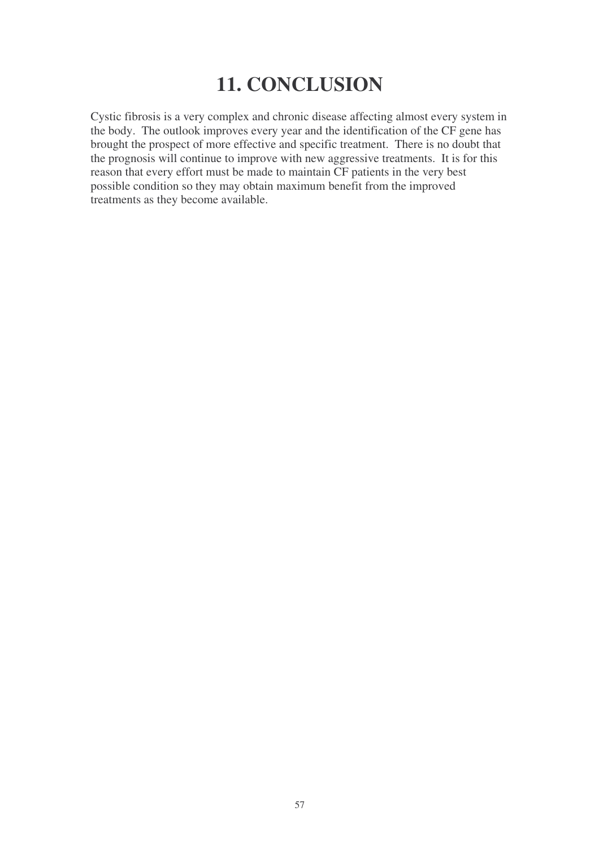# **11. CONCLUSION**

Cystic fibrosis is a very complex and chronic disease affecting almost every system in the body. The outlook improves every year and the identification of the CF gene has brought the prospect of more effective and specific treatment. There is no doubt that the prognosis will continue to improve with new aggressive treatments. It is for this reason that every effort must be made to maintain CF patients in the very best possible condition so they may obtain maximum benefit from the improved treatments as they become available.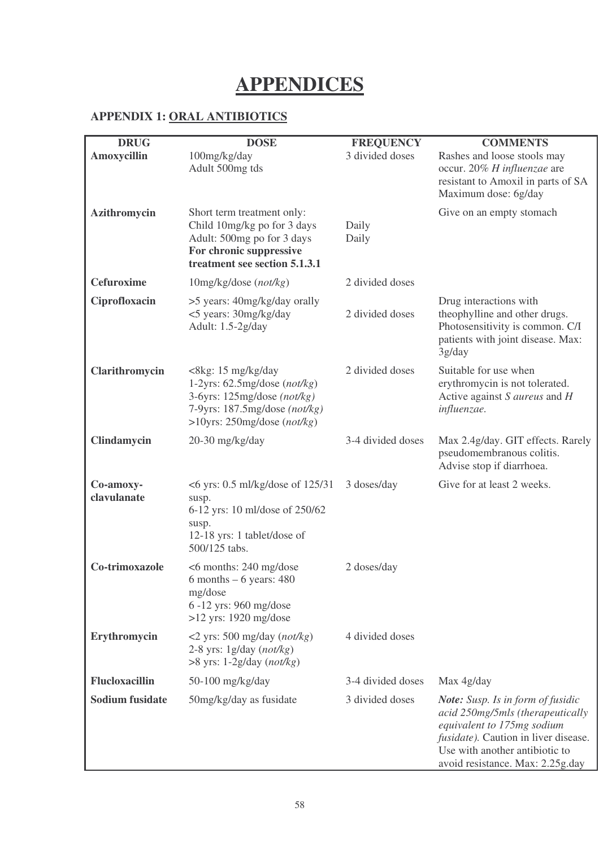# **APPENDICES**

## **APPENDIX 1: ORAL ANTIBIOTICS**

| <b>DRUG</b><br>Amoxycillin | <b>DOSE</b><br>100mg/kg/day                                                                                                                                | <b>FREQUENCY</b><br>3 divided doses | <b>COMMENTS</b><br>Rashes and loose stools may                                                                                                                                                                           |
|----------------------------|------------------------------------------------------------------------------------------------------------------------------------------------------------|-------------------------------------|--------------------------------------------------------------------------------------------------------------------------------------------------------------------------------------------------------------------------|
|                            | Adult 500mg tds                                                                                                                                            |                                     | occur. 20% H influenzae are<br>resistant to Amoxil in parts of SA<br>Maximum dose: 6g/day                                                                                                                                |
| Azithromycin               | Short term treatment only:<br>Child 10mg/kg po for 3 days<br>Adult: 500mg po for 3 days<br>For chronic suppressive<br>treatment see section 5.1.3.1        | Daily<br>Daily                      | Give on an empty stomach                                                                                                                                                                                                 |
| <b>Cefuroxime</b>          | $10$ mg/kg/dose (not/kg)                                                                                                                                   | 2 divided doses                     |                                                                                                                                                                                                                          |
| Ciprofloxacin              | >5 years: 40mg/kg/day orally<br><5 years: 30mg/kg/day<br>Adult: 1.5-2g/day                                                                                 | 2 divided doses                     | Drug interactions with<br>theophylline and other drugs.<br>Photosensitivity is common. C/I<br>patients with joint disease. Max:<br>3g/day                                                                                |
| Clarithromycin             | <8kg: 15 mg/kg/day<br>1-2yrs: $62.5$ mg/dose (not/kg)<br>3-6yrs: 125mg/dose (not/kg)<br>7-9yrs: $187.5$ mg/dose (not/kg)<br>$>10$ yrs: 250mg/dose (not/kg) | 2 divided doses                     | Suitable for use when<br>erythromycin is not tolerated.<br>Active against S aureus and H<br>influenzae.                                                                                                                  |
| Clindamycin                | $20-30$ mg/kg/day                                                                                                                                          | 3-4 divided doses                   | Max 2.4g/day. GIT effects. Rarely<br>pseudomembranous colitis.<br>Advise stop if diarrhoea.                                                                                                                              |
| Co-amoxy-<br>clavulanate   | $<6$ yrs: 0.5 ml/kg/dose of 125/31<br>susp.<br>6-12 yrs: 10 ml/dose of 250/62<br>susp.<br>12-18 yrs: 1 tablet/dose of<br>500/125 tabs.                     | 3 doses/day                         | Give for at least 2 weeks.                                                                                                                                                                                               |
| Co-trimoxazole             | $<6$ months: 240 mg/dose<br>$6$ months $-6$ years: 480<br>mg/dose<br>6-12 yrs: 960 mg/dose<br>$>12$ yrs: 1920 mg/dose                                      | 2 doses/day                         |                                                                                                                                                                                                                          |
| Erythromycin               | $\langle$ 2 yrs: 500 mg/day (not/kg)<br>2-8 yrs: $1g/day (not/kg)$<br>$>8$ yrs: 1-2g/day (not/kg)                                                          | 4 divided doses                     |                                                                                                                                                                                                                          |
| <b>Flucloxacillin</b>      | 50-100 mg/kg/day                                                                                                                                           | 3-4 divided doses                   | Max 4g/day                                                                                                                                                                                                               |
| <b>Sodium fusidate</b>     | 50mg/kg/day as fusidate                                                                                                                                    | 3 divided doses                     | <b>Note:</b> Susp. Is in form of fusidic<br>acid 250mg/5mls (therapeutically<br>equivalent to 175mg sodium<br>fusidate). Caution in liver disease.<br>Use with another antibiotic to<br>avoid resistance. Max: 2.25g.day |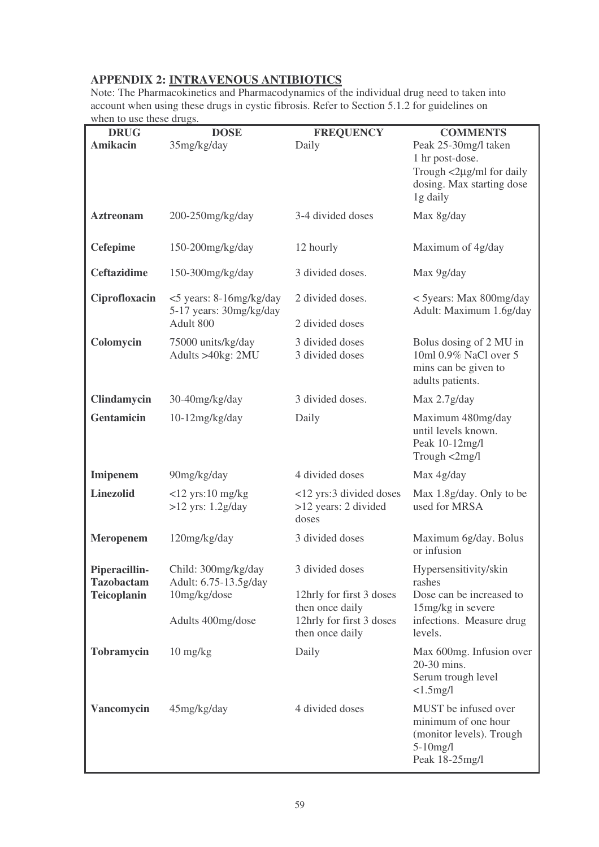# **APPENDIX 2: INTRAVENOUS ANTIBIOTICS**

Note: The Pharmacokinetics and Pharmacodynamics of the individual drug need to taken into account when using these drugs in cystic fibrosis. Refer to Section 5.1.2 for guidelines on when to use these drugs.

| <b>DRUG</b><br><b>Amikacin</b>     | <b>DOSE</b><br>35mg/kg/day                                      | <b>FREQUENCY</b><br>Daily                                                                  | <b>COMMENTS</b><br>Peak 25-30mg/l taken<br>1 hr post-dose.<br>Trough <2µg/ml for daily<br>dosing. Max starting dose<br>1g daily |
|------------------------------------|-----------------------------------------------------------------|--------------------------------------------------------------------------------------------|---------------------------------------------------------------------------------------------------------------------------------|
| <b>Aztreonam</b>                   | 200-250mg/kg/day                                                | 3-4 divided doses                                                                          | Max 8g/day                                                                                                                      |
| <b>Cefepime</b>                    | 150-200mg/kg/day                                                | 12 hourly                                                                                  | Maximum of 4g/day                                                                                                               |
| <b>Ceftazidime</b>                 | $150-300$ mg/kg/day                                             | 3 divided doses.                                                                           | Max 9g/day                                                                                                                      |
| Ciprofloxacin                      | <5 years: 8-16mg/kg/day<br>5-17 years: 30mg/kg/day<br>Adult 800 | 2 divided doses.<br>2 divided doses                                                        | < 5 years: Max 800mg/day<br>Adult: Maximum 1.6g/day                                                                             |
| Colomycin                          | 75000 units/kg/day<br>Adults >40kg: 2MU                         | 3 divided doses<br>3 divided doses                                                         | Bolus dosing of 2 MU in<br>10ml 0.9% NaCl over 5<br>mins can be given to<br>adults patients.                                    |
| Clindamycin                        | 30-40mg/kg/day                                                  | 3 divided doses.                                                                           | Max 2.7g/day                                                                                                                    |
| <b>Gentamicin</b>                  | $10-12$ mg/kg/day                                               | Daily                                                                                      | Maximum 480mg/day<br>until levels known.<br>Peak 10-12mg/l<br>Trough <2mg/l                                                     |
| Imipenem                           | 90mg/kg/day                                                     | 4 divided doses                                                                            | Max 4g/day                                                                                                                      |
| <b>Linezolid</b>                   | $<$ 12 yrs:10 mg/kg<br>$>12$ yrs: $1.2g/day$                    | <12 yrs:3 divided doses<br>>12 years: 2 divided<br>doses                                   | Max 1.8g/day. Only to be<br>used for MRSA                                                                                       |
| <b>Meropenem</b>                   | 120mg/kg/day                                                    | 3 divided doses                                                                            | Maximum 6g/day. Bolus<br>or infusion                                                                                            |
| Piperacillin-<br><b>Tazobactam</b> | Child: 300mg/kg/day<br>Adult: 6.75-13.5g/day                    | 3 divided doses                                                                            | Hypersensitivity/skin<br>rashes                                                                                                 |
| <b>Teicoplanin</b>                 | 10mg/kg/dose<br>Adults 400mg/dose                               | 12hrly for first 3 doses<br>then once daily<br>12hrly for first 3 doses<br>then once daily | Dose can be increased to<br>15mg/kg in severe<br>infections. Measure drug<br>levels.                                            |
| <b>Tobramycin</b>                  | $10$ mg/kg                                                      | Daily                                                                                      | Max 600mg. Infusion over                                                                                                        |
|                                    |                                                                 |                                                                                            | 20-30 mins.<br>Serum trough level<br>$<1.5$ mg/l                                                                                |
| Vancomycin                         | 45mg/kg/day                                                     | 4 divided doses                                                                            | MUST be infused over<br>minimum of one hour<br>(monitor levels). Trough<br>$5-10$ mg/l<br>Peak 18-25mg/l                        |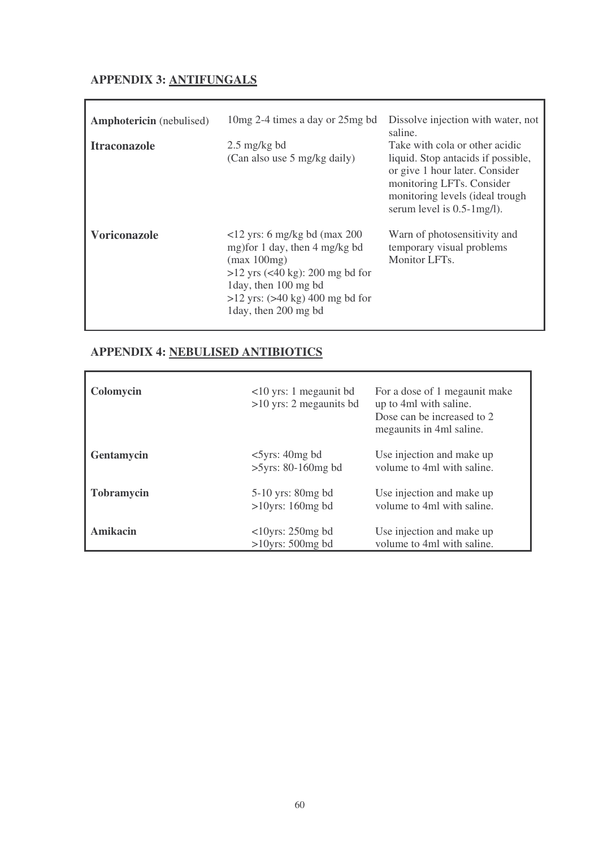### **APPENDIX 3: ANTIFUNGALS**

| <b>Amphotericin</b> (nebulised)<br><b>Itraconazole</b> | 10 mg 2-4 times a day or 25 mg bd<br>$2.5 \text{ mg/kg}$ bd<br>(Can also use 5 mg/kg daily)                                                                                                                                  | Dissolve injection with water, not<br>saline.<br>Take with cola or other acidic<br>liquid. Stop antacids if possible,<br>or give 1 hour later. Consider<br>monitoring LFTs. Consider<br>monitoring levels (ideal trough<br>serum level is $0.5$ -1mg/l). |
|--------------------------------------------------------|------------------------------------------------------------------------------------------------------------------------------------------------------------------------------------------------------------------------------|----------------------------------------------------------------------------------------------------------------------------------------------------------------------------------------------------------------------------------------------------------|
| <b>Voriconazole</b>                                    | $\langle$ 12 yrs: 6 mg/kg bd (max 200<br>mg) for 1 day, then 4 mg/kg bd<br>(max 100mg)<br>$>12$ yrs (<40 kg): 200 mg bd for<br>1 day, then 100 mg bd<br>$>12$ yrs: $(>40 \text{ kg})$ 400 mg bd for<br>1 day, then 200 mg bd | Warn of photosensitivity and<br>temporary visual problems<br>Monitor LFTs.                                                                                                                                                                               |

# **APPENDIX 4: NEBULISED ANTIBIOTICS**

| Colomycin         | $10$ yrs: 1 megaunit bd<br>$>10$ yrs: 2 megaunits bd | For a dose of 1 megaunit make<br>up to 4ml with saline.<br>Dose can be increased to 2<br>megaunits in 4ml saline. |
|-------------------|------------------------------------------------------|-------------------------------------------------------------------------------------------------------------------|
| <b>Gentamycin</b> | $<5$ yrs: 40mg bd<br>$>5yrs$ : 80-160mg bd           | Use injection and make up<br>volume to 4ml with saline.                                                           |
| <b>Tobramycin</b> | $5-10$ yrs: 80mg bd<br>$>10$ yrs: 160mg bd           | Use injection and make up<br>volume to 4ml with saline.                                                           |
| Amikacin          | $<10$ yrs: 250mg bd<br>$>10$ yrs: 500mg bd           | Use injection and make up<br>volume to 4ml with saline.                                                           |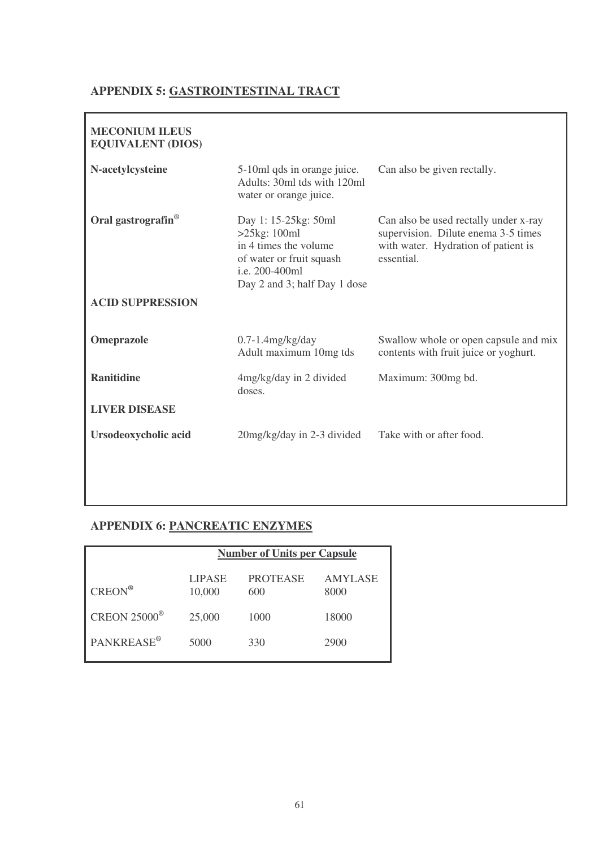#### **APPENDIX 5: GASTROINTESTINAL TRACT**

| <b>MECONIUM ILEUS</b><br><b>EQUIVALENT (DIOS)</b> |                                                                                                                                                  |                                                                                                                                   |
|---------------------------------------------------|--------------------------------------------------------------------------------------------------------------------------------------------------|-----------------------------------------------------------------------------------------------------------------------------------|
| N-acetylcysteine                                  | 5-10ml qds in orange juice.<br>Adults: 30ml tds with 120ml<br>water or orange juice.                                                             | Can also be given rectally.                                                                                                       |
| Oral gastrografin <sup>®</sup>                    | Day 1: 15-25 kg: 50 ml<br>$>25$ kg: 100ml<br>in 4 times the volume<br>of water or fruit squash<br>i.e. 200-400ml<br>Day 2 and 3; half Day 1 dose | Can also be used rectally under x-ray<br>supervision. Dilute enema 3-5 times<br>with water. Hydration of patient is<br>essential. |
| <b>ACID SUPPRESSION</b>                           |                                                                                                                                                  |                                                                                                                                   |
| Omeprazole                                        | $0.7-1.4$ mg/kg/day<br>Adult maximum 10mg tds                                                                                                    | Swallow whole or open capsule and mix<br>contents with fruit juice or yoghurt.                                                    |
| <b>Ranitidine</b>                                 | 4mg/kg/day in 2 divided<br>doses.                                                                                                                | Maximum: 300mg bd.                                                                                                                |
| <b>LIVER DISEASE</b>                              |                                                                                                                                                  |                                                                                                                                   |
| Ursodeoxycholic acid                              | 20mg/kg/day in 2-3 divided                                                                                                                       | Take with or after food.                                                                                                          |

# **APPENDIX 6: PANCREATIC ENZYMES**

|                                | <b>Number of Units per Capsule</b> |                        |                        |
|--------------------------------|------------------------------------|------------------------|------------------------|
| $CREON^{\circledR}$            | <b>LIPASE</b><br>10,000            | <b>PROTEASE</b><br>600 | <b>AMYLASE</b><br>8000 |
| <b>CREON 25000<sup>®</sup></b> | 25,000                             | 1000                   | 18000                  |
| PANKREASE®                     | 5000                               | 330                    | 2900                   |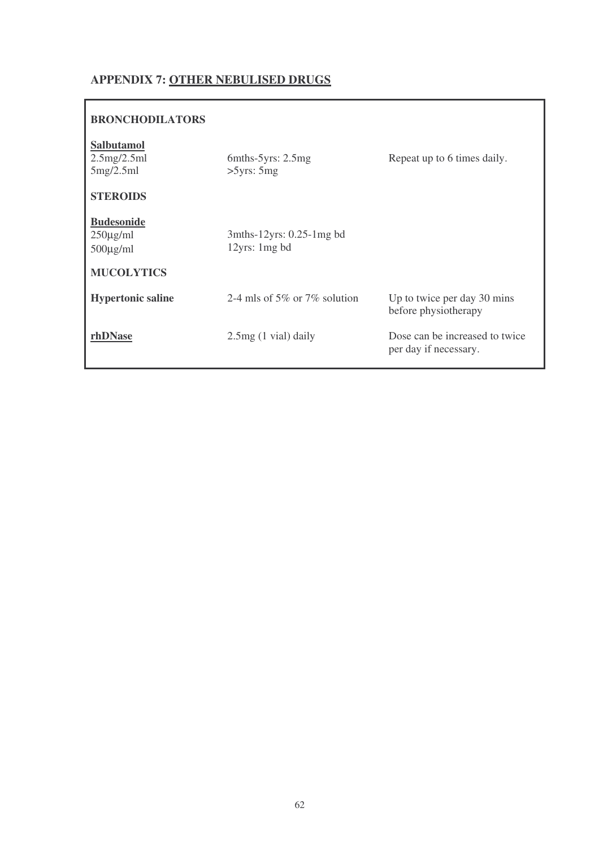### **APPENDIX 7: OTHER NEBULISED DRUGS**

| $6$ mths- $5$ yrs: 2.5mg<br>>5yrs: 5mg       | Repeat up to 6 times daily.                             |
|----------------------------------------------|---------------------------------------------------------|
|                                              |                                                         |
| $3$ mths-12yrs: 0.25-1mg bd<br>12yrs: 1mg bd |                                                         |
| 2-4 mls of 5\% or 7\% solution               | Up to twice per day 30 mins<br>before physiotherapy     |
| $2.5mg(1$ vial) daily                        | Dose can be increased to twice<br>per day if necessary. |
|                                              |                                                         |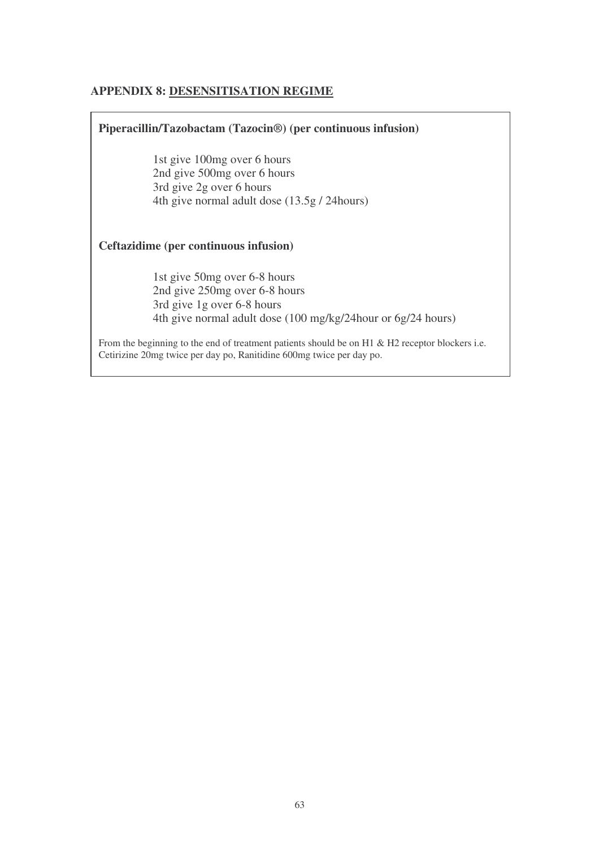### **APPENDIX 8: DESENSITISATION REGIME**

| Piperacillin/Tazobactam (Tazocin®) (per continuous infusion)                                                                                                               |
|----------------------------------------------------------------------------------------------------------------------------------------------------------------------------|
| 1st give 100mg over 6 hours<br>2nd give 500mg over 6 hours<br>3rd give 2g over 6 hours<br>4th give normal adult dose (13.5g / 24 hours)                                    |
| Ceftazidime (per continuous infusion)                                                                                                                                      |
| 1st give 50mg over 6-8 hours<br>2nd give 250mg over 6-8 hours<br>3rd give 1g over 6-8 hours<br>4th give normal adult dose (100 mg/kg/24 hour or 6g/24 hours)               |
| From the beginning to the end of treatment patients should be on H1 $\&$ H2 receptor blockers i.e.<br>Cetirizine 20mg twice per day po, Ranitidine 600mg twice per day po. |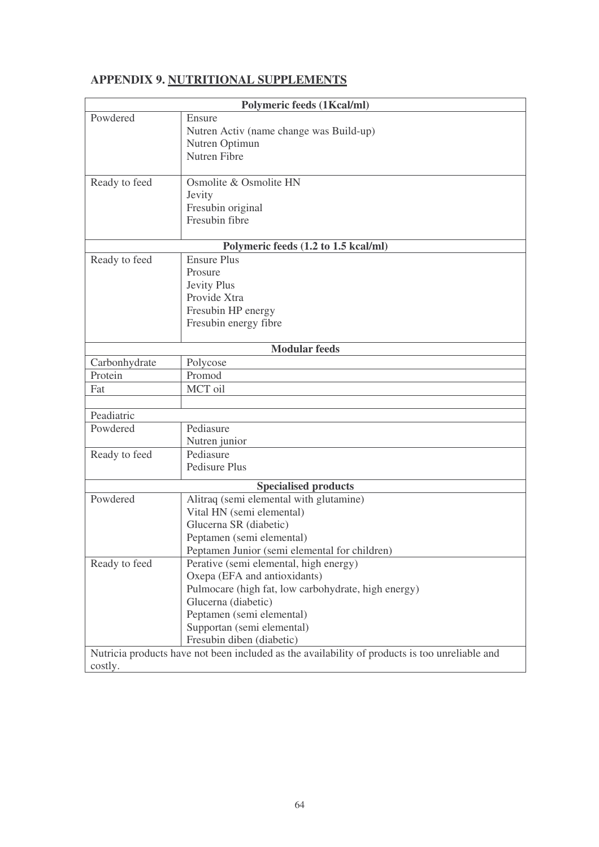# **APPENDIX 9. NUTRITIONAL SUPPLEMENTS**

| <b>Polymeric feeds (1Kcal/ml)</b> |                                                                                                |  |  |
|-----------------------------------|------------------------------------------------------------------------------------------------|--|--|
| Powdered                          | Ensure                                                                                         |  |  |
|                                   | Nutren Activ (name change was Build-up)                                                        |  |  |
|                                   | Nutren Optimun                                                                                 |  |  |
|                                   | <b>Nutren Fibre</b>                                                                            |  |  |
|                                   |                                                                                                |  |  |
| Ready to feed                     | Osmolite & Osmolite HN                                                                         |  |  |
|                                   | Jevity                                                                                         |  |  |
|                                   | Fresubin original                                                                              |  |  |
|                                   | Fresubin fibre                                                                                 |  |  |
|                                   |                                                                                                |  |  |
|                                   | Polymeric feeds (1.2 to 1.5 kcal/ml)<br><b>Ensure Plus</b>                                     |  |  |
| Ready to feed                     | Prosure                                                                                        |  |  |
|                                   |                                                                                                |  |  |
|                                   | Jevity Plus<br>Provide Xtra                                                                    |  |  |
|                                   |                                                                                                |  |  |
|                                   | Fresubin HP energy                                                                             |  |  |
|                                   | Fresubin energy fibre                                                                          |  |  |
|                                   | <b>Modular feeds</b>                                                                           |  |  |
| Carbonhydrate                     | Polycose                                                                                       |  |  |
| Protein                           | Promod                                                                                         |  |  |
| Fat                               | MCT oil                                                                                        |  |  |
|                                   |                                                                                                |  |  |
| Peadiatric                        |                                                                                                |  |  |
| Powdered                          | Pediasure                                                                                      |  |  |
|                                   | Nutren junior                                                                                  |  |  |
| Ready to feed                     | Pediasure                                                                                      |  |  |
|                                   | Pedisure Plus                                                                                  |  |  |
| <b>Specialised products</b>       |                                                                                                |  |  |
| Powdered                          | Alitraq (semi elemental with glutamine)                                                        |  |  |
|                                   | Vital HN (semi elemental)                                                                      |  |  |
|                                   | Glucerna SR (diabetic)                                                                         |  |  |
|                                   | Peptamen (semi elemental)                                                                      |  |  |
|                                   | Peptamen Junior (semi elemental for children)                                                  |  |  |
| Ready to feed                     | Perative (semi elemental, high energy)                                                         |  |  |
|                                   | Oxepa (EFA and antioxidants)                                                                   |  |  |
|                                   | Pulmocare (high fat, low carbohydrate, high energy)                                            |  |  |
|                                   | Glucerna (diabetic)                                                                            |  |  |
|                                   | Peptamen (semi elemental)                                                                      |  |  |
|                                   | Supportan (semi elemental)                                                                     |  |  |
|                                   | Fresubin diben (diabetic)                                                                      |  |  |
|                                   | Nutricia products have not been included as the availability of products is too unreliable and |  |  |
| costly.                           |                                                                                                |  |  |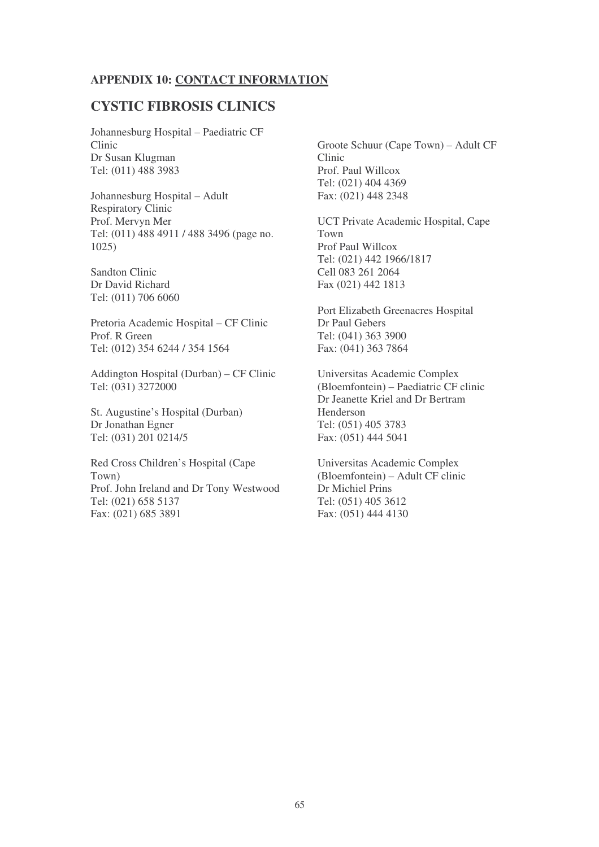#### **APPENDIX 10: CONTACT INFORMATION**

#### **CYSTIC FIBROSIS CLINICS**

Johannesburg Hospital – Paediatric CF Clinic Dr Susan Klugman Tel: (011) 488 3983

Johannesburg Hospital – Adult Respiratory Clinic Prof. Mervyn Mer Tel: (011) 488 4911 / 488 3496 (page no. 1025)

Sandton Clinic Dr David Richard Tel: (011) 706 6060

Pretoria Academic Hospital – CF Clinic Prof. R Green Tel: (012) 354 6244 / 354 1564

Addington Hospital (Durban) – CF Clinic Tel: (031) 3272000

St. Augustine's Hospital (Durban) Dr Jonathan Egner Tel: (031) 201 0214/5

Red Cross Children's Hospital (Cape Town) Prof. John Ireland and Dr Tony Westwood Tel: (021) 658 5137 Fax: (021) 685 3891

Groote Schuur (Cape Town) – Adult CF Clinic Prof. Paul Willcox Tel: (021) 404 4369 Fax: (021) 448 2348

UCT Private Academic Hospital, Cape Town Prof Paul Willcox Tel: (021) 442 1966/1817 Cell 083 261 2064 Fax (021) 442 1813

Port Elizabeth Greenacres Hospital Dr Paul Gebers Tel: (041) 363 3900 Fax: (041) 363 7864

Universitas Academic Complex (Bloemfontein) – Paediatric CF clinic Dr Jeanette Kriel and Dr Bertram Henderson Tel: (051) 405 3783 Fax: (051) 444 5041

Universitas Academic Complex (Bloemfontein) – Adult CF clinic Dr Michiel Prins Tel: (051) 405 3612 Fax: (051) 444 4130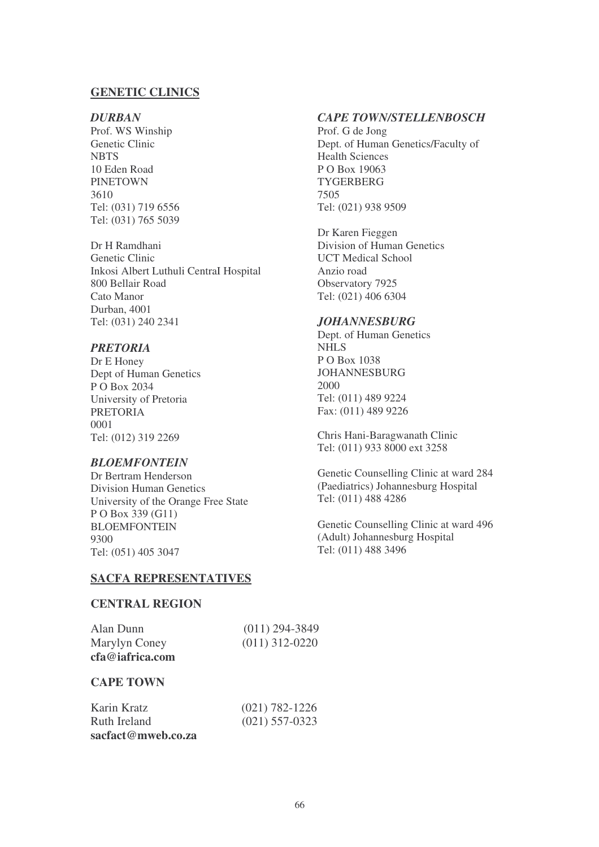#### **GENETIC CLINICS**

#### *DURBAN*

Prof. WS Winship Genetic Clinic **NBTS** 10 Eden Road PINETOWN 3610 Tel: (031) 719 6556 Tel: (031) 765 5039

Dr H Ramdhani Genetic Clinic Inkosi Albert Luthuli CentraI Hospital 800 Bellair Road Cato Manor Durban, 4001 Tel: (031) 240 2341

#### *PRETORIA*

Dr E Honey Dept of Human Genetics P O Box 2034 University of Pretoria PRETORIA 0001 Tel: (012) 319 2269

#### *BLOEMFONTEIN*

Dr Bertram Henderson Division Human Genetics University of the Orange Free State P O Box 339 (G11) BLOEMFONTEIN 9300 Tel: (051) 405 3047

#### *CAPE TOWN/STELLENBOSCH*

Prof. G de Jong Dept. of Human Genetics/Faculty of Health Sciences P O Box 19063 **TYGERBERG** 7505 Tel: (021) 938 9509

Dr Karen Fieggen Division of Human Genetics UCT Medical School Anzio road Observatory 7925 Tel: (021) 406 6304

#### *JOHANNESBURG*

Dept. of Human Genetics NHLS P O Box 1038 JOHANNESBURG 2000 Tel: (011) 489 9224 Fax: (011) 489 9226

Chris Hani-Baragwanath Clinic Tel: (011) 933 8000 ext 3258

Genetic Counselling Clinic at ward 284 (Paediatrics) Johannesburg Hospital Tel: (011) 488 4286

Genetic Counselling Clinic at ward 496 (Adult) Johannesburg Hospital Tel: (011) 488 3496

#### **SACFA REPRESENTATIVES**

#### **CENTRAL REGION**

| Alan Dunn       | $(011)$ 294-3849 |
|-----------------|------------------|
| Marylyn Coney   | $(011)$ 312-0220 |
| cfa@iafrica.com |                  |

#### **CAPE TOWN**

| Karin Kratz        | $(021) 782 - 1226$ |
|--------------------|--------------------|
| Ruth Ireland       | $(021)$ 557-0323   |
| sacfact@mweb.co.za |                    |